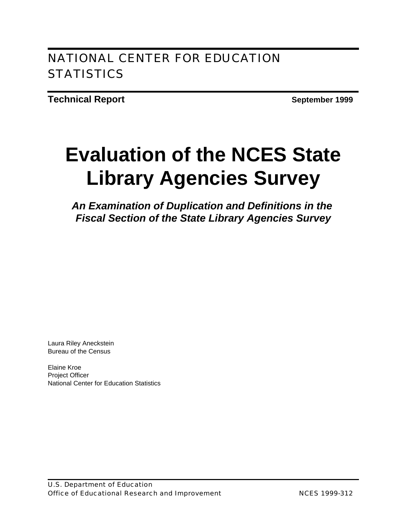# NATIONAL CENTER FOR EDUCATION **STATISTICS**

**Technical Report September 1999** 

# **Evaluation of the NCES State Library Agencies Survey**

*An Examination of Duplication and Definitions in the Fiscal Section of the State Library Agencies Survey*

Laura Riley Aneckstein Bureau of the Census

Elaine Kroe Project Officer National Center for Education Statistics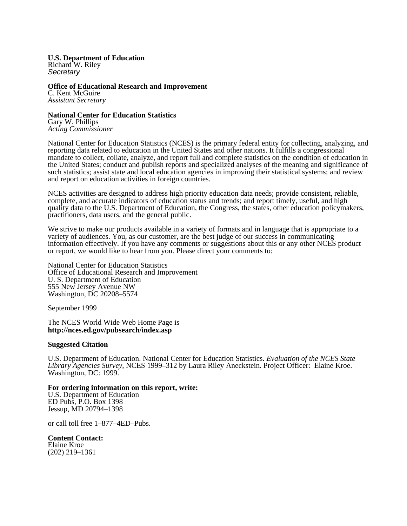**U.S. Department of Education** Richard W. Riley *Secretary*

**Office of Educational Research and Improvement** C. Kent McGuire *Assistant Secretary*

**National Center for Education Statistics** Gary W. Phillips *Acting Commissioner*

National Center for Education Statistics (NCES) is the primary federal entity for collecting, analyzing, and reporting data related to education in the United States and other nations. It fulfills a congressional mandate to collect, collate, analyze, and report full and complete statistics on the condition of education in the United States; conduct and publish reports and specialized analyses of the meaning and significance of such statistics; assist state and local education agencies in improving their statistical systems; and review and report on education activities in foreign countries.

NCES activities are designed to address high priority education data needs; provide consistent, reliable, complete, and accurate indicators of education status and trends; and report timely, useful, and high quality data to the U.S. Department of Education, the Congress, the states, other education policymakers, practitioners, data users, and the general public.

We strive to make our products available in a variety of formats and in language that is appropriate to a variety of audiences. You, as our customer, are the best judge of our success in communicating information effectively. If you have any comments or suggestions about this or any other NCES product or report, we would like to hear from you. Please direct your comments to:

National Center for Education Statistics Office of Educational Research and Improvement U. S. Department of Education 555 New Jersey Avenue NW Washington, DC 20208–5574

September 1999

The NCES World Wide Web Home Page is **http://nces.ed.gov/pubsearch/index.asp**

### **Suggested Citation**

U.S. Department of Education. National Center for Education Statistics. *Evaluation of the NCES State Library Agencies Survey*, NCES 1999–312 by Laura Riley Aneckstein. Project Officer: Elaine Kroe. Washington, DC: 1999.

### **For ordering information on this report, write:**

U.S. Department of Education ED Pubs, P.O. Box 1398 Jessup, MD 20794–1398

or call toll free 1–877–4ED–Pubs.

**Content Contact:**  Elaine Kroe (202) 219–1361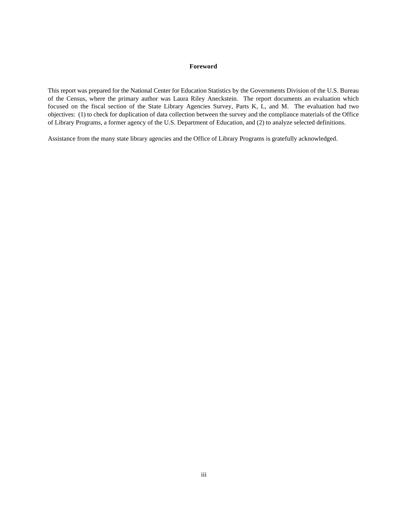### **Foreword**

This report was prepared for the National Center for Education Statistics by the Governments Division of the U.S. Bureau of the Census, where the primary author was Laura Riley Aneckstein. The report documents an evaluation which focused on the fiscal section of the State Library Agencies Survey, Parts K, L, and M. The evaluation had two objectives: (1) to check for duplication of data collection between the survey and the compliance materials of the Office of Library Programs, a former agency of the U.S. Department of Education, and (2) to analyze selected definitions.

Assistance from the many state library agencies and the Office of Library Programs is gratefully acknowledged.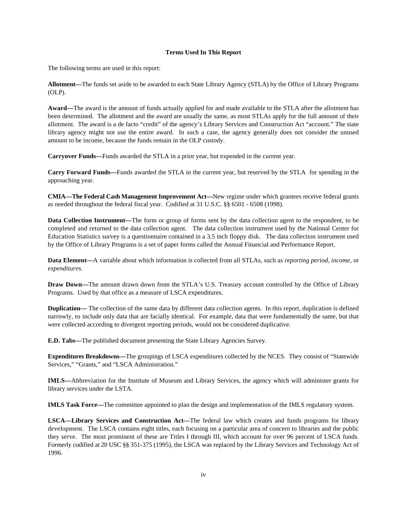### **Terms Used In This Report**

The following terms are used in this report:

**Allotment—**The funds set aside to be awarded to each State Library Agency (STLA) by the Office of Library Programs (OLP).

**Award—**The award is the amount of funds actually applied for and made available to the STLA after the allotment has been determined. The allotment and the award are usually the same, as most STLAs apply for the full amount of their allotment. The award is a de facto "credit" of the agency's Library Services and Construction Act "account." The state library agency might not use the entire award. In such a case, the agency generally does not consider the unused amount to be income, because the funds remain in the OLP custody.

**Carryover Funds—**Funds awarded the STLA in a prior year, but expended in the current year.

**Carry Forward Funds—**Funds awarded the STLA in the current year, but reserved by the STLA for spending in the approaching year.

**CMIA—The Federal Cash Management Improvement Act—**New regime under which grantees receive federal grants as needed throughout the federal fiscal year. Codified at 31 U.S.C. §§ 6501 - 6508 (1998).

**Data Collection Instrument—**The form or group of forms sent by the data collection agent to the respondent, to be completed and returned to the data collection agent. The data collection instrument used by the National Center for Education Statistics survey is a questionnaire contained in a 3.5 inch floppy disk. The data collection instrument used by the Office of Library Programs is a set of paper forms called the Annual Financial and Performance Report.

**Data Element—**A variable about which information is collected from all STLAs, such as *reporting period, income,* or *expenditures.*

**Draw Down—**The amount drawn down from the STLA's U.S. Treasury account controlled by the Office of Library Programs. Used by that office as a measure of LSCA expenditures.

**Duplication—** The collection of the same data by different data collection agents. In this report, duplication is defined narrowly, to include only data that are facially identical. For example, data that were fundamentally the same, but that were collected according to divergent reporting periods, would not be considered duplicative.

**E.D. Tabs—**The published document presenting the State Library Agencies Survey.

**Expenditures Breakdowns—**The groupings of LSCA expenditures collected by the NCES. They consist of "Statewide Services," "Grants," and "LSCA Administration."

**IMLS—**Abbreviation for the Institute of Museum and Library Services, the agency which will administer grants for library services under the LSTA.

**IMLS Task Force—**The committee appointed to plan the design and implementation of the IMLS regulatory system.

**LSCA—Library Services and Construction Act—**The federal law which creates and funds programs for library development. The LSCA contains eight titles, each focusing on a particular area of concern to libraries and the public they serve. The most prominent of these are Titles I through III, which account for over 96 percent of LSCA funds. Formerly codified at 20 USC §§ 351-375 (1995), the LSCA was replaced by the Library Services and Technology Act of 1996.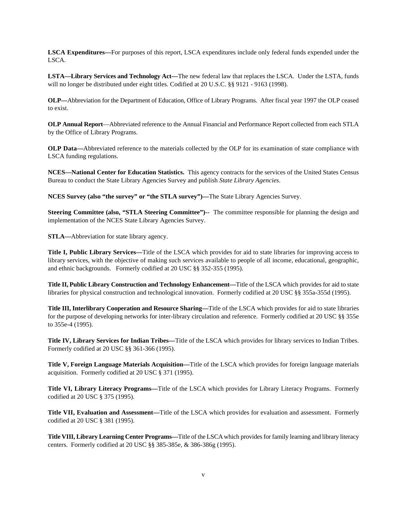**LSCA Expenditures—**For purposes of this report, LSCA expenditures include only federal funds expended under the LSCA.

**LSTA—Library Services and Technology Act—**The new federal law that replaces the LSCA. Under the LSTA, funds will no longer be distributed under eight titles. Codified at 20 U.S.C. §§ 9121 - 9163 (1998).

**OLP—**Abbreviation for the Department of Education, Office of Library Programs. After fiscal year 1997 the OLP ceased to exist.

**OLP Annual Report**—Abbreviated reference to the Annual Financial and Performance Report collected from each STLA by the Office of Library Programs.

**OLP Data—**Abbreviated reference to the materials collected by the OLP for its examination of state compliance with LSCA funding regulations.

**NCES—National Center for Education Statistics.** This agency contracts for the services of the United States Census Bureau to conduct the State Library Agencies Survey and publish *State Library Agencies*.

**NCES Survey (also "the survey" or "the STLA survey")—**The State Library Agencies Survey.

**Steering Committee (also, "STLA Steering Committee")--** The committee responsible for planning the design and implementation of the NCES State Library Agencies Survey.

**STLA—**Abbreviation for state library agency.

**Title I, Public Library Services—**Title of the LSCA which provides for aid to state libraries for improving access to library services, with the objective of making such services available to people of all income, educational, geographic, and ethnic backgrounds. Formerly codified at 20 USC §§ 352-355 (1995).

**Title II, Public Library Construction and Technology Enhancement—**Title of the LSCA which provides for aid to state libraries for physical construction and technological innovation. Formerly codified at 20 USC §§ 355a-355d (1995).

**Title III, Interlibrary Cooperation and Resource Sharing—**Title of the LSCA which provides for aid to state libraries for the purpose of developing networks for inter-library circulation and reference. Formerly codified at 20 USC §§ 355e to 355e-4 (1995).

**Title IV, Library Services for Indian Tribes—**Title of the LSCA which provides for library services to Indian Tribes. Formerly codified at 20 USC §§ 361-366 (1995).

**Title V, Foreign Language Materials Acquisition—**Title of the LSCA which provides for foreign language materials acquisition. Formerly codified at 20 USC § 371 (1995).

**Title VI, Library Literacy Programs—**Title of the LSCA which provides for Library Literacy Programs. Formerly codified at 20 USC § 375 (1995).

**Title VII, Evaluation and Assessment—**Title of the LSCA which provides for evaluation and assessment. Formerly codified at 20 USC § 381 (1995).

**Title VIII, Library Learning Center Programs—**Title of the LSCA which provides for family learning and library literacy centers. Formerly codified at 20 USC §§ 385-385e, & 386-386g (1995).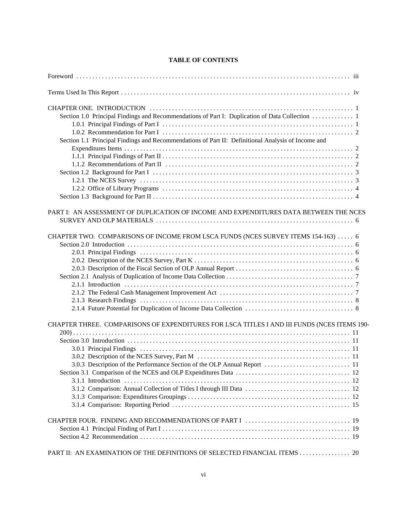### **TABLE OF CONTENTS**

| Section 1.0 Principal Findings and Recommendations of Part I: Duplication of Data Collection  1<br>Section 1.1 Principal Findings and Recommendations of Part II: Definitional Analysis of Income and |
|-------------------------------------------------------------------------------------------------------------------------------------------------------------------------------------------------------|
| PART I: AN ASSESSMENT OF DUPLICATION OF INCOME AND EXPENDITURES DATA BETWEEN THE NCES                                                                                                                 |
| CHAPTER TWO. COMPARISONS OF INCOME FROM LSCA FUNDS (NCES SURVEY ITEMS 154-163)  6                                                                                                                     |
| CHAPTER THREE. COMPARISONS OF EXPENDITURES FOR LSCA TITLES I AND III FUNDS (NCES ITEMS 190-                                                                                                           |
|                                                                                                                                                                                                       |
| PART II: AN EXAMINATION OF THE DEFINITIONS OF SELECTED FINANCIAL ITEMS 20                                                                                                                             |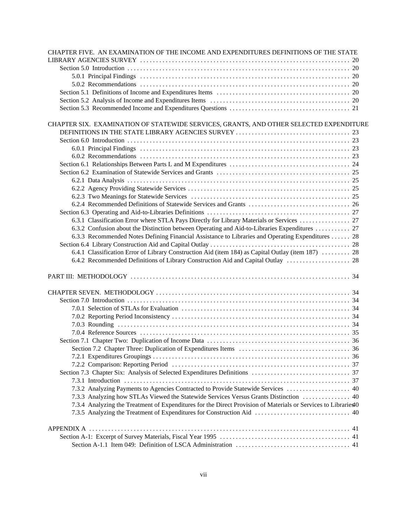| CHAPTER FIVE. AN EXAMINATION OF THE INCOME AND EXPENDITURES DEFINITIONS OF THE STATE                           |
|----------------------------------------------------------------------------------------------------------------|
|                                                                                                                |
|                                                                                                                |
|                                                                                                                |
|                                                                                                                |
|                                                                                                                |
|                                                                                                                |
|                                                                                                                |
|                                                                                                                |
| CHAPTER SIX. EXAMINATION OF STATEWIDE SERVICES, GRANTS, AND OTHER SELECTED EXPENDITURE                         |
|                                                                                                                |
|                                                                                                                |
|                                                                                                                |
|                                                                                                                |
|                                                                                                                |
|                                                                                                                |
|                                                                                                                |
|                                                                                                                |
|                                                                                                                |
|                                                                                                                |
|                                                                                                                |
|                                                                                                                |
| 6.3.2 Confusion about the Distinction between Operating and Aid-to-Libraries Expenditures  27                  |
| 6.3.3 Recommended Notes Defining Financial Assistance to Libraries and Operating Expenditures  28              |
|                                                                                                                |
| 6.4.1 Classification Error of Library Construction Aid (item 184) as Capital Outlay (item 187)  28             |
| 6.4.2 Recommended Definitions of Library Construction Aid and Capital Outlay  28                               |
|                                                                                                                |
|                                                                                                                |
|                                                                                                                |
|                                                                                                                |
|                                                                                                                |
|                                                                                                                |
|                                                                                                                |
|                                                                                                                |
|                                                                                                                |
|                                                                                                                |
|                                                                                                                |
|                                                                                                                |
|                                                                                                                |
|                                                                                                                |
|                                                                                                                |
| 7.3.2 Analyzing Payments to Agencies Contracted to Provide Statewide Services  40                              |
| 7.3.3 Analyzing how STLAs Viewed the Statewide Services Versus Grants Distinction  40                          |
| 7.3.4 Analyzing the Treatment of Expenditures for the Direct Provision of Materials or Services to Libraries40 |
|                                                                                                                |
|                                                                                                                |
|                                                                                                                |
|                                                                                                                |
|                                                                                                                |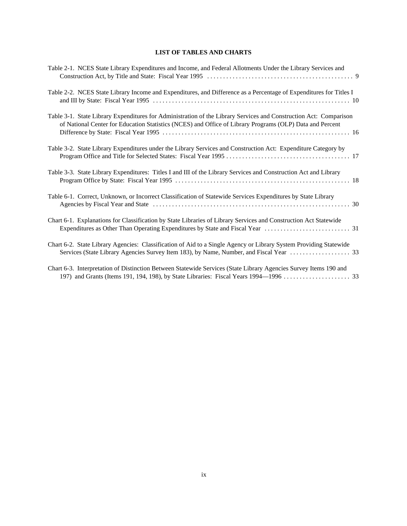### **LIST OF TABLES AND CHARTS**

| Table 2-1. NCES State Library Expenditures and Income, and Federal Allotments Under the Library Services and                                                                                                                  |
|-------------------------------------------------------------------------------------------------------------------------------------------------------------------------------------------------------------------------------|
| Table 2-2. NCES State Library Income and Expenditures, and Difference as a Percentage of Expenditures for Titles I                                                                                                            |
| Table 3-1. State Library Expenditures for Administration of the Library Services and Construction Act: Comparison<br>of National Center for Education Statistics (NCES) and Office of Library Programs (OLP) Data and Percent |
| Table 3-2. State Library Expenditures under the Library Services and Construction Act: Expenditure Category by                                                                                                                |
| Table 3-3. State Library Expenditures: Titles I and III of the Library Services and Construction Act and Library                                                                                                              |
| Table 6-1. Correct, Unknown, or Incorrect Classification of Statewide Services Expenditures by State Library                                                                                                                  |
| Chart 6-1. Explanations for Classification by State Libraries of Library Services and Construction Act Statewide                                                                                                              |
| Chart 6-2. State Library Agencies: Classification of Aid to a Single Agency or Library System Providing Statewide                                                                                                             |
| Chart 6-3. Interpretation of Distinction Between Statewide Services (State Library Agencies Survey Items 190 and                                                                                                              |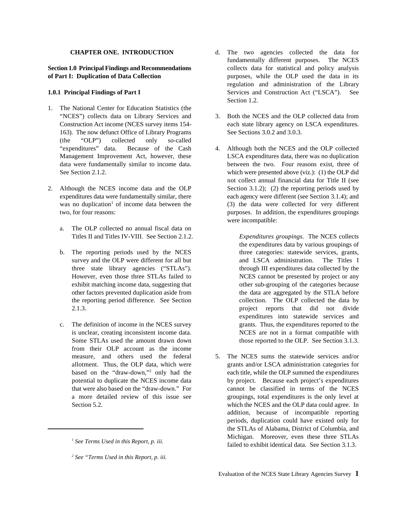- 1. The National Center for Education Statistics (the 163). The now defunct Office of Library Programs See Sections 3.0.2 and 3.0.3. (the "OLP") collected only so-called
- - a. The OLP collected no annual fiscal data on
	- b. The reporting periods used by the NCES three categories: statewide services, grants,
	- from their OLP account as the income
- **CHAPTER ONE. INTRODUCTION** d. The two agencies collected the data for **Section 1.0 Principal Findings and Recommendations** collects data for statistical and policy analysis **of Part I: Duplication of Data Collection** purposes, while the OLP used the data in its **1.0.1 Principal Findings of Part I** Services and Construction Act ("LSCA"). See fundamentally different purposes. The NCES regulation and administration of the Library Section 1.2.
	- "NCES") collects data on Library Services and 3. Both the NCES and the OLP collected data from Construction Act income (NCES survey items 154- each state library agency on LSCA expenditures.
- "expenditures" data. Because of the Cash 4. Although both the NCES and the OLP collected Management Improvement Act, however, these LSCA expenditures data, there was no duplication data were fundamentally similar to income data. between the two. Four reasons exist, three of See Section 2.1.2. which were presented above (viz.): (1) the OLP did 2. Although the NCES income data and the OLP Section 3.1.2); (2) the reporting periods used by expenditures data were fundamentally similar, there each agency were different (see Section 3.1.4); and was no duplication<sup>1</sup> of income data between the  $(3)$  the data were collected for very different two, for four reasons: purposes. In addition, the expenditures groupings not collect annual financial data for Title II (see were incompatible:

Titles II and Titles IV-VIII. See Section 2.1.2. *Expenditures groupings.* The NCES collects survey and the OLP were different for all but and LSCA administration. The Titles I three state library agencies ("STLAs"). through III expenditures data collected by the However, even those three STLAs failed to NCES cannot be presented by project or any exhibit matching income data, suggesting that other sub-grouping of the categories because other factors prevented duplication aside from the data are aggregated by the STLA before the reporting period difference. See Section collection. The OLP collected the data by 2.1.3. project reports that did not divide c. The definition of income in the NCES survey grants. Thus, the expenditures reported to the is unclear, creating inconsistent income data. NCES are not in a format compatible with Some STLAs used the amount drawn down those reported to the OLP. See Section 3.1.3. the expenditures data by various groupings of expenditures into statewide services and

measure, and others used the federal 5. The NCES sums the statewide services and/or allotment. Thus, the OLP data, which were grants and/or LSCA administration categories for based on the "draw-down,"<sup>2</sup> only had the each title, while the OLP summed the expenditures potential to duplicate the NCES income data by project. Because each project's expenditures that were also based on the "draw-down." For cannot be classified in terms of the NCES a more detailed review of this issue see groupings, total expenditures is the only level at Section 5.2. which the NCES and the OLP data could agree. In addition, because of incompatible reporting periods, duplication could have existed only for the STLAs of Alabama, District of Columbia, and Michigan. Moreover, even these three STLAs failed to exhibit identical data. See Section 3.1.3. *See Terms Used in this Report, p. iii. <sup>1</sup>*

*See "Terms Used in this Report, p. iii. <sup>2</sup>*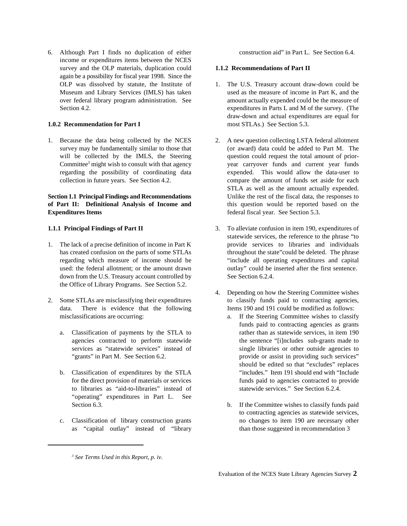6. Although Part I finds no duplication of either construction aid" in Part L. See Section 6.4. income or expenditures items between the NCES survey and the OLP materials, duplication could **1.1.2 Recommendations of Part II** again be a possibility for fiscal year 1998. Since the

1. Because the data being collected by the NCES 2. A new question collecting LSTA federal allotment

## **of Part II: Definitional Analysis of Income and** this question would be reported based on the **Expenditures Items** federal fiscal year. See Section 5.3.

- down from the U.S. Treasury account controlled by See Section 6.2.4. the Office of Library Programs. See Section 5.2.
- misclassifications are occurring: a. If the Steering Committee wishes to classify
	-
	- to libraries as "aid-to-libraries" instead of "operating" expenditures in Part L. See Section 6.3. b. If the Committee wishes to classify funds paid
	- as "capital outlay" instead of "library than those suggested in recommendation 3

- 1. The U.S. Treasury account draw-down could be Museum and Library Services (IMLS) has taken used as the measure of income in Part K, and the over federal library program administration. See amount actually expended could be the measure of Section 4.2. expenditures in Parts L and M of the survey. (The **1.0.2 Recommendation for Part I** most STLAs.) See Section 5.3. draw-down and actual expenditures are equal for
- survey may be fundamentally similar to those that (or award) data could be added to Part M. The will be collected by the IMLS, the Steering question could request the total amount of prior-Committee<sup>3</sup> might wish to consult with that agency year carryover funds and current year funds regarding the possibility of coordinating data expended. This would allow the data-user to collection in future years. See Section 4.2. compare the amount of funds set aside for each **Section 1.1 Principal Findings and Recommendations** Unlike the rest of the fiscal data, the responses to STLA as well as the amount actually expended.
- **1.1.1 Principal Findings of Part II** 3. To alleviate confusion in item 190, expenditures of 1. The lack of a precise definition of income in Part K provide services to libraries and individuals has created confusion on the parts of some STLAs throughout the state"could be deleted. The phrase regarding which measure of income should be "include all operating expenditures and capital used: the federal allotment; or the amount drawn outlay" could be inserted after the first sentence. statewide services, the reference to the phrase "to
- 2. Some STLAs are misclassifying their expenditures to classify funds paid to contracting agencies, data. There is evidence that the following Items 190 and 191 could be modified as follows: 4. Depending on how the Steering Committee wishes
	- a. Classification of payments by the STLA to rather than as statewide services, in item 190 agencies contracted to perform statewide the sentence "[i]ncludes sub-grants made to services as "statewide services" instead of single libraries or other outside agencies to "grants" in Part M. See Section 6.2. provide or assist in providing such services" b. Classification of expenditures by the STLA "includes." Item 191 should end with "Include for the direct provision of materials or services funds paid to agencies contracted to provide<br>to libraries as "aid-to-libraries" instead of statewide services." See Section 6.2.4. funds paid to contracting agencies as grants should be edited so that "excludes" replaces
	- c. Classification of library construction grants no changes to item 190 are necessary other to contracting agencies as statewide services,

*See Terms Used in this Report, p. iv. <sup>3</sup>*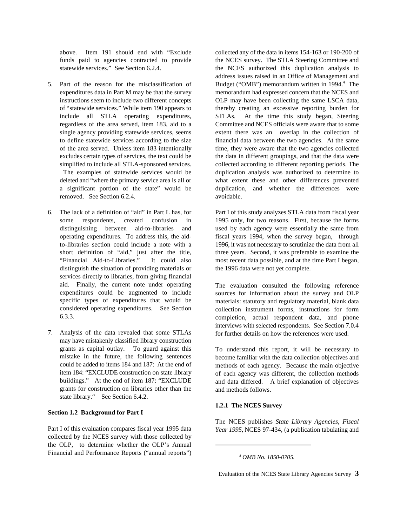- 5. Part of the reason for the misclassification of removed. See Section 6.2.4. avoidable.
- distinguish the situation of providing materials or the 1996 data were not yet complete. services directly to libraries, from giving financial aid. Finally, the current note under operating expenditures could be augmented to include specific types of expenditures that would be considered operating expenditures. See Section 6.3.3.
- 7. Analysis of the data revealed that some STLAs may have mistakenly classified library construction grants as capital outlay. To guard against this mistake in the future, the following sentences could be added to items 184 and 187: At the end of item 184: "EXCLUDE construction on state library buildings." At the end of item 187: "EXCLUDE grants for construction on libraries other than the state library." See Section 6.4.2.

### **Section 1.2 Background for Part I**

Part I of this evaluation compares fiscal year 1995 data collected by the NCES survey with those collected by the OLP, to determine whether the OLP's Annual Financial and Performance Reports ("annual reports")

above. Item 191 should end with "Exclude collected any of the data in items 154-163 or 190-200 of funds paid to agencies contracted to provide the NCES survey. The STLA Steering Committee and statewide services." See Section 6.2.4. the NCES authorized this duplication analysis to expenditures data in Part M may be that the survey memorandum had expressed concern that the NCES and instructions seem to include two different concepts OLP may have been collecting the same LSCA data, of "statewide services." While item 190 appears to thereby creating an excessive reporting burden for include all STLA operating expenditures, STLAs. At the time this study began, Steering regardless of the area served, item 183, aid to a Committee and NCES officials were aware that to some single agency providing statewide services, seems extent there was an overlap in the collection of to define statewide services according to the size financial data between the two agencies. At the same of the area served. Unless item 183 intentionally time, they were aware that the two agencies collected excludes certain types of services, the text could be the data in different groupings, and that the data were simplified to include all STLA-sponsored services. collected according to different reporting periods. The The examples of statewide services would be duplication analysis was authorized to determine to deleted and "where the primary service area is all or what extent these and other differences prevented a significant portion of the state" would be duplication, and whether the differences were address issues raised in an Office of Management and Budget ("OMB") memorandum written in 1994.<sup>4</sup> The

6. The lack of a definition of "aid" in Part L has, for Part I of this study analyzes STLA data from fiscal year some respondents, created confusion in 1995 only, for two reasons. First, because the forms distinguishing between aid-to-libraries and used by each agency were essentially the same from operating expenditures. To address this, the aid- fiscal years 1994, when the survey began, through to-libraries section could include a note with a 1996, it was not necessary to scrutinize the data from all short definition of "aid," just after the title, three years. Second, it was preferable to examine the "Financial Aid-to-Libraries." It could also most recent data possible, and at the time Part I began,

> The evaluation consulted the following reference sources for information about the survey and OLP materials: statutory and regulatory material, blank data collection instrument forms, instructions for form completion, actual respondent data, and phone interviews with selected respondents. See Section 7.0.4 for further details on how the references were used.

> To understand this report, it will be necessary to become familiar with the data collection objectives and methods of each agency. Because the main objective of each agency was different, the collection methods and data differed. A brief explanation of objectives and methods follows.

### **1.2.1 The NCES Survey**

The NCES publishes *State Library Agencies, Fiscal Year 1995*, NCES 97-434, (a publication tabulating and

*OMB No. 1850-0705. <sup>4</sup>*

Evaluation of the NCES State Library Agencies Survey **3**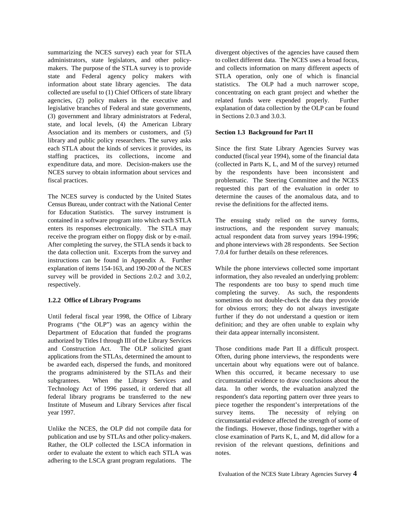summarizing the NCES survey) each year for STLA divergent objectives of the agencies have caused them administrators, state legislators, and other policy- to collect different data. The NCES uses a broad focus, makers. The purpose of the STLA survey is to provide and collects information on many different aspects of state and Federal agency policy makers with STLA operation, only one of which is financial information about state library agencies. The data statistics. The OLP had a much narrower scope, collected are useful to (1) Chief Officers of state library concentrating on each grant project and whether the agencies, (2) policy makers in the executive and related funds were expended properly. Further legislative branches of Federal and state governments, explanation of data collection by the OLP can be found (3) government and library administrators at Federal, in Sections 2.0.3 and 3.0.3. state, and local levels, (4) the American Library Association and its members or customers, and (5) **Section 1.3 Background for Part II** library and public policy researchers. The survey asks each STLA about the kinds of services it provides, its Since the first State Library Agencies Survey was staffing practices, its collections, income and conducted (fiscal year 1994), some of the financial data expenditure data, and more. Decision-makers use the (collected in Parts K, L, and M of the survey) returned NCES survey to obtain information about services and by the respondents have been inconsistent and fiscal practices. problematic. The Steering Committee and the NCES

The NCES survey is conducted by the United States determine the causes of the anomalous data, and to Census Bureau, under contract with the National Center revise the definitions for the affected items. for Education Statistics. The survey instrument is contained in a software program into which each STLA The ensuing study relied on the survey forms, enters its responses electronically. The STLA may instructions, and the respondent survey manuals; receive the program either on floppy disk or by e-mail. actual respondent data from survey years 1994-1996; After completing the survey, the STLA sends it back to and phone interviews with 28 respondents. See Section the data collection unit. Excerpts from the survey and 7.0.4 for further details on these references. instructions can be found in Appendix A. Further explanation of items 154-163, and 190-200 of the NCES While the phone interviews collected some important survey will be provided in Sections 2.0.2 and 3.0.2, information, they also revealed an underlying problem: respectively. The respondents are too busy to spend much time

Until federal fiscal year 1998, the Office of Library further if they do not understand a question or item Programs ("the OLP") was an agency within the definition; and they are often unable to explain why Department of Education that funded the programs their data appear internally inconsistent. authorized by Titles I through III of the Library Services and Construction Act. The OLP solicited grant Those conditions made Part II a difficult prospect. applications from the STLAs, determined the amount to Often, during phone interviews, the respondents were be awarded each, dispersed the funds, and monitored uncertain about why equations were out of balance. the programs administered by the STLAs and their When this occurred, it became necessary to use subgrantees. When the Library Services and circumstantial evidence to draw conclusions about the Technology Act of 1996 passed, it ordered that all data. In other words, the evaluation analyzed the federal library programs be transferred to the new respondent's data reporting pattern over three years to Institute of Museum and Library Services after fiscal piece together the respondent's interpretations of the year 1997. survey items. The necessity of relying on

publication and use by STLAs and other policy-makers. close examination of Parts K, L, and M, did allow for a Rather, the OLP collected the LSCA information in revision of the relevant questions, definitions and order to evaluate the extent to which each STLA was notes. adhering to the LSCA grant program regulations. The

requested this part of the evaluation in order to

**1.2.2 Office of Library Programs** sometimes do not double-check the data they provide completing the survey. As such, the respondents for obvious errors; they do not always investigate

Unlike the NCES, the OLP did not compile data for the findings. However, those findings, together with a circumstantial evidence affected the strength of some of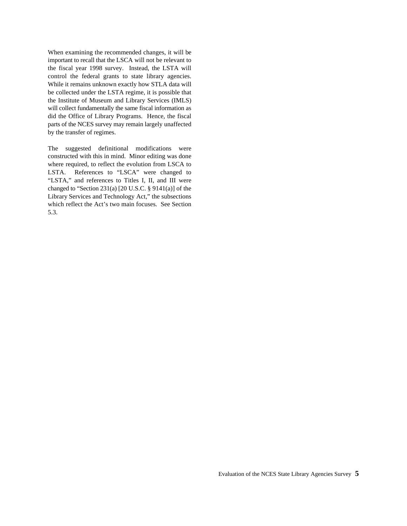When examining the recommended changes, it will be important to recall that the LSCA will not be relevant to the fiscal year 1998 survey. Instead, the LSTA will control the federal grants to state library agencies. While it remains unknown exactly how STLA data will be collected under the LSTA regime, it is possible that the Institute of Museum and Library Services (IMLS) will collect fundamentally the same fiscal information as did the Office of Library Programs. Hence, the fiscal parts of the NCES survey may remain largely unaffected by the transfer of regimes.

The suggested definitional modifications were constructed with this in mind. Minor editing was done where required, to reflect the evolution from LSCA to LSTA. References to "LSCA" were changed to "LSTA," and references to Titles I, II, and III were changed to "Section 231(a)  $[20$  U.S.C. § 9141(a)] of the Library Services and Technology Act," the subsections which reflect the Act's two main focuses. See Section 5.3.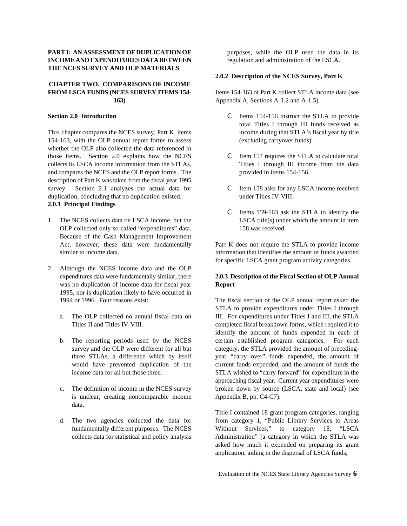### **PART I: AN ASSESSMENT OF DUPLICATION OF** purposes, while the OLP used the data in its **INCOME AND EXPENDITURES DATA BETWEEN** regulation and administration of the LSCA. **THE NCES SURVEY AND OLP MATERIALS**

## **CHAPTER TWO. COMPARISONS OF INCOME FROM LSCA FUNDS (NCES SURVEY ITEMS 154-** Items 154-163 of Part K collect STLA income data (see

This chapter compares the NCES survey, Part K, items income during that STLA's fiscal year by title 154-163, with the OLP annual report forms to assess (excluding carryover funds). whether the OLP also collected the data referenced in those items. Section 2.0 explains how the NCES contract the STLA to calculate total collects its LSCA income information from the STLAs, Titles I through III income from the data and compares the NCES and the OLP report forms. The provided in items 154-156. description of Part K was taken from the fiscal year 1995 survey. Section 2.1 analyzes the actual data for C Item 158 asks for any LSCA income received duplication, concluding that no duplication existed. under Titles IV-VIII. **2.0.1 Principal Findings**

- OLP collected only so-called "expenditures" data. 158 was received. Because of the Cash Management Improvement
- 2. Although the NCES income data and the OLP expenditures data were fundamentally similar, there **2.0.3 Description of the Fiscal Section of OLP Annual** was no duplication of income data for fiscal year **Report** 1995, nor is duplication likely to have occurred in 1994 or 1996. Four reasons exist: The fiscal section of the OLP annual report asked the
	-
	-
	- is unclear, creating noncomparable income Appendix B, pp. C4-C7). data.
	-

### **2.0.2 Description of the NCES Survey, Part K**

**163)** Appendix A, Sections A-1.2 and A-1.5).

- **Section 2.0 Introduction** C Items 154-156 instruct the STLA to provide total Titles I through III funds received as
	-
	-
- 1. The NCES collects data on LSCA income, but the LSCA title(s) under which the amount in item C Items 159-163 ask the STLA to identify the

Act, however, these data were fundamentally Part K does not require the STLA to provide income similar to income data. information that identifies the amount of funds awarded for specific LSCA grant program activity categories.

a. The OLP collected no annual fiscal data on III. For expenditures under Titles I and III, the STLA Titles II and Titles IV-VIII. Completed fiscal breakdown forms, which required it to b. The reporting periods used by the NCES certain established program categories. For each survey and the OLP were different for all but category, the STLA provided the amount of precedingthree STLAs, a difference which by itself year "carry over" funds expended, the amount of would have prevented duplication of the current funds expended, and the amount of funds the income data for all but those three. STLA wished to "carry forward" for expenditure in the c. The definition of income in the NCES survey broken down by source (LSCA, state and local) (see STLA to provide expenditures under Titles I through identify the amount of funds expended in each of approaching fiscal year. Current year expenditures were

d. The two agencies collected the data for from category 1, "Public Library Services to Areas fundamentally different purposes. The NCES Without Services," to category 18, "LSCA collects data for statistical and policy analysis Administration" (a category in which the STLA was Title I contained 18 grant program categories, ranging asked how much it expended on preparing its grant application, aiding in the dispersal of LSCA funds,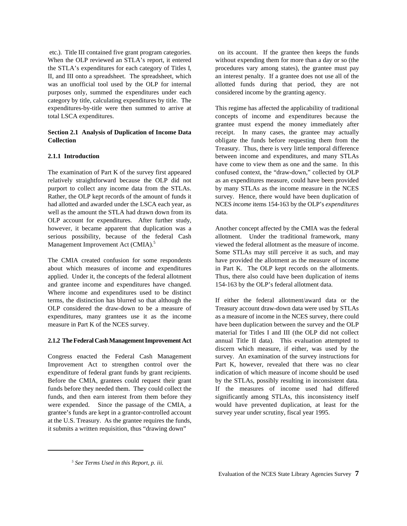When the OLP reviewed an STLA's report, it entered without expending them for more than a day or so (the the STLA's expenditures for each category of Titles I, procedures vary among states), the grantee must pay II, and III onto a spreadsheet. The spreadsheet, which an interest penalty. If a grantee does not use all of the was an unofficial tool used by the OLP for internal allotted funds during that period, they are not purposes only, summed the expenditures under each considered income by the granting agency. category by title, calculating expenditures by title. The expenditures-by-title were then summed to arrive at This regime has affected the applicability of traditional total LSCA expenditures. concepts of income and expenditures because the

## **Collection Collection obligate the funds before requesting them from the**

relatively straightforward because the OLP did not as an expenditures measure, could have been provided purport to collect any income data from the STLAs. by many STLAs as the income measure in the NCES purport to collect any income data from the STLAs. Rather, the OLP kept records of the amount of funds it survey. Hence, there would have been duplication of had allotted and awarded under the LSCA each year, as NCES *income* items 154-163 by the OLP's *expenditures* well as the amount the STLA had drawn down from its data. OLP account for expenditures. After further study, however, it became apparent that duplication was a Another concept affected by the CMIA was the federal serious possibility, because of the federal Cash allotment. Under the traditional framework, many Management Improvement Act (CMIA).<sup>5</sup> viewed the federal allotment as the measure of income.

about which measures of income and expenditures in Part K. The OLP kept records on the allotments. applied. Under it, the concepts of the federal allotment Thus, there also could have been duplication of items and grantee income and expenditures have changed. 154-163 by the OLP's federal allotment data. Where income and expenditures used to be distinct terms, the distinction has blurred so that although the If either the federal allotment/award data or the OLP considered the draw-down to be a measure of Treasury account draw-down data were used by STLAs expenditures, many grantees use it as the income as a measure of income in the NCES survey, there could measure in Part K of the NCES survey. have been duplication between the survey and the OLP

### **2.1.2 The Federal Cash Management Improvement Act** annual Title II data). This evaluation attempted to

Congress enacted the Federal Cash Management survey. An examination of the survey instructions for Improvement Act to strengthen control over the Part K, however, revealed that there was no clear expenditure of federal grant funds by grant recipients. indication of which measure of income should be used Before the CMIA, grantees could request their grant by the STLAs, possibly resulting in inconsistent data. funds before they needed them. They could collect the If the measures of income used had differed funds, and then earn interest from them before they significantly among STLAs, this inconsistency itself were expended. Since the passage of the CMIA, a would have prevented duplication, at least for the grantee's funds are kept in a grantor-controlled account survey year under scrutiny, fiscal year 1995. at the U.S. Treasury. As the grantee requires the funds, it submits a written requisition, thus "drawing down"

etc.). Title III contained five grant program categories. on its account. If the grantee then keeps the funds

**Section 2.1 Analysis of Duplication of Income Data** receipt. In many cases, the grantee may actually **2.1.1 Introduction** between income and expenditures, and many STLAs The examination of Part K of the survey first appeared confused context, the "draw-down," collected by OLP grantee must expend the money immediately after Treasury. Thus, there is very little temporal difference have come to view them as one and the same. In this

The CMIA created confusion for some respondents have provided the allotment as the measure of income Some STLAs may still perceive it as such, and may

> material for Titles I and III (the OLP did not collect discern which measure, if either, was used by the

*See Terms Used in this Report, p. iii. <sup>5</sup>*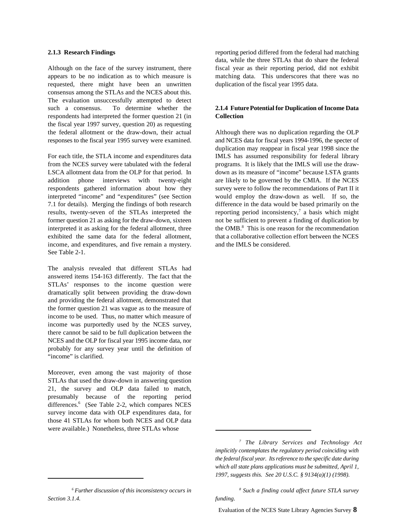Although on the face of the survey instrument, there fiscal year as their reporting period, did not exhibit appears to be no indication as to which measure is matching data. This underscores that there was no requested, there might have been an unwritten duplication of the fiscal year 1995 data. consensus among the STLAs and the NCES about this. The evaluation unsuccessfully attempted to detect such a consensus. To determine whether the **2.1.4 Future Potential for Duplication of Income Data** respondents had interpreted the former question 21 (in **Collection** the fiscal year 1997 survey, question 20) as requesting the federal allotment or the draw-down, their actual Although there was no duplication regarding the OLP responses to the fiscal year 1995 survey were examined. and NCES data for fiscal years 1994-1996, the specter of

For each title, the STLA income and expenditures data IMLS has assumed responsibility for federal library from the NCES survey were tabulated with the federal programs. It is likely that the IMLS will use the draw-LSCA allotment data from the OLP for that period. In down as its measure of "income" because LSTA grants addition phone interviews with twenty-eight are likely to be governed by the CMIA. If the NCES respondents gathered information about how they survey were to follow the recommendations of Part II it interpreted "income" and "expenditures" (see Section would employ the draw-down as well. If so, the 7.1 for details). Merging the findings of both research difference in the data would be based primarily on the results, twenty-seven of the STLAs interpreted the former question 21 as asking for the draw-down, sixteen not be sufficient to prevent a finding of duplication by interpreted it as asking for the federal allotment, three exhibited the same data for the federal allotment, that a collaborative collection effort between the NCES income, and expenditures, and five remain a mystery. and the IMLS be considered. See Table 2-1.

The analysis revealed that different STLAs had answered items 154-163 differently. The fact that the STLAs' responses to the income question were dramatically split between providing the draw-down and providing the federal allotment, demonstrated that the former question 21 was vague as to the measure of income to be used. Thus, no matter which measure of income was purportedly used by the NCES survey, there cannot be said to be full duplication between the NCES and the OLP for fiscal year 1995 income data, nor probably for any survey year until the definition of "income" is clarified.

Moreover, even among the vast majority of those STLAs that used the draw-down in answering question 21, the survey and OLP data failed to match, presumably because of the reporting period differences.<sup>6</sup> (See Table 2-2, which compares NCES survey income data with OLP expenditures data, for those 41 STLAs for whom both NCES and OLP data were available.) Nonetheless, three STLAs whose

<sup>6</sup> Further discussion of this inconsistency occurs in *Section 3.1.4. funding.*

**2.1.3 Research Findings** reporting period differed from the federal had matching data, while the three STLAs that do share the federal

duplication may reappear in fiscal year 1998 since the reporting period inconsistency,<sup>7</sup> a basis which might the  $OMB<sup>8</sup>$ . This is one reason for the recommendation

*The Library Services and Technology Act 7 implicitly contemplates the regulatory period coinciding with the federal fiscal year. Its reference to the specific date during which all state plans applications must be submitted, April 1, 1997, suggests this. See 20 U.S.C. § 9134(a)(1) (1998).*

*Further discussion of this inconsistency occurs in Such a finding could affect future STLA survey 8*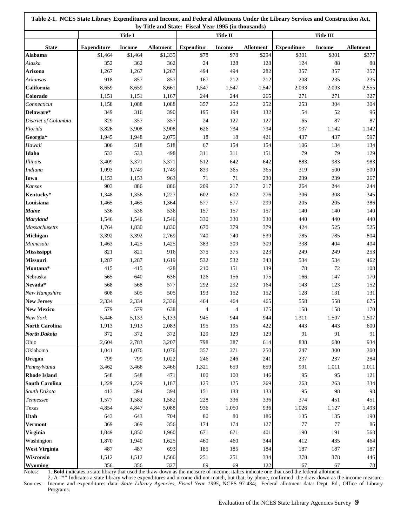| Table 2-1. NCES State Library Expenditures and Income, and Federal Allotments Under the Library Services and Construction Act,<br>by Title and State: Fiscal Year 1995 (in thousands) |                    |                |                  |                   |                |                  |                    |                  |                  |
|---------------------------------------------------------------------------------------------------------------------------------------------------------------------------------------|--------------------|----------------|------------------|-------------------|----------------|------------------|--------------------|------------------|------------------|
|                                                                                                                                                                                       |                    | <b>Title I</b> |                  | <b>Title II</b>   |                |                  |                    | <b>Title III</b> |                  |
| <b>State</b>                                                                                                                                                                          | <b>Expenditure</b> | <b>Income</b>  | <b>Allotment</b> | <b>Expenditur</b> | <b>Income</b>  | <b>Allotment</b> | <b>Expenditure</b> | <b>Income</b>    | <b>Allotment</b> |
| <b>Alabama</b>                                                                                                                                                                        | \$1,464            | \$1,464        | \$1,335          | \$78              | \$78           | \$294            | \$301              | \$301            | \$377            |
| Alaska                                                                                                                                                                                | 352                | 362            | 362              | 24                | 128            | 128              | 124                | 88               | 88               |
| Arizona                                                                                                                                                                               | 1,267              | 1,267          | 1,267            | 494               | 494            | 282              | 357                | 357              | 357              |
| Arkansas                                                                                                                                                                              | 918                | 857            | 857              | 167               | 212            | 212              | 208                | 235              | 235              |
| California                                                                                                                                                                            | 8,659              | 8,659          | 8,661            | 1,547             | 1,547          | 1,547            | 2,093              | 2,093            | 2,555            |
| Colorado                                                                                                                                                                              | 1,151              | 1,151          | 1,167            | 244               | 244            | 265              | 271                | 271              | 327              |
| Connecticut                                                                                                                                                                           | 1,158              | 1,088          | 1,088            | 357               | 252            | 252              | 253                | 304              | 304              |
| Delaware*                                                                                                                                                                             | 349                | 316            | 390              | 195               | 194            | 132              | 54                 | 52               | 96               |
| District of Columbia                                                                                                                                                                  | 329                | 357            | 357              | 24                | 127            | 127              | 65                 | 87               | 87               |
| Florida                                                                                                                                                                               | 3,826              | 3,908          | 3,908            | 626               | 734            | 734              | 937                | 1,142            | 1,142            |
| Georgia*                                                                                                                                                                              | 1,945              | 1,948          | 2,075            | 18                | 18             | 421              | 437                | 437              | 597              |
| Hawaii                                                                                                                                                                                | 306                | 518            | 518              | 67                | 154            | 154              | 106                | 134              | 134              |
| Idaho                                                                                                                                                                                 | 533                | 533            | 498              | 311               | 311            | 151              | 79                 | 79               | 129              |
| <b>Illinois</b>                                                                                                                                                                       | 3,409              | 3,371          | 3,371            | 512               | 642            | 642              | 883                | 983              | 983              |
| Indiana                                                                                                                                                                               | 1,093              | 1,749          | 1,749            | 839               | 365            | 365              | 319                | 500              | 500              |
| Iowa                                                                                                                                                                                  | 1,153              | 1,153          | 963              | 71                | 71             | 230              | 239                | 239              | 267              |
| Kansas                                                                                                                                                                                | 903                | 886            | 886              | 209               | 217            | 217              | 264                | 244              | 244              |
| Kentucky*                                                                                                                                                                             | 1,348              | 1,356          | 1,227            | 602               | 602            | 276              | 306                | 308              | 345              |
| Louisiana                                                                                                                                                                             | 1,465              | 1,465          | 1,364            | 577               | 577            | 299              | 205                | 205              | 386              |
| <b>Maine</b>                                                                                                                                                                          | 536                | 536            | 536              | 157               | 157            | 157              | 140                | 140              | 140              |
| <b>Maryland</b>                                                                                                                                                                       | 1,546              | 1,546          | 1,546            | 330               | 330            | 330              | 440                | 440              | 440              |
| <b>Massachusetts</b>                                                                                                                                                                  | 1,764              | 1,830          | 1,830            | 670               | 379            | 379              | 424                | 525              | 525              |
| Michigan                                                                                                                                                                              | 3,392              | 3,392          | 2,769            | 740               | 740            | 539              | 785                | 785              | 804              |
| Minnesota                                                                                                                                                                             | 1,463              | 1,425          | 1,425            | 383               | 309            | 309              | 338                | 404              | 404              |
| Mississippi                                                                                                                                                                           | 821                | 821            | 916              | 375               | 375            | 223              | 249                | 249              | 253              |
| Missouri                                                                                                                                                                              | 1,287              | 1,287          | 1,619            | 532               | 532            | 343              | 534                | 534              | 462              |
| Montana*                                                                                                                                                                              | 415                | 415            | 428              | 210               | 151            | 139              | 78                 | 72               | 108              |
| Nebraska                                                                                                                                                                              | 565                | 640            | 636              | 126               | 156            | 175              | 166                | 147              | 170              |
| Nevada*                                                                                                                                                                               | 568                | 568            | 577              | 292               | 292            | 164              | 143                | 123              | 152              |
| New Hampshire                                                                                                                                                                         | 608                | 505            | 505              | 193               | 152            | 152              | 128                | 131              | 131              |
| <b>New Jersey</b>                                                                                                                                                                     | 2,334              | 2,334          | 2,336            | 464               | 464            | 465              | 558                | 558              | 675              |
| <b>New Mexico</b>                                                                                                                                                                     | 579                | 579            | 638              | 4                 | $\overline{4}$ | 175              | 158                | 158              | 170              |
| New York                                                                                                                                                                              | 5,446              | 5,133          | 5,133            | 945               | 944            | 944              | 1,311              | 1,507            | 1,507            |
| <b>North Carolina</b>                                                                                                                                                                 | 1,913              | 1,913          | 2,083            | 195               | 195            | 422              | 443                | 443              | 600              |
| North Dakota                                                                                                                                                                          | 372                | 372            | 372              | 129               | 129            | 129              | 91                 | 91               | 91               |
| Ohio                                                                                                                                                                                  | 2,604              | 2,783          | 3,207            | 798               | 387            | 614              | 838                | 680              | 934              |
| Oklahoma                                                                                                                                                                              | 1,041              | 1,076          | 1,076            | 357               | 371            | 250              | 247                | 300              | 300              |
| Oregon                                                                                                                                                                                | 799                | 799            | 1,022            | 246               | 246            | 241              | 237                | 237              | 284              |
| Pennsylvania                                                                                                                                                                          | 3,462              | 3,466          | 3,466            | 1,321             | 659            | 659              | 991                | 1,011            | 1,011            |
| <b>Rhode Island</b>                                                                                                                                                                   | 548                | 548            | 471              | 100               | 100            | 146              | 95                 | 95               | 121              |
| <b>South Carolina</b>                                                                                                                                                                 | 1,229              | 1,229          | 1,187            | 125               | 125            | 269              | 263                | 263              | 334              |
| South Dakota                                                                                                                                                                          | 413                | 394            | 394              | 151               | 133            | 133              | 95                 | 98               | 98               |
| Tennessee                                                                                                                                                                             | 1,577              | 1,582          | 1,582            | 228               | 336            | 336              | 374                | 451              | 451              |
| Texas                                                                                                                                                                                 | 4,854              | 4,847          | 5,088            | 936               | 1,050          | 936              | 1,026              | 1,127            | 1,493            |
| Utah                                                                                                                                                                                  | 643                | 643            | 704              | 80                | 80             | 186              | 135                | 135              | 190              |
| <b>Vermont</b>                                                                                                                                                                        | 369                | 369            | 356              | 174               | 174            | 127              | $77 \,$            | $77\,$           | 86               |
| Virginia                                                                                                                                                                              | 1,849              | 1,850          | 1,960            | 671               | 671            | 401              | 190                | 191              | 563              |
| Washington                                                                                                                                                                            | 1,870              | 1,940          | 1,625            | 460               | 460            | 344              | 412                | 435              | 464              |
| <b>West Virginia</b>                                                                                                                                                                  | 487                | 487            | 693              | 185               | 185            | 184              | 187                | 187              | 187              |
| Wisconsin                                                                                                                                                                             | 1,512              | 1,512          | 1,566            | 251               | 251            | 334              | 378                | 378              | 446              |
| Wyoming                                                                                                                                                                               | 356                | 356            | 327              | 69                | 69             | 122              | 67                 | 67               | 78               |

Notes: 1. **Bold** indicates a state library that used the draw-down as the measure of income; italics indicate one that used the federal allotment.

2. A "\*" Indicates a state library whose expenditures and income did not match, but that, by phone, confirmed the draw-down as the income measure. Sources: Income and expenditures data: *State Library Agencies, Fiscal Year 1995*, NCES 97-434; Federal allotment data: Dept. Ed., Office of Library Programs.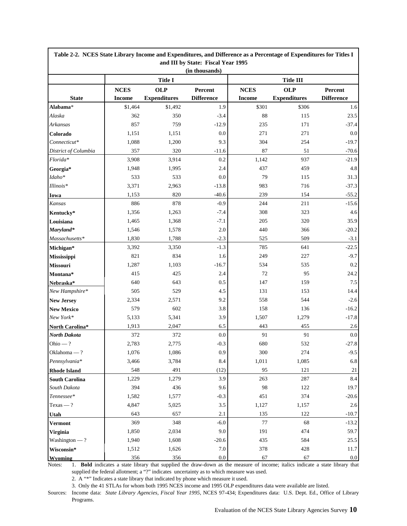| Table 2-2. NCES State Library Income and Expenditures, and Difference as a Percentage of Expenditures for Titles I<br>and III by State: Fiscal Year 1995 |                |                     |                   |               |                                |                   |
|----------------------------------------------------------------------------------------------------------------------------------------------------------|----------------|---------------------|-------------------|---------------|--------------------------------|-------------------|
|                                                                                                                                                          |                |                     | (in thousands)    |               |                                |                   |
|                                                                                                                                                          | <b>Title I</b> |                     |                   |               |                                |                   |
|                                                                                                                                                          | <b>NCES</b>    | <b>OLP</b>          | Percent           | <b>NCES</b>   | <b>Title III</b><br><b>OLP</b> | Percent           |
| <b>State</b>                                                                                                                                             | <b>Income</b>  | <b>Expenditures</b> | <b>Difference</b> | <b>Income</b> | <b>Expenditures</b>            | <b>Difference</b> |
| Alabama*                                                                                                                                                 | \$1,464        | \$1,492             | 1.9               | \$301         | \$306                          | 1.6               |
| Alaska                                                                                                                                                   | 362            | 350                 | $-3.4$            | 88            | 115                            | 23.5              |
| <b>Arkansas</b>                                                                                                                                          | 857            | 759                 | $-12.9$           | 235           | 171                            | $-37.4$           |
| Colorado                                                                                                                                                 | 1,151          | 1,151               | $0.0\,$           | 271           | 271                            | 0.0               |
| Connecticut*                                                                                                                                             | 1,088          | 1,200               | 9.3               | 304           | 254                            | $-19.7$           |
| District of Columbia                                                                                                                                     | 357            | 320                 | $-11.6$           | 87            | 51                             | $-70.6$           |
| $Florida*$                                                                                                                                               | 3,908          | 3,914               | 0.2               | 1,142         | 937                            | $-21.9$           |
| Georgia*                                                                                                                                                 | 1,948          | 1,995               | 2.4               | 437           | 459                            | 4.8               |
| Idaho*                                                                                                                                                   | 533            | 533                 | $0.0\,$           | 79            | 115                            | 31.3              |
| Illinois*                                                                                                                                                | 3,371          | 2,963               | $-13.8$           | 983           | 716                            | $-37.3$           |
| Iowa                                                                                                                                                     | 1,153          | 820                 | $-40.6$           | 239           | 154                            | $-55.2$           |
| Kansas                                                                                                                                                   | 886            | 878                 | $-0.9$            | 244           | 211                            | $-15.6$           |
| Kentucky*                                                                                                                                                | 1,356          | 1,263               | $-7.4$            | 308           | 323                            | 4.6               |
| Louisiana                                                                                                                                                | 1,465          | 1,368               | $-7.1$            | 205           | 320                            | 35.9              |
| Maryland*                                                                                                                                                | 1,546          | 1,578               | $2.0\,$           | 440           | 366                            | $-20.2$           |
| Massachusetts*                                                                                                                                           | 1,830          | 1,788               | $-2.3$            | 525           | 509                            | $-3.1$            |
| Michigan*                                                                                                                                                | 3,392          | 3,350               | $-1.3$            | 785           | 641                            | $-22.5$           |
| Mississippi                                                                                                                                              | 821            | 834                 | 1.6               | 249           | 227                            | $-9.7$            |
| <b>Missouri</b>                                                                                                                                          | 1,287          | 1,103               | $-16.7$           | 534           | 535                            | 0.2               |
| Montana*                                                                                                                                                 | 415            | 425                 | 2.4               | 72            | 95                             | 24.2              |
| Nebraska*                                                                                                                                                | 640            | 643                 | 0.5               | 147           | 159                            | $7.5\,$           |
| New Hampshire*                                                                                                                                           | 505            | 529                 | 4.5               | 131           | 153                            | 14.4              |
| <b>New Jersey</b>                                                                                                                                        | 2,334          | 2,571               | 9.2               | 558           | 544                            | $-2.6$            |
| <b>New Mexico</b>                                                                                                                                        | 579            | 602                 | 3.8               | 158           | 136                            | $-16.2$           |
| New York*                                                                                                                                                | 5,133          | 5,341               | 3.9               | 1,507         | 1,279                          | $-17.8$           |
| North Carolina*                                                                                                                                          | 1,913          | 2,047               | 6.5               | 443           | 455                            | 2.6               |
| North Dakota                                                                                                                                             | 372            | 372                 | 0.0               | 91            | 91                             | 0.0               |
| Ohio — ?                                                                                                                                                 | 2,783          | 2,775               | $-0.3$            | 680           | 532                            | $-27.8$           |
| Oklahoma - ?                                                                                                                                             | 1,076          | 1,086               | $0.9\,$           | 300           | 274                            | $-9.5$            |
| Pennsylvania*                                                                                                                                            | 3,466          | 3,784               | 8.4               | 1,011         | 1,085                          | 6.8               |
| <b>Rhode Island</b>                                                                                                                                      | 548            | 491                 | (12)              | 95            | 121                            | 21                |
| <b>South Carolina</b>                                                                                                                                    | 1,229          | 1,279               | 3.9               | 263           | 287                            | 8.4               |
| South Dakota                                                                                                                                             | 394            | 436                 | 9.6               | 98            | 122                            | 19.7              |
| $T$ ennessee*                                                                                                                                            | 1,582          | 1,577               | $-0.3$            | 451           | 374                            | $-20.6$           |
| $Texas - ?$                                                                                                                                              | 4,847          | 5,025               | $3.5\,$           | 1,127         | 1,157                          | 2.6               |
| Utah                                                                                                                                                     | 643            | 657                 | 2.1               | 135           | 122                            | $-10.7$           |
| Vermont                                                                                                                                                  | 369            | 348                 | $-6.0$            | 77            | 68                             | $-13.2$           |
| Virginia                                                                                                                                                 | 1,850          | 2,034               | 9.0               | 191           | 474                            | 59.7              |
| $Washington - ?$                                                                                                                                         | 1,940          | 1,608               | $-20.6$           | 435           | 584                            | 25.5              |
| Wisconsin*                                                                                                                                               | 1,512          | 1,626               | 7.0               | 378           | 428                            | 11.7              |
| <b>Wyoming</b>                                                                                                                                           | 356            | 356                 | $0.0\,$           | 67            | 67                             | 0.0               |

Notes: 1. **Bold** indicates a state library that supplied the draw-down as the measure of income; italics indicate a state library that supplied the federal allotment; a "?" indicates uncertainty as to which measure was used.

2. A "\*" Indicates a state library that indicated by phone which measure it used.

3. Only the 41 STLAs for whom both 1995 NCES income and 1995 OLP expenditures data were available are listed.

Sources: Income data: *State Library Agencies, Fiscal Year 1995*, NCES 97-434; Expenditures data: U.S. Dept. Ed., Office of Library Programs.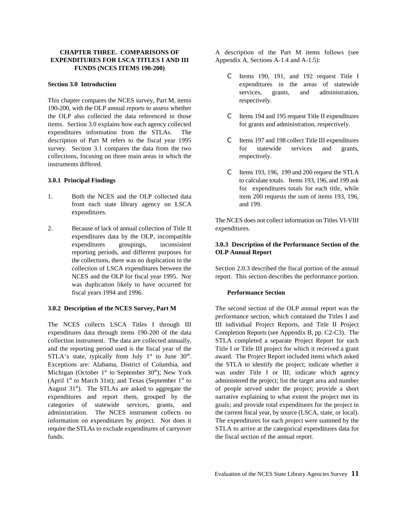## **EXPENDITURES FOR LSCA TITLES I AND III** Appendix A, Sections A-1.4 and A-1.5): **FUNDS (NCES ITEMS 190-200)**

This chapter compares the NCES survey, Part M, items respectively. 190-200, with the OLP annual reports to assess whether the OLP also collected the data referenced in those C Items 194 and 195 request Title II expenditures items. Section 3.0 explains how each agency collected for grants and administration, respectively. expenditures information from the STLAs. The description of Part M refers to the fiscal year 1995 C Items 197 and 198 collect Title III expenditures survey. Section 3.1 compares the data from the two for statewide services and grants, collections, focusing on three main areas in which the respectively. instruments differed.

- 1. Both the NCES and the OLP collected data item 200 requests the sum of items 193, 196, from each state library agency on LSCA and 199. expenditures.
- 2. Because of lack of annual collection of Title II expenditures. expenditures data by the OLP, incompatible reporting periods, and different purposes for **OLP Annual Report** the collections, there was no duplication in the was duplication likely to have occurred for fiscal years 1994 and 1996. **Performance Section**

expenditures data through items 190-200 of the data Completion Reports (see Appendix B, pp. C2-C3). The collection instrument. The data are collected annually, STLA completed a separate Project Report for each and the reporting period used is the fiscal year of the Title I or Title III project for which it received a grant STLA's state, typically from July  $1<sup>st</sup>$  to June 30<sup>th</sup>. award. The Project Report included items which asked Exceptions are: Alabama, District of Columbia, and the STLA to identify the project; indicate whether it Michigan (October 1<sup>st</sup> to September 30<sup>th</sup>); New York was under Title I or III; indicate which agency (April  $1<sup>st</sup>$  to March 31st); and Texas (September  $1<sup>st</sup>$  to administered the project; list the target area and number August 31<sup>st</sup>). The STLAs are asked to aggregate the of people served under the project; provide a short expenditures and report them, grouped by the narrative explaining to what extent the project met its categories of statewide services, grants, and goals; and provide total expenditures for the project in administration. The NCES instrument collects no the current fiscal year, by source (LSCA, state, or local). information on expenditures by project. Nor does it The expenditures for each project were summed by the require the STLAs to exclude expenditures of carryover STLA to arrive at the categorical expenditures data for funds. the fiscal section of the annual report.

**CHAPTER THREE. COMPARISONS OF** A description of the Part M items follows (see

- **Section 3.0 Introduction** expenditures in the areas of statewide C Items 190, 191, and 192 request Title I services, grants, and administration,
	-
	-
- **3.0.1 Principal Findings** to calculate totals. Items 193, 196, and 199 ask C Items 193, 196, 199 and 200 request the STLA for expenditures totals for each title, while

The NCES does not collect information on Titles VI-VIII

# expenditures groupings, inconsistent **3.0.3 Description of the Performance Section of the**

collection of LSCA expenditures between the Section 2.0.3 described the fiscal portion of the annual NCES and the OLP for fiscal year 1995. Nor report. This section describes the performance portion.

**3.0.2 Description of the NCES Survey, Part M** The second section of the OLP annual report was the The NCES collects LSCA Titles I through III III individual Project Reports, and Title II Project performance section, which contained the Titles I and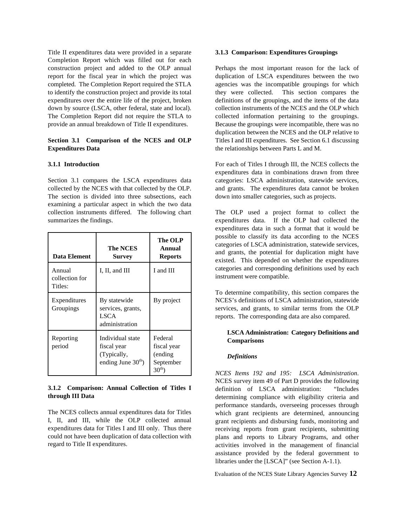Title II expenditures data were provided in a separate **3.1.3 Comparison: Expenditures Groupings** Completion Report which was filled out for each construction project and added to the OLP annual Perhaps the most important reason for the lack of report for the fiscal year in which the project was duplication of LSCA expenditures between the two completed. The Completion Report required the STLA agencies was the incompatible groupings for which completed. The Completion Report required the STLA to identify the construction project and provide its total they were collected. This section compares the expenditures over the entire life of the project, broken definitions of the groupings, and the items of the data down by source (LSCA, other federal, state and local). collection instruments of the NCES and the OLP which The Completion Report did not require the STLA to collected information pertaining to the groupings. provide an annual breakdown of Title II expenditures. Because the groupings were incompatible, there was no

# **Expenditures Data** the relationships between Parts L and M.

collected by the NCES with that collected by the OLP. and grants. The expenditures data cannot be broken The section is divided into three subsections, each down into smaller categories, such as projects. examining a particular aspect in which the two data collection instruments differed. The following chart The OLP used a project format to collect the summarizes the findings. The summarizes the findings. Expenditures data. If the OLP had collected the

| Data Element                        | <b>The NCES</b><br><b>Survey</b>                                       | The OLP<br>Annual<br><b>Reports</b>                            |
|-------------------------------------|------------------------------------------------------------------------|----------------------------------------------------------------|
| Annual<br>collection for<br>Titles: | I, II, and III                                                         | I and III                                                      |
| Expenditures<br>Groupings           | By statewide<br>services, grants,<br><b>LSCA</b><br>administration     | By project                                                     |
| Reporting<br>period                 | Individual state<br>fiscal year<br>(Typically,<br>ending June $30th$ ) | Federal<br>fiscal year<br>(ending)<br>September<br>$30^{th}$ ) |

### **3.1.2 Comparison: Annual Collection of Titles I through III Data**

The NCES collects annual expenditures data for Titles I, II, and III, while the OLP collected annual expenditures data for Titles I and III only. Thus there could not have been duplication of data collection with regard to Title II expenditures.

**Section 3.1 Comparison of the NCES and OLP** Titles I and III expenditures. See Section 6.1 discussing duplication between the NCES and the OLP relative to

**3.1.1 Introduction** For each of Titles I through III, the NCES collects the Section 3.1 compares the LSCA expenditures data categories: LSCA administration, statewide services, expenditures data in combinations drawn from three

> expenditures data in such a format that it would be possible to classify its data according to the NCES categories of LSCA administration, statewide services, and grants, the potential for duplication might have existed. This depended on whether the expenditures categories and corresponding definitions used by each instrument were compatible.

> To determine compatibility, this section compares the NCES's definitions of LSCA administration, statewide services, and grants, to similar terms from the OLP reports. The corresponding data are also compared.

### **LSCA Administration: Category Definitions and Comparisons**

### *Definitions*

*NCES Items 192 and 195: LSCA Administration*. NCES survey item 49 of Part D provides the following definition of LSCA administration: "Includes determining compliance with eligibility criteria and performance standards, overseeing processes through which grant recipients are determined, announcing grant recipients and disbursing funds, monitoring and receiving reports from grant recipients, submitting plans and reports to Library Programs, and other activities involved in the management of financial assistance provided by the federal government to libraries under the [LSCA]" (see Section A-1.1).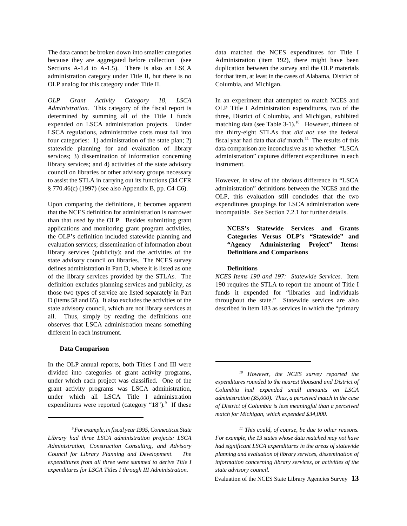The data cannot be broken down into smaller categories data matched the NCES expenditures for Title I because they are aggregated before collection (see Administration (item 192), there might have been Sections A-1.4 to A-1.5). There is also an LSCA duplication between the survey and the OLP materials administration category under Title II, but there is no for that item, at least in the cases of Alabama, District of OLP analog for this category under Title II. Columbia, and Michigan.

*Administration.* This category of the fiscal report is OLP Title I Administration expenditures, two of the determined by summing all of the Title I funds three, District of Columbia, and Michigan, exhibited expended on LSCA administration projects. Under LSCA regulations, administrative costs must fall into the thirty-eight STLAs that *did not* use the federal four categories: 1) administration of the state plan; 2) fiscal year had data that *did* match.<sup>11</sup> The results of this statewide planning for and evaluation of library data comparison are inconclusive as to whether "LSCA services; 3) dissemination of information concerning administration" captures different expenditures in each library services; and 4) activities of the state advisory instrument. council on libraries or other advisory groups necessary to assist the STLA in carrying out its functions (34 CFR However, in view of the obvious difference in "LSCA § 770.46(c) (1997) (see also Appendix B, pp. C4-C6). administration" definitions between the NCES and the

that the NCES definition for administration is narrower incompatible. See Section 7.2.1 for further details. than that used by the OLP. Besides submitting grant applications and monitoring grant program activities, **NCES's Statewide Services and Grants** the OLP's definition included statewide planning and **Categories Versus OLP's "Statewide" and** evaluation services; dissemination of information about **"Agency Administering Project" Items:** library services (publicity); and the activities of the **Definitions and Comparisons** state advisory council on libraries. The NCES survey defines administration in Part D, where it is listed as one **Definitions** of the library services provided by the STLAs. The *NCES Items 190 and 197: Statewide Services.* Item definition excludes planning services and publicity, as 190 requires the STLA to report the amount of Title I those two types of service are listed separately in Part funds it expended for "libraries and individuals D (items 58 and 65). It also excludes the activities of the throughout the state." Statewide services are also state advisory council, which are not library services at described in item 183 as services in which the "primary all. Thus, simply by reading the definitions one observes that LSCA administration means something different in each instrument.

### **Data Comparison**

In the OLP annual reports, both Titles I and III were divided into categories of grant activity programs, under which each project was classified. One of the grant activity programs was LSCA administration, under which all LSCA Title I administration expenditures were reported (category " $18$ ").<sup>9</sup> If these

*OLP Grant Activity Category 18, LSCA* In an experiment that attempted to match NCES and matching data (see Table  $3-1$ ).<sup>10</sup> However, thirteen of

Upon comparing the definitions, it becomes apparent expenditures groupings for LSCA administration were OLP, this evaluation still concludes that the two

<sup>&</sup>lt;sup>9</sup> For example, in fiscal year 1995, Connecticut State *expenditures for LSCA Titles I through III Administration. state advisory council.*

*However, the NCES survey reported the 10 expenditures rounded to the nearest thousand and District of Columbia had expended small amounts on LSCA administration (\$5,000). Thus, a perceived match in the case of District of Columbia is less meaningful than a perceived match for Michigan, which expended \$34,000.*

*For example, in fiscal year 1995, Connecticut State* This could, of course, be due to other reasons. *Library had three LSCA administration projects: LSCA For example, the 13 states whose data matched may not have Administration, Construction Consulting, and Advisory had significant LSCA expenditures in the areas of statewide Council for Library Planning and Development. The planning and evaluation of library services, dissemination of expenditures from all three were summed to derive Title I information concerning library services, or activities of the*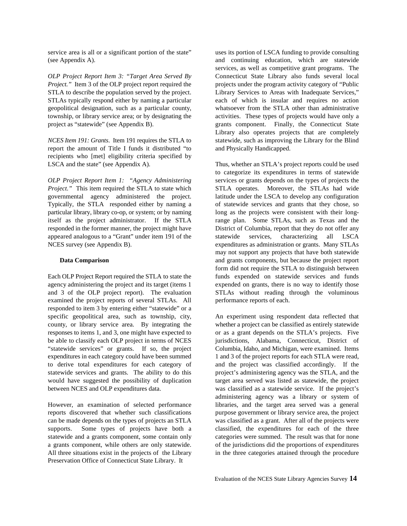service area is all or a significant portion of the state" uses its portion of LSCA funding to provide consulting

*Project.*" Item 3 of the OLP project report required the projects under the program activity category of "Public" STLA to describe the population served by the project. Library Services to Areas with Inadequate Services," STLAs typically respond either by naming a particular each of which is insular and requires no action geopolitical designation, such as a particular county, whatsoever from the STLA other than administrative township, or library service area; or by designating the activities. These types of projects would have only a project as "statewide" (see Appendix B). grants component. Finally, the Connecticut State

report the amount of Title I funds it distributed "to and Physically Handicapped. recipients who [met] eligibility criteria specified by LSCA and the state" (see Appendix A). Thus, whether an STLA's project reports could be used

*Project.*" This item required the STLA to state which STLA operates. Moreover, the STLAs had wide governmental agency administered the project. latitude under the LSCA to develop any configuration Typically, the STLA responded either by naming a of statewide services and grants that they chose, so particular library, library co-op, or system; or by naming long as the projects were consistent with their longitself as the project administrator. If the STLA range plan. Some STLAs, such as Texas and the responded in the former manner, the project might have District of Columbia, report that they do not offer any appeared analogous to a "Grant" under item 191 of the statewide services, characterizing all LSCA NCES survey (see Appendix B). expenditures as administration or grants. Many STLAs

agency administering the project and its target (items 1 expended on grants, there is no way to identify those and 3 of the OLP project report). The evaluation STLAs without reading through the voluminous examined the project reports of several STLAs. All performance reports of each. responded to item 3 by entering either "statewide" or a specific geopolitical area, such as township, city, An experiment using respondent data reflected that county, or library service area. By integrating the whether a project can be classified as entirely statewide responses to items 1, and 3, one might have expected to or as a grant depends on the STLA's projects. Five be able to classify each OLP project in terms of NCES iurisdictions, Alabama, Connecticut, District of "statewide services" or grants. If so, the project Columbia, Idaho, and Michigan, were examined. Items expenditures in each category could have been summed 1 and 3 of the project reports for each STLA were read, to derive total expenditures for each category of and the project was classified accordingly. If the statewide services and grants. The ability to do this project's administering agency was the STLA, and the would have suggested the possibility of duplication target area served was listed as statewide, the project between NCES and OLP expenditures data. was classified as a statewide service. If the project's

reports discovered that whether such classifications purpose government or library service area, the project can be made depends on the types of projects an STLA was classified as a grant. After all of the projects were supports. Some types of projects have both a classified, the expenditures for each of the three statewide and a grants component, some contain only categories were summed. The result was that for none a grants component, while others are only statewide. of the jurisdictions did the proportions of expenditures All three situations exist in the projects of the Library in the three categories attained through the procedure Preservation Office of Connecticut State Library. It

(see Appendix A). and continuing education, which are statewide *OLP Project Report Item 3: "Target Area Served By* Connecticut State Library also funds several local *NCES Item 191: Grants*. Item 191 requires the STLA to statewide, such as improving the Library for the Blind services, as well as competitive grant programs. The Library also operates projects that are completely

*OLP Project Report Item 1: "Agency Administering* services or grants depends on the types of projects the **Data Comparison** and grants components, but because the project report Each OLP Project Report required the STLA to state the funds expended on statewide services and funds to categorize its expenditures in terms of statewide may not support any projects that have both statewide form did not require the STLA to distinguish between

However, an examination of selected performance libraries, and the target area served was a general administering agency was a library or system of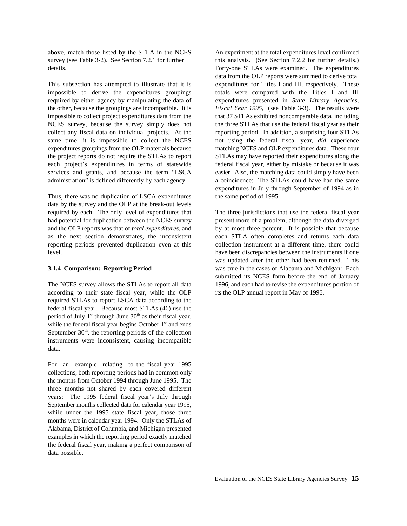above, match those listed by the STLA in the NCES An experiment at the total expenditures level confirmed survey (see Table 3-2). See Section 7.2.1 for further this analysis. (See Section 7.2.2 for further details.) details. Forty-one STLAs were examined. The expenditures

This subsection has attempted to illustrate that it is expenditures for Titles I and III, respectively. These impossible to derive the expenditures groupings totals were compared with the Titles I and III required by either agency by manipulating the data of expenditures presented in *State Library Agencies,* the other, because the groupings are incompatible. It is *Fiscal Year 1995*, (see Table 3-3). The results were impossible to collect project expenditures data from the that 37 STLAs exhibited noncomparable data, including NCES survey, because the survey simply does not the three STLAs that use the federal fiscal year as their collect any fiscal data on individual projects. At the reporting period. In addition, a surprising four STLAs same time, it is impossible to collect the NCES not using the federal fiscal year, *did* experience expenditures groupings from the OLP materials because matching NCES and OLP expenditures data. These four the project reports do not require the STLAs to report STLAs may have reported their expenditures along the each project's expenditures in terms of statewide federal fiscal year, either by mistake or because it was services and grants, and because the term "LSCA easier. Also, the matching data could simply have been administration" is defined differently by each agency. a coincidence: The STLAs could have had the same

Thus, there was no duplication of LSCA expenditures the same period of 1995. data by the survey and the OLP at the break-out levels required by each. The only level of expenditures that The three jurisdictions that use the federal fiscal year had potential for duplication between the NCES survey present more of a problem, although the data diverged and the OLP reports was that of *total expenditures*, and by at most three percent. It is possible that because as the next section demonstrates, the inconsistent each STLA often completes and returns each data reporting periods prevented duplication even at this collection instrument at a different time, there could level. have been discrepancies between the instruments if one

according to their state fiscal year, while the OLP its the OLP annual report in May of 1996. required STLAs to report LSCA data according to the federal fiscal year. Because most STLAs (46) use the period of July  $1<sup>st</sup>$  through June  $30<sup>th</sup>$  as their fiscal year, while the federal fiscal year begins October  $1<sup>st</sup>$  and ends September  $30<sup>th</sup>$ , the reporting periods of the collection instruments were inconsistent, causing incompatible data.

For an example relating to the fiscal year 1995 collections, both reporting periods had in common only the months from October 1994 through June 1995. The three months not shared by each covered different years: The 1995 federal fiscal year's July through September months collected data for calendar year 1995, while under the 1995 state fiscal year, those three months were in calendar year 1994. Only the STLAs of Alabama, District of Columbia, and Michigan presented examples in which the reporting period exactly matched the federal fiscal year, making a perfect comparison of data possible.

data from the OLP reports were summed to derive total expenditures in July through September of 1994 as in

**3.1.4 Comparison: Reporting Period** was true in the cases of Alabama and Michigan: Each The NCES survey allows the STLAs to report all data 1996, and each had to revise the expenditures portion of was updated after the other had been returned. This submitted its NCES form before the end of January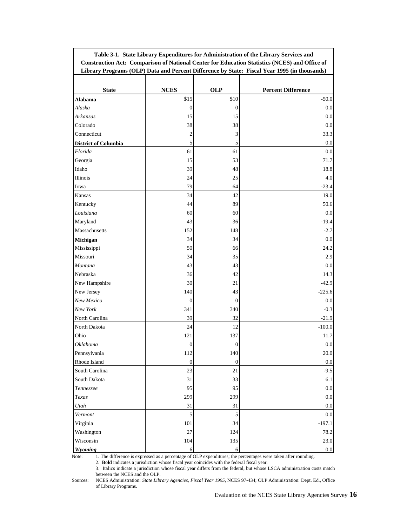| <b>Construction Act: Comparison of National Center for Education Statistics (NCES) and Office of</b><br>Library Programs (OLP) Data and Percent Difference by State: Fiscal Year 1995 (in thousands) |                  |                  |                           |  |  |
|------------------------------------------------------------------------------------------------------------------------------------------------------------------------------------------------------|------------------|------------------|---------------------------|--|--|
| <b>State</b>                                                                                                                                                                                         | <b>NCES</b>      | <b>OLP</b>       | <b>Percent Difference</b> |  |  |
| Alabama                                                                                                                                                                                              | \$15             | \$10             | $-50.0$                   |  |  |
| Alaska                                                                                                                                                                                               | 0                | $\mathbf{0}$     | 0.0                       |  |  |
| Arkansas                                                                                                                                                                                             | 15               | 15               | 0.0                       |  |  |
| Colorado                                                                                                                                                                                             | 38               | 38               | 0.0                       |  |  |
| Connecticut                                                                                                                                                                                          | 2                | 3                | 33.3                      |  |  |
| <b>District of Columbia</b>                                                                                                                                                                          | $\mathfrak s$    | 5                | 0.0                       |  |  |
| Florida                                                                                                                                                                                              | 61               | 61               | 0.0                       |  |  |
| Georgia                                                                                                                                                                                              | 15               | 53               | 71.7                      |  |  |
| Idaho                                                                                                                                                                                                | 39               | 48               | 18.8                      |  |  |
| Illinois                                                                                                                                                                                             | 24               | 25               | 4.0                       |  |  |
| Iowa                                                                                                                                                                                                 | 79               | 64               | $-23.4$                   |  |  |
| Kansas                                                                                                                                                                                               | 34               | 42               | 19.0                      |  |  |
| Kentucky                                                                                                                                                                                             | 44               | 89               | 50.6                      |  |  |
| Louisiana                                                                                                                                                                                            | 60               | 60               | 0.0                       |  |  |
| Maryland                                                                                                                                                                                             | 43               | 36               | $-19.4$                   |  |  |
| Massachusetts                                                                                                                                                                                        | 152              | 148              | $-2.7$                    |  |  |
| Michigan                                                                                                                                                                                             | 34               | 34               | 0.0                       |  |  |
| Mississippi                                                                                                                                                                                          | 50               | 66               | 24.2                      |  |  |
| Missouri                                                                                                                                                                                             | 34               | 35               | 2.9                       |  |  |
| Montana                                                                                                                                                                                              | 43               | 43               | 0.0                       |  |  |
| Nebraska                                                                                                                                                                                             | 36               | 42               | 14.3                      |  |  |
| New Hampshire                                                                                                                                                                                        | 30               | 21               | $-42.9$                   |  |  |
| New Jersey                                                                                                                                                                                           | 140              | 43               | $-225.6$                  |  |  |
| New Mexico                                                                                                                                                                                           | $\mathbf{0}$     | $\boldsymbol{0}$ | 0.0                       |  |  |
| New York                                                                                                                                                                                             | 341              | 340              | $-0.3$                    |  |  |
| North Carolina                                                                                                                                                                                       | 39               | 32               | $-21.9$                   |  |  |
| North Dakota                                                                                                                                                                                         | 24               | 12               | $-100.0$                  |  |  |
| Ohio                                                                                                                                                                                                 | 121              | 137              | 11.7                      |  |  |
| <b>Oklahoma</b>                                                                                                                                                                                      | $\mathbf{0}$     | $\mathbf{0}$     | 0.0                       |  |  |
| Pennsylvania                                                                                                                                                                                         | 112              | 140              | 20.0                      |  |  |
| Rhode Island                                                                                                                                                                                         | $\boldsymbol{0}$ | $\bf{0}$         | $0.0\,$                   |  |  |
| South Carolina                                                                                                                                                                                       | 23               | 21               | $-9.5$                    |  |  |
| South Dakota                                                                                                                                                                                         | 31               | 33               | 6.1                       |  |  |
| Tennessee                                                                                                                                                                                            | 95               | 95               | 0.0                       |  |  |
| Texas                                                                                                                                                                                                | 299              | 299              | 0.0                       |  |  |
| Utah                                                                                                                                                                                                 | 31               | 31               | 0.0                       |  |  |
| Vermont                                                                                                                                                                                              | 5                | 5                | 0.0                       |  |  |
| Virginia                                                                                                                                                                                             | 101              | 34               | $-197.1$                  |  |  |
| Washington                                                                                                                                                                                           | $27\,$           | 124              | 78.2                      |  |  |
| Wisconsin                                                                                                                                                                                            | 104              | 135              | 23.0                      |  |  |
| Wyoming                                                                                                                                                                                              | 6                | 6                | 0.0                       |  |  |

**Table 3-1. State Library Expenditures for Administration of the Library Services and**

Note: 1. The difference is expressed as a percentage of OLP expenditures; the percentages were taken after rounding.

2. **Bold** indicates a jurisdiction whose fiscal year coincides with the federal fiscal year.

3. Italics indicate a jurisdiction whose fiscal year differs from the federal, but whose LSCA administration costs match between the NCES and the OLP.

Sources: NCES Administration: *State Library Agencies, Fiscal Year 1995,* NCES 97-434; OLP Administration: Dept. Ed., Office of Library Programs.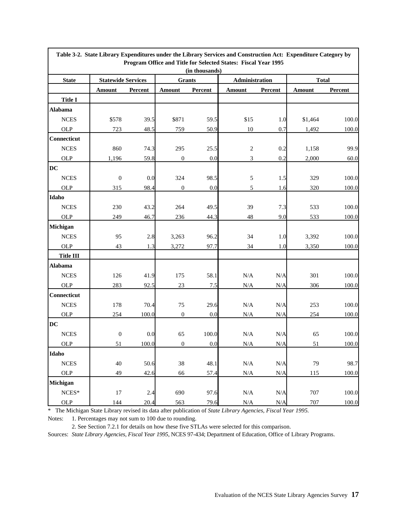|                    |                           |         |                  |                | Table 3-2. State Library Expenditures under the Library Services and Construction Act: Expenditure Category by<br>Program Office and Title for Selected States: Fiscal Year 1995 |                |               |              |  |
|--------------------|---------------------------|---------|------------------|----------------|----------------------------------------------------------------------------------------------------------------------------------------------------------------------------------|----------------|---------------|--------------|--|
|                    |                           |         |                  | (in thousands) |                                                                                                                                                                                  |                |               |              |  |
| <b>State</b>       | <b>Statewide Services</b> |         | <b>Grants</b>    |                |                                                                                                                                                                                  | Administration |               | <b>Total</b> |  |
|                    | <b>Amount</b>             | Percent | <b>Amount</b>    | Percent        | <b>Amount</b>                                                                                                                                                                    | Percent        | <b>Amount</b> | Percent      |  |
| <b>Title I</b>     |                           |         |                  |                |                                                                                                                                                                                  |                |               |              |  |
| <b>Alabama</b>     |                           |         |                  |                |                                                                                                                                                                                  |                |               |              |  |
| <b>NCES</b>        | \$578                     | 39.5    | \$871            | 59.5           | \$15                                                                                                                                                                             | 1.0            | \$1,464       | 100.0        |  |
| <b>OLP</b>         | 723                       | 48.5    | 759              | 50.9           | 10                                                                                                                                                                               | 0.7            | 1,492         | 100.0        |  |
| Connecticut        |                           |         |                  |                |                                                                                                                                                                                  |                |               |              |  |
| ${\rm NCES}$       | 860                       | 74.3    | 295              | 25.5           | $\sqrt{2}$                                                                                                                                                                       | 0.2            | 1,158         | 99.9         |  |
| <b>OLP</b>         | 1,196                     | 59.8    | $\boldsymbol{0}$ | 0.0            | 3                                                                                                                                                                                | 0.2            | 2,000         | 60.0         |  |
| DC                 |                           |         |                  |                |                                                                                                                                                                                  |                |               |              |  |
| ${\rm NCES}$       | $\boldsymbol{0}$          | 0.0     | 324              | 98.5           | $\sqrt{5}$                                                                                                                                                                       | 1.5            | 329           | 100.0        |  |
| <b>OLP</b>         | 315                       | 98.4    | $\boldsymbol{0}$ | 0.0            | 5                                                                                                                                                                                | 1.6            | 320           | 100.0        |  |
| Idaho              |                           |         |                  |                |                                                                                                                                                                                  |                |               |              |  |
| <b>NCES</b>        | 230                       | 43.2    | 264              | 49.5           | 39                                                                                                                                                                               | 7.3            | 533           | 100.0        |  |
| <b>OLP</b>         | 249                       | 46.7    | 236              | 44.3           | 48                                                                                                                                                                               | 9.0            | 533           | 100.0        |  |
| Michigan           |                           |         |                  |                |                                                                                                                                                                                  |                |               |              |  |
| <b>NCES</b>        | 95                        | 2.8     | 3,263            | 96.2           | 34                                                                                                                                                                               | 1.0            | 3,392         | 100.0        |  |
| <b>OLP</b>         | 43                        | 1.3     | 3,272            | 97.7           | 34                                                                                                                                                                               | 1.0            | 3,350         | 100.0        |  |
| <b>Title III</b>   |                           |         |                  |                |                                                                                                                                                                                  |                |               |              |  |
| <b>Alabama</b>     |                           |         |                  |                |                                                                                                                                                                                  |                |               |              |  |
| ${\rm NCES}$       | 126                       | 41.9    | 175              | 58.1           | $\rm N/A$                                                                                                                                                                        | N/A            | 301           | 100.0        |  |
| <b>OLP</b>         | 283                       | 92.5    | 23               | 7.5            | N/A                                                                                                                                                                              | N/A            | 306           | 100.0        |  |
| <b>Connecticut</b> |                           |         |                  |                |                                                                                                                                                                                  |                |               |              |  |
| ${\rm NCES}$       | 178                       | 70.4    | 75               | 29.6           | $\rm N/A$                                                                                                                                                                        | N/A            | 253           | 100.0        |  |
| <b>OLP</b>         | 254                       | 100.0   | $\boldsymbol{0}$ | 0.0            | N/A                                                                                                                                                                              | N/A            | 254           | 100.0        |  |
| DC                 |                           |         |                  |                |                                                                                                                                                                                  |                |               |              |  |
| ${\rm NCES}$       | $\boldsymbol{0}$          | 0.0     | 65               | 100.0          | $\rm N/A$                                                                                                                                                                        | N/A            | 65            | 100.0        |  |
| <b>OLP</b>         | 51                        | 100.0   | $\boldsymbol{0}$ | 0.0            | N/A                                                                                                                                                                              | N/A            | 51            | 100.0        |  |
| Idaho              |                           |         |                  |                |                                                                                                                                                                                  |                |               |              |  |
| ${\rm NCES}$       | 40                        | 50.6    | 38               | 48.1           | $\rm N/A$                                                                                                                                                                        | $\rm N/A$      | 79            | 98.7         |  |
| <b>OLP</b>         | 49                        | 42.6    | 66               | 57.4           | $\rm N/A$                                                                                                                                                                        | N/A            | 115           | 100.0        |  |
| Michigan           |                           |         |                  |                |                                                                                                                                                                                  |                |               |              |  |
| $NCES*$            | 17                        | 2.4     | 690              | 97.6           | $\rm N/A$                                                                                                                                                                        | N/A            | 707           | 100.0        |  |
| OLP                | 144                       | 20.4    | 563              | 79.6           | $\rm N/A$                                                                                                                                                                        | N/A            | 707           | 100.0        |  |

\* The Michigan State Library revised its data after publication of *State Library Agencies, Fiscal Year 1995.*

Notes: 1. Percentages may not sum to 100 due to rounding.

ľ

2. See Section 7.2.1 for details on how these five STLAs were selected for this comparison.

Sources: *State Library Agencies, Fiscal Year 1995*, NCES 97-434; Department of Education, Office of Library Programs.

٦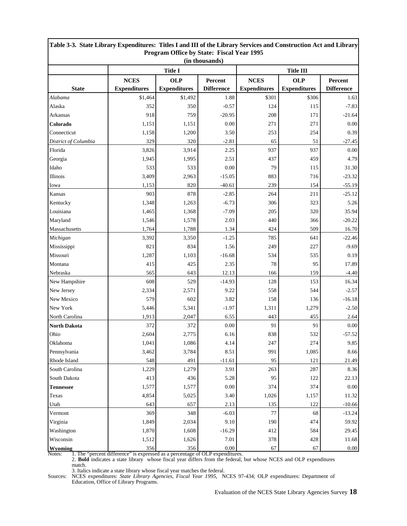| Table 3-5. State Library Expenditures: Thies I and III of the Library Services and Construction Act and Library<br>Program Office by State: Fiscal Year 1995<br>(in thousands) |                     |                     |                   |                     |                     |                   |
|--------------------------------------------------------------------------------------------------------------------------------------------------------------------------------|---------------------|---------------------|-------------------|---------------------|---------------------|-------------------|
|                                                                                                                                                                                |                     | <b>Title I</b>      | <b>Title III</b>  |                     |                     |                   |
|                                                                                                                                                                                | <b>NCES</b>         | <b>OLP</b>          | Percent           | <b>NCES</b>         | <b>OLP</b>          | Percent           |
| <b>State</b>                                                                                                                                                                   | <b>Expenditures</b> | <b>Expenditures</b> | <b>Difference</b> | <b>Expenditures</b> | <b>Expenditures</b> | <b>Difference</b> |
| Alabama                                                                                                                                                                        | \$1,464             | \$1,492             | 1.88              | \$301               | \$306               | 1.63              |
| Alaska                                                                                                                                                                         | 352                 | 350                 | $-0.57$           | 124                 | 115                 | $-7.83$           |
| Arkansas                                                                                                                                                                       | 918                 | 759                 | $-20.95$          | 208                 | 171                 | $-21.64$          |
| Colorado                                                                                                                                                                       | 1,151               | 1,151               | 0.00              | 271                 | 271                 | 0.00              |
| Connecticut                                                                                                                                                                    | 1,158               | 1,200               | 3.50              | 253                 | 254                 | 0.39              |
| District of Columbia                                                                                                                                                           | 329                 | 320                 | $-2.81$           | 65                  | 51                  | $-27.45$          |
| Florida                                                                                                                                                                        | 3,826               | 3,914               | 2.25              | 937                 | 937                 | 0.00              |
| Georgia                                                                                                                                                                        | 1,945               | 1,995               | 2.51              | 437                 | 459                 | 4.79              |
| Idaho                                                                                                                                                                          | 533                 | 533                 | 0.00              | 79                  | 115                 | 31.30             |
| Illinois                                                                                                                                                                       | 3,409               | 2,963               | $-15.05$          | 883                 | 716                 | $-23.32$          |
| Iowa                                                                                                                                                                           | 1,153               | 820                 | $-40.61$          | 239                 | 154                 | $-55.19$          |
| Kansas                                                                                                                                                                         | 903                 | 878                 | $-2.85$           | 264                 | 211                 | $-25.12$          |
| Kentucky                                                                                                                                                                       | 1,348               | 1,263               | $-6.73$           | 306                 | 323                 | 5.26              |
| Louisiana                                                                                                                                                                      | 1,465               | 1,368               | $-7.09$           | 205                 | 320                 | 35.94             |
| Maryland                                                                                                                                                                       | 1,546               | 1,578               | 2.03              | 440                 | 366                 | $-20.22$          |
| Massachusetts                                                                                                                                                                  | 1,764               | 1,788               | 1.34              | 424                 | 509                 | 16.70             |
| Michigan                                                                                                                                                                       | 3,392               | 3,350               | $-1.25$           | 785                 | 641                 | $-22.46$          |
| Mississippi                                                                                                                                                                    | 821                 | 834                 | 1.56              | 249                 | 227                 | $-9.69$           |
| Missouri                                                                                                                                                                       | 1,287               | 1,103               | $-16.68$          | 534                 | 535                 | 0.19              |
| Montana                                                                                                                                                                        | 415                 | 425                 | 2.35              | 78                  | 95                  | 17.89             |
| Nebraska                                                                                                                                                                       | 565                 | 643                 | 12.13             | 166                 | 159                 | $-4.40$           |
| New Hampshire                                                                                                                                                                  | 608                 | 529                 | $-14.93$          | 128                 | 153                 | 16.34             |
| New Jersey                                                                                                                                                                     | 2,334               | 2,571               | 9.22              | 558                 | 544                 | $-2.57$           |
| New Mexico                                                                                                                                                                     | 579                 | 602                 | 3.82              | 158                 | 136                 | $-16.18$          |
| New York                                                                                                                                                                       | 5,446               | 5,341               | $-1.97$           | 1,311               | 1,279               | $-2.50$           |
| North Carolina                                                                                                                                                                 | 1,913               | 2,047               | 6.55              | 443                 | 455                 | 2.64              |
| <b>North Dakota</b>                                                                                                                                                            | 372                 | 372                 | 0.00              | 91                  | 91                  | 0.00              |
| Ohio                                                                                                                                                                           | 2,604               | 2,775               | 6.16              | 838                 | 532                 | $-57.52$          |
| Oklahoma                                                                                                                                                                       | 1,041               | 1,086               | 4.14              | 247                 | 274                 | $\bf 9.85$        |
| Pennsylvania                                                                                                                                                                   | 3,462               | 3,784               | 8.51              | 991                 | 1,085               | 8.66              |
| Rhode Island                                                                                                                                                                   | 548                 | 491                 | $-11.61$          | 95                  | 121                 | 21.49             |
| South Carolina                                                                                                                                                                 | 1,229               | 1,279               | 3.91              | 263                 | 287                 | 8.36              |
| South Dakota                                                                                                                                                                   | 413                 | 436                 | 5.28              | 95                  | 122                 | 22.13             |
| <b>Tennessee</b>                                                                                                                                                               | 1,577               | 1,577               | 0.00              | 374                 | 374                 | 0.00              |
| Texas                                                                                                                                                                          | 4,854               | 5,025               | 3.40              | 1,026               | 1,157               | 11.32             |
| Utah                                                                                                                                                                           | 643                 | 657                 | 2.13              | 135                 | 122                 | $-10.66$          |
| Vermont                                                                                                                                                                        | 369                 | 348                 | $-6.03$           | 77                  | 68                  | $-13.24$          |
| Virginia                                                                                                                                                                       | 1,849               | 2,034               | 9.10              | 190                 | 474                 | 59.92             |
| Washington                                                                                                                                                                     | 1,870               | 1,608               | $-16.29$          | 412                 | 584                 | 29.45             |
| Wisconsin                                                                                                                                                                      | 1,512               | 1,626               | 7.01              | 378                 | 428                 | 11.68             |
| Wyoming                                                                                                                                                                        | 356                 | 356                 | $0.00\,$          | 67                  | 67                  | $0.00\,$          |

# **Table 3-3. State Library Expenditures: Titles I and III of the Library Services and Construction Act and Library**

Notes: I. The "percent difference" is expressed as a percentage of OLP expenditures.

2. **Bold** indicates a state library whose fiscal year differs from the federal, but whose NCES and OLP expenditures

match.

3. Italics indicate a state library whose fiscal year matches the federal.

Sources: NCES expenditures: *State Library Agencies, Fiscal Year 1995*, NCES 97-434; OLP expenditures: Department of Education, Office of Library Programs.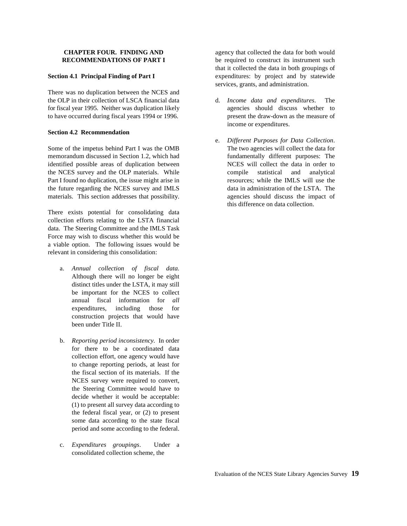There was no duplication between the NCES and the OLP in their collection of LSCA financial data d. *Income data and expenditures*. The for fiscal year 1995. Neither was duplication likely agencies should discuss whether to to have occurred during fiscal years 1994 or 1996. present the draw-down as the measure of

### **Section 4.2 Recommendation**

Some of the impetus behind Part I was the OMB The two agencies will collect the data for memorandum discussed in Section 1.2, which had fundamentally different purposes: The identified possible areas of duplication between NCES will collect the data in order to the NCES survey and the OLP materials. While compile statistical and analytical Part I found no duplication, the issue might arise in resources; while the IMLS will use the the future regarding the NCES survey and IMLS data in administration of the LSTA. The materials. This section addresses that possibility. A sequencies should discuss the impact of

There exists potential for consolidating data collection efforts relating to the LSTA financial data. The Steering Committee and the IMLS Task Force may wish to discuss whether this would be a viable option. The following issues would be relevant in considering this consolidation:

- a. *Annual collection of fiscal data.* Although there will no longer be eight distinct titles under the LSTA, it may still be important for the NCES to collect annual fiscal information for *all* expenditures, including those for construction projects that would have been under Title II.
- b. *Reporting period inconsistency.* In order for there to be a coordinated data collection effort, one agency would have to change reporting periods, at least for the fiscal section of its materials. If the NCES survey were required to convert, the Steering Committee would have to decide whether it would be acceptable: (1) to present all survey data according to the federal fiscal year, or (2) to present some data according to the state fiscal period and some according to the federal.
- c. *Expenditures groupings*. Under a consolidated collection scheme, the

**CHAPTER FOUR. FINDING AND** agency that collected the data for both would **RECOMMENDATIONS OF PART I** be required to construct its instrument such **Section 4.1 Principal Finding of Part I** expenditures: by project and by statewide that it collected the data in both groupings of services, grants, and administration.

- income or expenditures.
- e. *Different Purposes for Data Collection*. this difference on data collection.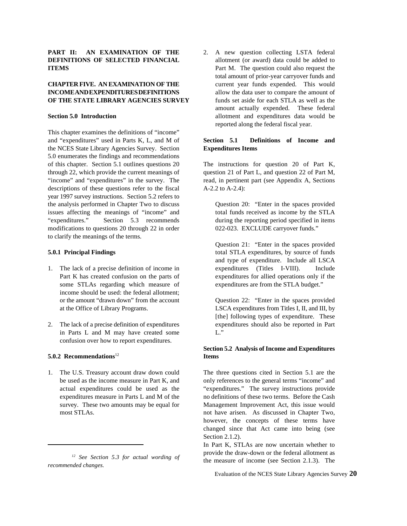### PART II: AN EXAMINATION OF THE 2. A new question collecting LSTA federal **DEFINITIONS OF SELECTED FINANCIAL** allotment (or award) data could be added to **ITEMS** Part M. The question could also request the

## **INCOMEAND EXPENDITURES DEFINITIONS** allow the data user to compare the amount of **OF THE STATE LIBRARY AGENCIES SURVEY** funds set aside for each STLA as well as the

This chapter examines the definitions of "income" and "expenditures" used in Parts K, L, and M of **Section 5.1 Definitions of Income and** the NCES State Library Agencies Survey. Section **Expenditures Items** 5.0 enumerates the findings and recommendations of this chapter. Section 5.1 outlines questions 20 The instructions for question 20 of Part K, through 22, which provide the current meanings of question 21 of Part L, and question 22 of Part M,<br>
"income" and "expenditures" in the survey. The read, in pertinent part (see Appendix A, Sections "income" and "expenditures" in the survey. The descriptions of these questions refer to the fiscal A-2.2 to A-2.4): year 1997 survey instructions. Section 5.2 refers to the analysis performed in Chapter Two to discuss Question 20: "Enter in the spaces provided issues affecting the meanings of "income" and total funds received as income by the STLA "expenditures." Section 5.3 recommends during the reporting period specified in items modifications to questions 20 through 22 in order 022-023. EXCLUDE carryover funds." to clarify the meanings of the terms.

- some STLAs regarding which measure of expenditures are from the STLA budget." income should be used: the federal allotment; or the amount "drawn down" from the account Question 22: "Enter in the spaces provided
- in Parts L and M may have created some L." confusion over how to report expenditures.

### **5.0.2 Recommendations**  $12$  **Items**

1. The U.S. Treasury account draw down could The three questions cited in Section 5.1 are the

**CHAPTER FIVE. AN EXAMINATION OF THE** current year funds expended. This would **Section 5.0 Introduction** allotment and expenditures data would be total amount of prior-year carryover funds and amount actually expended. These federal reported along the federal fiscal year.

**5.0.1 Principal Findings** total STLA expenditures, by source of funds 1. The lack of a precise definition of income in expenditures (Titles I-VIII). Include Part K has created confusion on the parts of expenditures for allied operations only if the Question 21: "Enter in the spaces provided and type of expenditure. Include all LSCA

at the Office of Library Programs. LSCA expenditures from Titles I, II, and III, by 2. The lack of a precise definition of expenditures expenditures should also be reported in Part [the] following types of expenditure. These

## **Section 5.2 Analysis of Income and Expenditures**

be used as the income measure in Part K, and only references to the general terms "income" and actual expenditures could be used as the "expenditures." The survey instructions provide expenditures measure in Parts L and M of the no definitions of these two terms. Before the Cash survey. These two amounts may be equal for Management Improvement Act, this issue would most STLAs. not have arisen. As discussed in Chapter Two, however, the concepts of these terms have changed since that Act came into being (see Section 2.1.2).

> In Part K, STLAs are now uncertain whether to provide the draw-down or the federal allotment as the measure of income (see Section 2.1.3). The

*See Section 5.3 for actual wording of 12 recommended changes.*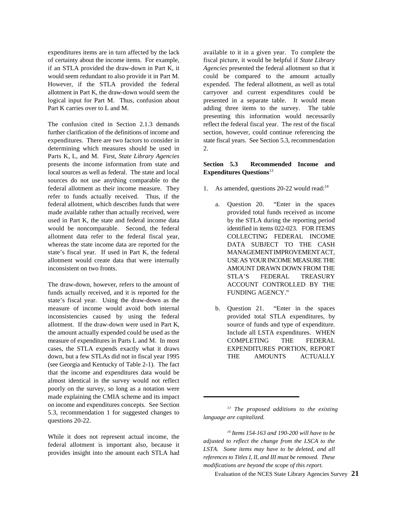expenditures items are in turn affected by the lack available to it in a given year. To complete the of certainty about the income items. For example, fiscal picture, it would be helpful if *State Library* if an STLA provided the draw-down in Part K, it *Agencies* presented the federal allotment so that it would seem redundant to also provide it in Part M. could be compared to the amount actually However, if the STLA provided the federal expended. The federal allotment, as well as total allotment in Part K, the draw-down would seem the carryover and current expenditures could be logical input for Part M. Thus, confusion about presented in a separate table. It would mean Part K carries over to L and M.  $\qquad \qquad$  adding three items to the survey. The table

further clarification of the definitions of income and section, however, could continue referencing the expenditures. There are two factors to consider in state fiscal years. See Section 5.3, recommendation determining which measures should be used in 2. Parts K, L, and M. First, *State Library Agencies* presents the income information from state and **Section 5.3 Recommended Income and** local sources as well as federal. The state and local sources do not use anything comparable to the federal allotment as their income measure. They refer to funds actually received. Thus, if the federal allotment, which describes funds that were a. Question 20. "Enter in the spaces made available rather than actually received, were provided total funds received as income used in Part K, the state and federal income data by the STLA during the reporting period would be noncomparable. Second, the federal identified in items 022-023. FOR ITEMS allotment data refer to the federal fiscal year, COLLECTING FEDERAL INCOME whereas the state income data are reported for the DATA SUBJECT TO THE CASH state's fiscal year. If used in Part K, the federal MANAGEMENTIMPROVEMENT ACT, allotment would create data that were internally USEAS YOUR INCOME MEASURE THE inconsistent on two fronts. AMOUNT DRAWN DOWN FROM THE

The draw-down, however, refers to the amount of ACCOUNT CONTROLLED BY THE funds actually received, and it is reported for the FUNDING AGENCY." state's fiscal year. Using the draw-down as the measure of income would avoid both internal b. Question 21. "Enter in the spaces inconsistencies caused by using the federal provided total STLA expenditures, by allotment. If the draw-down were used in Part K, source of funds and type of expenditure. the amount actually expended could be used as the Include all LSTA expenditures. WHEN measure of expenditures in Parts L and M. In most COMPLETING THE FEDERAL cases, the STLA expends exactly what it draws EXPENDITURES PORTION, REPORT down, but a few STLAs did not in fiscal year 1995 THE AMOUNTS ACTUALLY (see Georgia and Kentucky of Table 2-1). The fact that the income and expenditures data would be almost identical in the survey would not reflect poorly on the survey, so long as a notation were made explaining the CMIA scheme and its impact on income and expenditures concepts. See Section 5.3, recommendation 1 for suggested changes to questions 20-22.

While it does not represent actual income, the federal allotment is important also, because it provides insight into the amount each STLA had

The confusion cited in Section 2.1.3 demands reflect the federal fiscal year. The rest of the fiscal presenting this information would necessarily

## **Expenditures Questions**<sup>13</sup>

- 1. As amended, questions  $20-22$  would read:<sup>14</sup>
	- STLA'S FEDERAL TREASURY
	-

*The proposed additions to the existing 13 language are capitalized.*

*Items 154-163 and 190-200 will have to be <sup>14</sup> adjusted to reflect the change from the LSCA to the LSTA. Some items may have to be deleted, and all references to Titles I, II, and III must be removed. These modifications are beyond the scope of this report.*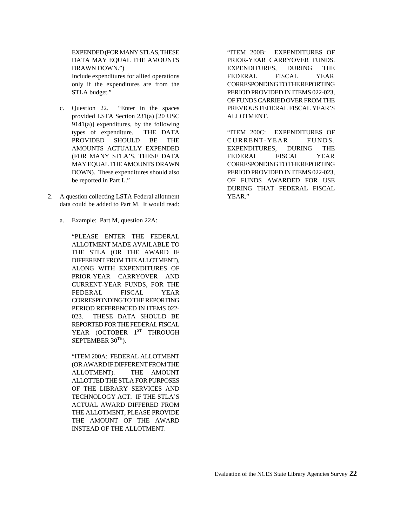EXPENDED (FOR MANY STLAS, THESE "ITEM 200B: EXPENDITURES OF

- c. Question 22. "Enter in the spaces PREVIOUS FEDERAL FISCAL YEAR'S provided LSTA Section 231(a) [20 USC ALLOTMENT.  $9141(a)$ ] expenditures, by the following types of expenditure. THE DATA "ITEM 200C: EXPENDITURES OF PROVIDED SHOULD BE THE CURRENT-YEAR FUNDS. AMOUNTS ACTUALLY EXPENDED EXPENDITURES, DURING THE (FOR MANY STLA'S, THESE DATA FEDERAL FISCAL YEAR MAYEQUAL THE AMOUNTS DRAWN CORRESPONDINGTO THE REPORTING DOWN). These expenditures should also PERIOD PROVIDED IN ITEMS 022-023,
- 2. A question collecting LSTA Federal allotment YEAR." data could be added to Part M. It would read:
	- a. Example: Part M, question 22A:

"PLEASE ENTER THE FEDERAL ALLOTMENT MADE AVAILABLE TO THE STLA (OR THE AWARD IF DIFFERENT FROM THE ALLOTMENT), ALONG WITH EXPENDITURES OF PRIOR-YEAR CARRYOVER AND CURRENT-YEAR FUNDS, FOR THE FEDERAL FISCAL YEAR CORRESPONDINGTO THE REPORTING PERIOD REFERENCED IN ITEMS 022- 023. THESE DATA SHOULD BE REPORTED FOR THE FEDERAL FISCAL YEAR (OCTOBER 1ST THROUGH SEPTEMBER  $30<sup>TH</sup>$ ).

"ITEM 200A: FEDERAL ALLOTMENT (OR AWARDIF DIFFERENT FROM THE ALLOTMENT). THE AMOUNT ALLOTTED THE STLA FOR PURPOSES OF THE LIBRARY SERVICES AND TECHNOLOGY ACT. IF THE STLA'S ACTUAL AWARD DIFFERED FROM THE ALLOTMENT, PLEASE PROVIDE THE AMOUNT OF THE AWARD INSTEAD OF THE ALLOTMENT.

DATA MAY EQUAL THE AMOUNTS PRIOR-YEAR CARRYOVER FUNDS. DRAWN DOWN.") EXPENDITURES, DURING THE Include expenditures for allied operations FEDERAL FISCAL YEAR only if the expenditures are from the CORRESPONDINGTO THE REPORTING STLA budget." PERIOD PROVIDED IN ITEMS 022-023, OF FUNDS CARRIED OVER FROM THE

be reported in Part L." OF FUNDS AWARDED FOR USE DURING THAT FEDERAL FISCAL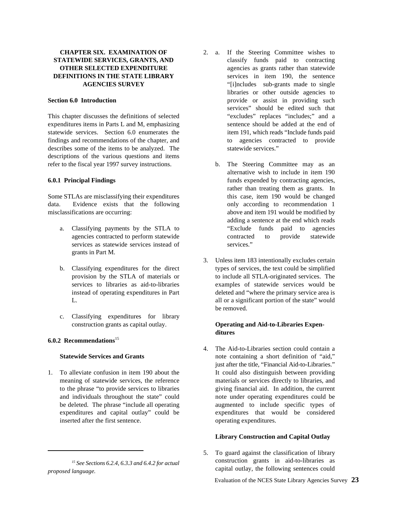This chapter discusses the definitions of selected "excludes" replaces "includes;" and a expenditures items in Parts L and M, emphasizing sentence should be added at the end of statewide services. Section 6.0 enumerates the item 191, which reads "Include funds paid findings and recommendations of the chapter, and to agencies contracted to provide describes some of the items to be analyzed. The statewide services." descriptions of the various questions and items refer to the fiscal year 1997 survey instructions. b. The Steering Committee may as an

data. Evidence exists that the following only according to recommendation 1 misclassifications are occurring: above and item 191 would be modified by

- services as statewide services instead of services." grants in Part M.
- 
- c. Classifying expenditures for library construction grants as capital outlay. **Operating and Aid-to-Libraries Expen-**

### **6.0.2 Recommendations**<sup>15</sup>

inserted after the first sentence.  $\blacksquare$ 

- **CHAPTER SIX. EXAMINATION OF** 2. a. If the Steering Committee wishes to **STATEWIDE SERVICES, GRANTS, AND** classify funds paid to contracting **OTHER SELECTED EXPENDITURE** agencies as grants rather than statewide **DEFINITIONS IN THE STATE LIBRARY** services in item 190, the sentence **AGENCIES SURVEY** "[i]ncludes sub-grants made to single **Section 6.0 Introduction provide or assist in providing such a set of the section of the section provide or assist in providing such a** libraries or other outside agencies to services" should be edited such that
- **6.0.1 Principal Findings funding terms** funds expended by contracting agencies, Some STLAs are misclassifying their expenditures this case, item 190 would be changed a. Classifying payments by the STLA to "Exclude funds paid to agencies agencies contracted to perform statewide contracted to provide statewide alternative wish to include in item 190 rather than treating them as grants. In adding a sentence at the end which reads
	- b. Classifying expenditures for the direct types of services, the text could be simplified provision by the STLA of materials or to include all STLA-originated services. The services to libraries as aid-to-libraries examples of statewide services would be instead of operating expenditures in Part deleted and "where the primary service area is L. all or a significant portion of the state" would 3. Unless item 183 intentionally excludes certain be removed.

## **ditures**

**Statewide Services and Grants** note containing a short definition of "aid," 1. To alleviate confusion in item 190 about the It could also distinguish between providing meaning of statewide services, the reference materials or services directly to libraries, and to the phrase "to provide services to libraries giving financial aid. In addition, the current and individuals throughout the state" could note under operating expenditures could be be deleted. The phrase "include all operating augmented to include specific types of expenditures and capital outlay" could be expenditures that would be considered 4. The Aid-to-Libraries section could contain a just after the title, "Financial Aid-to-Libraries."

### **Library Construction and Capital Outlay**

5. To guard against the classification of library construction grants in aid-to-libraries as capital outlay, the following sentences could

*See Sections 6.2.4, 6.3.3 and 6.4.2 for actual 15 proposed language.*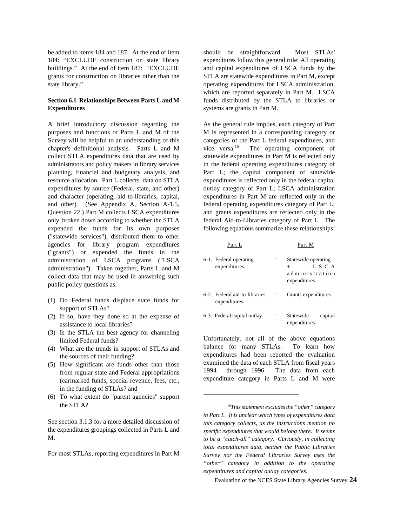be added to items 184 and 187: At the end of item should be straightforward. Most STLAs'

## **Expenditures** systems are grants in Part M.

purposes and functions of Parts L and M of the M is represented in a corresponding category or Survey will be helpful to an understanding of this categories of the Part L federal expenditures, and chapter's definitional analysis. Parts L and M vice versa.<sup>16</sup> The operating component of collect STLA expenditures data that are used by statewide expenditures in Part M is reflected only administrators and policy makers in library services in the federal operating expenditures category of planning, financial and budgetary analysis, and Part L; the capital component of statewide resource allocation. Part L collects data on STLA expenditures is reflected only in the federal capital expenditures by source (Federal, state, and other) outlay category of Part L; LSCA administration and character (operating, aid-to-libraries, capital, expenditures in Part M are reflected only in the and other). (See Appendix A, Section A-1.5, federal operating expenditures category of Part L; Question 22.) Part M collects LSCA expenditures and grants expenditures are reflected only in the only, broken down according to whether the STLA federal Aid-to-Libraries category of Part L. The expended the funds for its own purposes following equations summarize these relationships: ("statewide services"), distributed them to other agencies for library program expenditures Part L Part M ("grants") or expended the funds in the administration of LSCA programs ("LSCA administration"). Taken together, Parts L and M collect data that may be used in answering such public policy questions as:

- (1) Do Federal funds displace state funds for support of STLAs?
- (2) If so, have they done so at the expense of assistance to local libraries?
- (3) Is the STLA the best agency for channeling limited Federal funds?
- (4) What are the trends in support of STLAs and the sources of their funding?
- (5) How significant are funds other than those from regular state and Federal appropriations (earmarked funds, special revenue, fees, etc., in the funding of STLAs? and
- (6) To what extent do "parent agencies" support the STLA?

See section 3.1.3 for a more detailed discussion of the expenditures groupings collected in Parts L and M.

For most STLAs, reporting expenditures in Part M

184: "EXCLUDE construction on state library expenditures follow this general rule: All operating buildings." At the end of item 187: "EXCLUDE and capital expenditures of LSCA funds by the grants for construction on libraries other than the STLA are statewide expenditures in Part M, except state library." The contract of the contract of the contract of the contract of the contract of the contract of the contract of the contract of the contract of the contract of the contract of the contract of the contract o **Section 6.1 Relationships Between Parts L and M** funds distributed by the STLA to libraries or which are reported separately in Part M. LSCA

A brief introductory discussion regarding the As the general rule implies, each category of Part vice versa. $16$ 

| . <u>.</u>                                    |     | .                                                                       |
|-----------------------------------------------|-----|-------------------------------------------------------------------------|
| 6-1. Federal operating<br>expenditures        | $=$ | Statewide operating<br>L S C A<br>$+$<br>administration<br>expenditures |
| 6-2. Federal aid-to-libraries<br>expenditures |     | Grants expenditures                                                     |
| 6-3. Federal capital outlay                   | $=$ | Statewide<br>capital<br>expenditures                                    |

Unfortunately, not all of the above equations balance for many STLAs. To learn how expenditures had been reported the evaluation examined the data of each STLA from fiscal years 1994 through 1996. The data from each expenditure category in Parts L and M were

*This statement excludes the "other" category 16 in Part L. It is unclear which types of expenditures data this category collects, as the instructions mention no specific expenditures that would belong there. It seems to be a "catch-all" category. Curiously, in collecting total expenditures data, neither the Public Libraries Survey nor the Federal Libraries Survey uses the "other" category in addition to the operating expenditures and capital outlay categories.*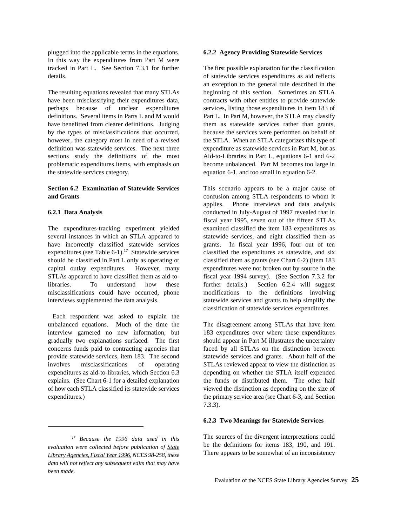plugged into the applicable terms in the equations. **6.2.2 Agency Providing Statewide Services** In this way the expenditures from Part M were tracked in Part L. See Section 7.3.1 for further The first possible explanation for the classification details. of statewide services expenditures as aid reflects

have been misclassifying their expenditures data, contracts with other entities to provide statewide perhaps because of unclear expenditures services, listing those expenditures in item 183 of definitions. Several items in Parts L and M would Part L. In Part M, however, the STLA may classify have benefitted from clearer definitions. Judging them as statewide services rather than grants, by the types of misclassifications that occurred, because the services were performed on behalf of however, the category most in need of a revised the STLA. When an STLA categorizes this type of definition was statewide services. The next three expenditure as statewide services in Part M, but as sections study the definitions of the most Aid-to-Libraries in Part L, equations 6-1 and 6-2 problematic expenditures items, with emphasis on become unbalanced. Part M becomes too large in the statewide services category. equation 6-1, and too small in equation 6-2.

### **Section 6.2 Examination of Statewide Services** This scenario appears to be a major cause of **and Grants** confusion among STLA respondents to whom it

The expenditures-tracking experiment yielded examined classified the item 183 expenditures as several instances in which an STLA appeared to statewide services, and eight classified them as have incorrectly classified statewide services grants. In fiscal year 1996, four out of ten expenditures (see Table 6-1).<sup>17</sup> Statewide services classified the expenditures as statewide, and six should be classified in Part L only as operating or classified them as grants (see Chart 6-2) (item 183 capital outlay expenditures. However, many expenditures were not broken out by source in the STLAs appeared to have classified them as aid-to- fiscal year 1994 survey). (See Section 7.3.2 for libraries. To understand how these further details.) Section 6.2.4 will suggest misclassifications could have occurred, phone modifications to the definitions involving interviews supplemented the data analysis. statewide services and grants to help simplify the

Each respondent was asked to explain the unbalanced equations. Much of the time the The disagreement among STLAs that have item interview garnered no new information, but 183 expenditures over where these expenditures gradually two explanations surfaced. The first should appear in Part M illustrates the uncertainty concerns funds paid to contracting agencies that faced by all STLAs on the distinction between provide statewide services, item 183. The second statewide services and grants. About half of the involves misclassifications of operating STLAs reviewed appear to view the distinction as expenditures as aid-to-libraries, which Section 6.3 depending on whether the STLA itself expended explains. (See Chart 6-1 for a detailed explanation the funds or distributed them. The other half of how each STLA classified its statewide services viewed the distinction as depending on the size of expenditures.) the primary service area (see Chart 6-3, and Section

The resulting equations revealed that many STLAs beginning of this section. Sometimes an STLA an exception to the general rule described in the

**6.2.1 Data Analysis b** conducted in July-August of 1997 revealed that in applies. Phone interviews and data analysis fiscal year 1995, seven out of the fifteen STLAs classification of statewide services expenditures.

7.3.3).

### **6.2.3 Two Meanings for Statewide Services**

The sources of the divergent interpretations could be the definitions for items 183, 190, and 191. There appears to be somewhat of an inconsistency

*Because the 1996 data used in this 17 evaluation were collected before publication of State Library Agencies, Fiscal Year 1996, NCES 98-258, these data will not reflect any subsequent edits that may have been made.*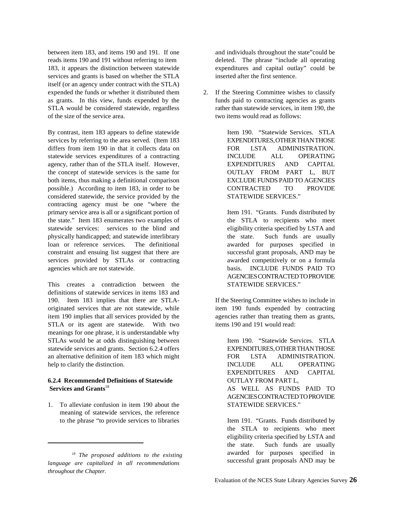between item 183, and items 190 and 191. If one and individuals throughout the state"could be reads items 190 and 191 without referring to item deleted. The phrase "include all operating 183, it appears the distinction between statewide expenditures and capital outlay" could be services and grants is based on whether the STLA inserted after the first sentence. itself (or an agency under contract with the STLA) expended the funds or whether it distributed them 2. If the Steering Committee wishes to classify as grants. In this view, funds expended by the funds paid to contracting agencies as grants STLA would be considered statewide, regardless rather than statewide services, in item 190, the of the size of the service area. two items would read as follows:

By contrast, item 183 appears to define statewide Item 190. "Statewide Services. STLA services by referring to the area served. (Item 183 EXPENDITURES, OTHER THAN THOSE differs from item 190 in that it collects data on FOR LSTA ADMINISTRATION. statewide services expenditures of a contracting INCLUDE ALL OPERATING agency, rather than of the STLA itself. However, EXPENDITURES AND CAPITAL the concept of statewide services is the same for  $\text{OUTLAY}$  FROM PART L, BUT both items, thus making a definitional comparison EXCLUDE FUNDS PAID TO AGENCIES possible.) According to item 183, in order to be CONTRACTED TO PROVIDE considered statewide, the service provided by the STATEWIDE SERVICES." contracting agency must be one "where the primary service area is all or a significant portion of Item 191. "Grants. Funds distributed by the state." Item 183 enumerates two examples of the STLA to recipients who meet statewide services: services to the blind and eligibility criteria specified by LSTA and physically handicapped; and statewide interlibrary the state. Such funds are usually loan or reference services. The definitional awarded for purposes specified in constraint and ensuing list suggest that there are successful grant proposals, AND may be services provided by STLAs or contracting awarded competitively or on a formula agencies which are not statewide. basis. INCLUDE FUNDS PAID TO

This creates a contradiction between the STATEWIDE SERVICES." definitions of statewide services in items 183 and 190. Item 183 implies that there are STLA- If the Steering Committee wishes to include in originated services that are not statewide, while item 190 funds expended by contracting item 190 implies that all services provided by the agencies rather than treating them as grants, STLA or its agent are statewide. With two items 190 and 191 would read: meanings for one phrase, it is understandable why STLAs would be at odds distinguishing between Item 190. "Statewide Services. STLA statewide services and grants. Section 6.2.4 offers EXPENDITURES, OTHER THAN THOSE an alternative definition of item 183 which might FOR LSTA ADMINISTRATION. help to clarify the distinction. INCLUDE ALL OPERATING

### **6.2.4 Recommended Definitions of Statewide OUTLAY FROM PART L,** Services and  $Grants<sup>18</sup>$

1. To alleviate confusion in item 190 about the STATEWIDE SERVICES." meaning of statewide services, the reference to the phrase "to provide services to libraries Item 191. "Grants. Funds distributed by

AGENCIESCONTRACTED TO PROVIDE

 **Services and Grants** AS WELL AS FUNDS PAID TO EXPENDITURES AND CAPITAL AGENCIESCONTRACTED TO PROVIDE

the STLA to recipients who meet eligibility criteria specified by LSTA and the state. Such funds are usually awarded for purposes specified in successful grant proposals AND may be

*The proposed additions to the existing 18 language are capitalized in all recommendations throughout the Chapter.*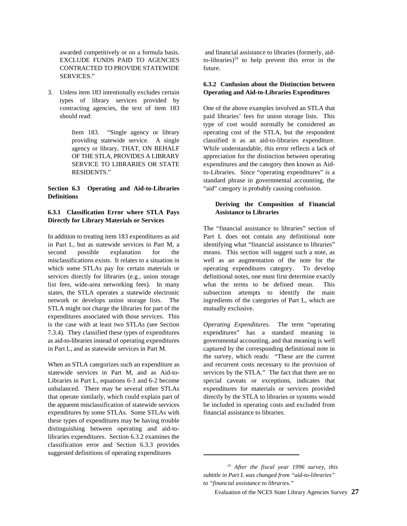CONTRACTED TO PROVIDE STATEWIDE future. SERVICES<sup>"</sup>

types of library services provided by contracting agencies, the text of item 183 One of the above examples involved an STLA that

## **Definitions**

### **6.3.1 Classification Error where STLA Pays Assistance to Libraries Directly for Library Materials or Services**

In addition to treating item 183 expenditures as aid Part L does not contain any definitional note in Part L, but as statewide services in Part M, a identifying what "financial assistance to libraries" second possible explanation for the means. This section will suggest such a note, as misclassifications exists. It relates to a situation in well as an augmentation of the note for the which some STLAs pay for certain materials or operating expenditures category. To develop services directly for libraries (e.g., union storage definitional notes, one must first determine exactly list fees, wide-area networking fees). In many what the terms to be defined mean. This states, the STLA operates a statewide electronic subsection attempts to identify the main network or develops union storage lists. The ingredients of the categories of Part L, which are STLA might not charge the libraries for part of the mutually exclusive. expenditures associated with those services. This is the case with at least two STLAs (see Section *Operating Expenditures*. The term "operating 7.3.4). They classified these types of expenditures expenditures" has a standard meaning in as aid-to-libraries instead of operating expenditures governmental accounting, and that meaning is well in Part L, and as statewide services in Part M. captured by the corresponding definitional note in

statewide services in Part M, and as Aid-to-<br>Libraries in Part L, equations 6-1 and 6-2 become special caveats or exceptions, indicates that Libraries in Part L, equations 6-1 and 6-2 become special caveats or exceptions, indicates that unbalanced. There may be several other STLAs expenditures for materials or services provided unbalanced. There may be several other STLAs that operate similarly, which could explain part of directly by the STLA to libraries or systems would the apparent misclassification of statewide services be included in operating costs and excluded from expenditures by some STLAs. Some STLAs with financial assistance to libraries. these types of expenditures may be having trouble distinguishing between operating and aid-tolibraries expenditures. Section 6.3.2 examines the classification error and Section 6.3.3 provides suggested definitions of operating expenditures

awarded competitively or on a formula basis. and financial assistance to libraries (formerly, aid-EXCLUDE FUNDS PAID TO AGENCIES to-libraries)<sup>19</sup> to help prevent this error in the

### 3. Unless item 183 intentionally excludes certain **Operating and Aid-to-Libraries Expenditures 6.3.2 Confusion about the Distinction between**

should read: paid libraries' fees for union storage lists. This Item 183. "Single agency or library operating cost of the STLA, but the respondent providing statewide service. A single classified it as an aid-to-libraries expenditure. agency or library, THAT, ON BEHALF While understandable, this error reflects a lack of OF THE STLA, PROVIDES A LIBRARY appreciation for the distinction between operating SERVICE TO LIBRARIES OR STATE expenditures and the category then known as Aid-RESIDENTS." to-Libraries. Since "operating expenditures" is a **Section 6.3 Operating and Aid-to-Libraries** "aid" category is probably causing confusion. type of cost would normally be considered an standard phrase in governmental accounting, the

## **Deriving the Composition of Financial**

The "financial assistance to libraries" section of

When an STLA categorizes such an expenditure as and recurrent costs necessary to the provision of the survey, which reads: "These are the current

*After the fiscal year 1996 survey, this 19 subtitle in Part L was changed from "aid-to-libraries" to "financial assistance to libraries."*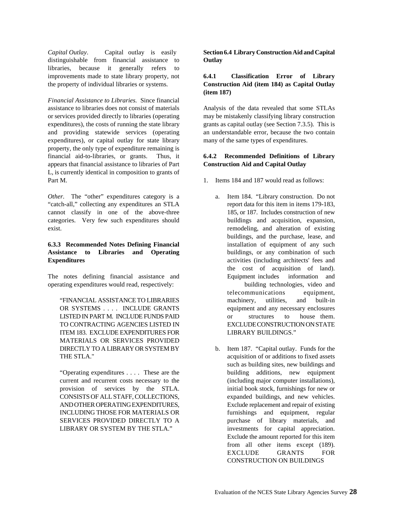distinguishable from financial assistance to **Outlay** libraries, because it generally refers to improvements made to state library property, not **6.4.1 Classification Error of Library** the property of individual libraries or systems. **Construction Aid (item 184) as Capital Outlay**

*Financial Assistance to Libraries.* Since financial assistance to libraries does not consist of materials Analysis of the data revealed that some STLAs or services provided directly to libraries (operating may be mistakenly classifying library construction expenditures), the costs of running the state library grants as capital outlay (see Section 7.3.5). This is and providing statewide services (operating an understandable error, because the two contain expenditures), or capital outlay for state library many of the same types of expenditures. property, the only type of expenditure remaining is financial aid-to-libraries, or grants. Thus, it **6.4.2 Recommended Definitions of Library** appears that financial assistance to libraries of Part **Construction Aid and Capital Outlay** L, is currently identical in composition to grants of Part M. 2. 1. Items 184 and 187 would read as follows:

*Other.* The "other" expenditures category is a a. Item 184. "Library construction. Do not "catch-all," collecting any expenditures an STLA report data for this item in items 179-183, cannot classify in one of the above-three 185, or 187. Includes construction of new categories. Very few such expenditures should buildings and acquisition, expansion, exist. **remodeling**, and alteration of existing

### **6.3.3 Recommended Notes Defining Financial** installation of equipment of any such **Assistance to Libraries and Operating buildings, or any combination of such any combination Expenditures** activities (including architects' fees and

The notes defining financial assistance and Equipment includes information and operating expenditures would read, respectively: building technologies, video and

OR SYSTEMS . . . . INCLUDE GRANTS equipment and any necessary enclosures LISTED IN PART M. INCLUDE FUNDS PAID or structures to house them. TO CONTRACTING AGENCIES LISTED IN EXCLUDE CONSTRUCTION ON STATE ITEM 183. EXCLUDE EXPENDITURES FOR LIBRARY BUILDINGS." MATERIALS OR SERVICES PROVIDED DIRECTLY TO A LIBRARY OR SYSTEM BY b. Item 187. "Capital outlay. Funds for the THE STLA." THE STLA."

current and recurrent costs necessary to the (including major computer installations), provision of services by the STLA. initial book stock, furnishings for new or CONSISTSOF ALL STAFF, COLLECTIONS, expanded buildings, and new vehicles. AND OTHER OPERATING EXPENDITURES, Exclude replacement and repair of existing INCLUDING THOSE FOR MATERIALS OR furnishings and equipment, regular SERVICES PROVIDED DIRECTLY TO A purchase of library materials, and LIBRARY OR SYSTEM BY THE STLA." investments for capital appreciation.

*Capital Outlay*. Capital outlay is easily **Section 6.4 Library Construction Aid and Capital**

# **(item 187)**

- 
- "FINANCIAL ASSISTANCE TO LIBRARIES machinery, utilities, and built-in buildings, and the purchase, lease, and the cost of acquisition of land). telecommunications equipment,
- "Operating expenditures . . . . These are the building additions, new equipment such as building sites, new buildings and Exclude the amount reported for this item from all other items except (189). EXCLUDE GRANTS FOR CONSTRUCTION ON BUILDINGS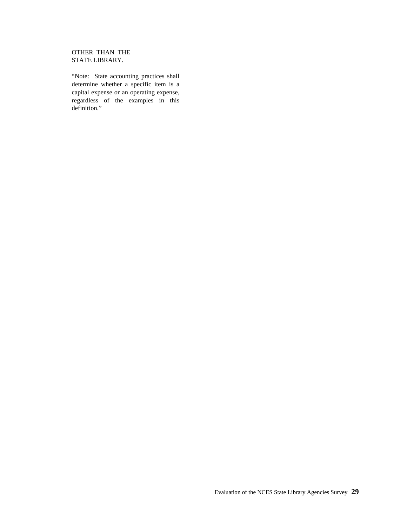## OTHER THAN THE STATE LIBRARY.

"Note: State accounting practices shall determine whether a specific item is a capital expense or an operating expense, regardless of the examples in this definition."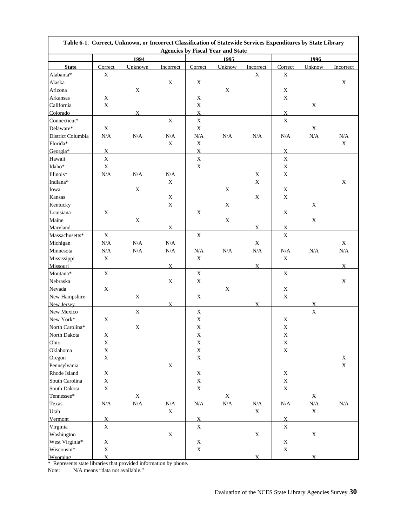|                          |                | Table 6-1. Correct, Unknown, or Incorrect Classification of Statewide Services Expenditures by State Library |              |                | <b>Agencies by Fiscal Year and State</b> |                          |                |                |              |
|--------------------------|----------------|--------------------------------------------------------------------------------------------------------------|--------------|----------------|------------------------------------------|--------------------------|----------------|----------------|--------------|
|                          |                | 1994                                                                                                         |              |                | 1995                                     |                          |                | 1996           |              |
|                          | Correct        |                                                                                                              |              |                |                                          |                          | Correct        |                |              |
| <b>State</b><br>Alabama* | X              | Unknown                                                                                                      | Incorrect    | Correct        | Unknow                                   | Incorrect<br>$\mathbf X$ | X              | Unknow         | Incorrect    |
| Alaska                   |                |                                                                                                              | $\mathbf X$  | $\mathbf X$    |                                          |                          |                |                | $\mathbf X$  |
| Arizona                  |                | $\mathbf X$                                                                                                  |              |                | $\mathbf X$                              |                          | $\mathbf X$    |                |              |
| Arkansas                 | X              |                                                                                                              |              | $\mathbf X$    |                                          |                          | X              |                |              |
| California               | $\mathbf X$    |                                                                                                              |              | $\mathbf X$    |                                          |                          |                | $\mathbf X$    |              |
| Colorado                 |                | $\bf{X}$                                                                                                     |              | $\overline{X}$ |                                          |                          | $\mathbf X$    |                |              |
| Connecticut*             |                |                                                                                                              | $\mathbf X$  | $\mathbf X$    |                                          |                          | $\mathbf X$    |                |              |
| Delaware*                | $\mathbf X$    |                                                                                                              |              | $\mathbf X$    |                                          |                          |                | $\mathbf X$    |              |
| District Columbia        | N/A            | $\rm N/A$                                                                                                    | $\rm N/A$    | $\rm N/A$      | N/A                                      | N/A                      | N/A            | $\rm N/A$      | $\rm N/A$    |
| Florida*                 |                |                                                                                                              | $\mathbf X$  | X              |                                          |                          |                |                | $\mathbf{X}$ |
| Georgia*                 | $\overline{X}$ |                                                                                                              |              | $\overline{X}$ |                                          |                          | $\overline{X}$ |                |              |
| Hawaii                   | $\mathbf X$    |                                                                                                              |              | $\mathbf X$    |                                          |                          | X              |                |              |
| Idaho*                   | $\mathbf X$    |                                                                                                              |              | $\mathbf X$    |                                          |                          | X              |                |              |
|                          |                |                                                                                                              |              |                |                                          |                          | $\mathbf X$    |                |              |
| Illinois*                | $\rm N/A$      | $\rm N/A$                                                                                                    | $\rm N/A$    |                |                                          | X                        |                |                |              |
| Indiana*                 |                |                                                                                                              | $\mathbf X$  |                |                                          | $\mathbf X$              |                |                | $\mathbf X$  |
| Iowa                     |                | $\overline{X}$                                                                                               |              |                | X                                        |                          | X              |                |              |
| Kansas                   |                |                                                                                                              | $\mathbf X$  |                |                                          | $\mathbf X$              | $\mathbf X$    |                |              |
| Kentucky                 |                |                                                                                                              | $\mathbf X$  |                | $\mathbf X$                              |                          |                | $\mathbf X$    |              |
| Louisiana                | X              |                                                                                                              |              | X              |                                          |                          | X              |                |              |
| Maine                    |                | $\mathbf X$                                                                                                  |              |                | $\mathbf X$                              |                          |                | $\mathbf X$    |              |
| Maryland                 |                |                                                                                                              | X            |                |                                          | $\mathbf{X}$             | X              |                |              |
| $Massachusetts*$         | $\mathbf X$    |                                                                                                              |              | $\mathbf X$    |                                          |                          | $\mathbf X$    |                |              |
| Michigan                 | $\rm N/A$      | $\rm N/A$                                                                                                    | $\rm N/A$    |                |                                          | $\mathbf X$              |                |                | X            |
| Minnesota                | N/A            | $\rm N/A$                                                                                                    | $\rm N/A$    | $\rm N/A$      | $\rm N/A$                                | $\rm N/A$                | N/A            | $\rm N/A$      | $\rm N/A$    |
| Mississippi              | $\mathbf X$    |                                                                                                              |              | $\mathbf X$    |                                          |                          | $\mathbf X$    |                |              |
| Missouri                 |                |                                                                                                              | $\mathbf{X}$ |                |                                          | $\mathbf{X}$             |                |                | $X_{-}$      |
| Montana*                 | $\mathbf X$    |                                                                                                              |              | $\mathbf X$    |                                          |                          | $\mathbf X$    |                |              |
| Nebraska                 |                |                                                                                                              | $\mathbf X$  | $\mathbf X$    |                                          |                          |                |                | $\mathbf X$  |
| Nevada                   | $\mathbf X$    |                                                                                                              |              |                | $\mathbf X$                              |                          | $\mathbf X$    |                |              |
| New Hampshire            |                | $\mathbf X$                                                                                                  |              | $\mathbf X$    |                                          |                          | $\mathbf X$    |                |              |
| New Jersey               |                |                                                                                                              | $\mathbf{X}$ |                |                                          | $\bf{X}$                 |                | $\overline{X}$ |              |
| New Mexico               |                | $\mathbf X$                                                                                                  |              | $\mathbf X$    |                                          |                          |                | $\mathbf X$    |              |
| New York*                | $\mathbf X$    |                                                                                                              |              | $\mathbf X$    |                                          |                          | $\mathbf X$    |                |              |
| North Carolina*          |                | $\mathbf X$                                                                                                  |              | $\mathbf X$    |                                          |                          | $\mathbf X$    |                |              |
| North Dakota             | X              |                                                                                                              |              | $\mathbf X$    |                                          |                          | $\mathbf X$    |                |              |
| Ohio                     | $\mathbf{X}$   |                                                                                                              |              | $\mathbf{X}$   |                                          |                          | $\mathbf{X}$   |                |              |
| Oklahoma                 | $\mathbf X$    |                                                                                                              |              | $\mathbf X$    |                                          |                          | $\mathbf X$    |                |              |
| Oregon                   | $\mathbf X$    |                                                                                                              |              | $\mathbf X$    |                                          |                          |                |                | $\mathbf X$  |
| Pennsylvania             |                |                                                                                                              | $\mathbf X$  |                |                                          |                          |                |                | $\mathbf X$  |
| Rhode Island             | $\mathbf X$    |                                                                                                              |              | $\mathbf X$    |                                          |                          | $\mathbf X$    |                |              |
| South Carolina           | $\overline{X}$ |                                                                                                              |              | $\overline{X}$ |                                          |                          | $\overline{X}$ |                |              |
| South Dakota             | $\mathbf X$    |                                                                                                              |              | $\mathbf X$    |                                          |                          | $\mathbf X$    |                |              |
| Tennessee*               |                | $\mathbf X$                                                                                                  |              |                | $\mathbf X$                              |                          |                | $\mathbf X$    |              |
| Texas                    | $\rm N/A$      | $\rm N/A$                                                                                                    | $\rm N/A$    | $\rm N/A$      | $\rm N/A$                                | $\rm N/A$                | $\rm N/A$      | $\rm N/A$      | $\rm N/A$    |
| Utah                     |                |                                                                                                              | $\mathbf X$  |                |                                          | $\mathbf X$              |                | $\mathbf X$    |              |
| Vermont                  | $\overline{X}$ |                                                                                                              |              | $\overline{X}$ |                                          |                          | $\overline{X}$ |                |              |
| Virginia                 | $\mathbf X$    |                                                                                                              |              | $\mathbf X$    |                                          |                          | X              |                |              |
| Washington               |                |                                                                                                              | $\mathbf X$  |                |                                          | $\mathbf X$              |                | $\mathbf X$    |              |
| West Virginia*           | $\mathbf X$    |                                                                                                              |              | $\mathbf X$    |                                          |                          | $\mathbf X$    |                |              |
| Wisconsin*               | $\mathbf X$    |                                                                                                              |              | $\mathbf X$    |                                          |                          | $\mathbf X$    |                |              |
| Wyoming                  | $\overline{X}$ |                                                                                                              |              |                |                                          | $\mathbf{x}$             |                | X              |              |

\* Represents state libraries that provided information by phone.

Note: N/A means "data not available."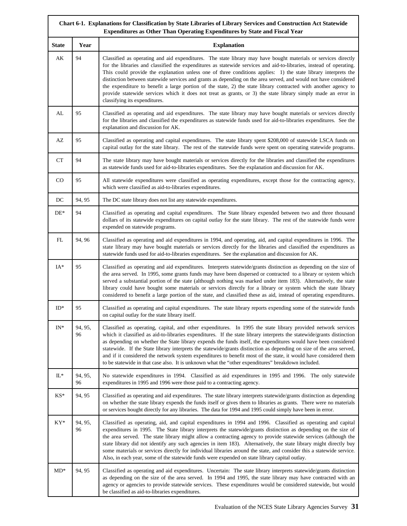|                    |               | Chart 6-1. Explanations for Classification by State Libraries of Library Services and Construction Act Statewide<br>Expenditures as Other Than Operating Expenditures by State and Fiscal Year                                                                                                                                                                                                                                                                                                                                                                                                                                                                                                                                                   |
|--------------------|---------------|--------------------------------------------------------------------------------------------------------------------------------------------------------------------------------------------------------------------------------------------------------------------------------------------------------------------------------------------------------------------------------------------------------------------------------------------------------------------------------------------------------------------------------------------------------------------------------------------------------------------------------------------------------------------------------------------------------------------------------------------------|
| <b>State</b>       | Year          | <b>Explanation</b>                                                                                                                                                                                                                                                                                                                                                                                                                                                                                                                                                                                                                                                                                                                               |
| AK                 | 94            | Classified as operating and aid expenditures. The state library may have bought materials or services directly<br>for the libraries and classified the expenditures as statewide services and aid-to-libraries, instead of operating.<br>This could provide the explanation unless one of three conditions applies: 1) the state library interprets the<br>distinction between statewide services and grants as depending on the area served, and would not have considered<br>the expenditure to benefit a large portion of the state, 2) the state library contracted with another agency to<br>provide statewide services which it does not treat as grants, or 3) the state library simply made an error in<br>classifying its expenditures. |
| AL                 | 95            | Classified as operating and aid expenditures. The state library may have bought materials or services directly<br>for the libraries and classified the expenditures as statewide funds used for aid-to-libraries expenditures. See the<br>explanation and discussion for AK.                                                                                                                                                                                                                                                                                                                                                                                                                                                                     |
| AZ                 | 95            | Classified as operating and capital expenditures. The state library spent \$208,000 of statewide LSCA funds on<br>capital outlay for the state library. The rest of the statewide funds were spent on operating statewide programs.                                                                                                                                                                                                                                                                                                                                                                                                                                                                                                              |
| ${\cal C}{\cal T}$ | 94            | The state library may have bought materials or services directly for the libraries and classified the expenditures<br>as statewide funds used for aid-to-libraries expenditures. See the explanation and discussion for AK.                                                                                                                                                                                                                                                                                                                                                                                                                                                                                                                      |
| CO                 | 95            | All statewide expenditures were classified as operating expenditures, except those for the contracting agency,<br>which were classified as aid-to-libraries expenditures.                                                                                                                                                                                                                                                                                                                                                                                                                                                                                                                                                                        |
| DC                 | 94, 95        | The DC state library does not list any statewide expenditures.                                                                                                                                                                                                                                                                                                                                                                                                                                                                                                                                                                                                                                                                                   |
| $DE^*$             | 94            | Classified as operating and capital expenditures. The State library expended between two and three thousand<br>dollars of its statewide expenditures on capital outlay for the state library. The rest of the statewide funds were<br>expended on statewide programs.                                                                                                                                                                                                                                                                                                                                                                                                                                                                            |
| FL                 | 94, 96        | Classified as operating and aid expenditures in 1994, and operating, aid, and capital expenditures in 1996. The<br>state library may have bought materials or services directly for the libraries and classified the expenditures as<br>statewide funds used for aid-to-libraries expenditures. See the explanation and discussion for AK.                                                                                                                                                                                                                                                                                                                                                                                                       |
| $IA*$              | 95            | Classified as operating and aid expenditures. Interprets statewide/grants distinction as depending on the size of<br>the area served. In 1995, some grants funds may have been dispersed or contracted to a library or system which<br>served a substantial portion of the state (although nothing was marked under item 183). Alternatively, the state<br>library could have bought some materials or services directly for a library or system which the state library<br>considered to benefit a large portion of the state, and classified these as aid, instead of operating expenditures.                                                                                                                                                  |
| $ID^*$             | 95            | Classified as operating and capital expenditures. The state library reports expending some of the statewide funds<br>on capital outlay for the state library itself.                                                                                                                                                                                                                                                                                                                                                                                                                                                                                                                                                                             |
| $\mathrm{IN}^*$    | 94, 95,<br>96 | Classified as operating, capital, and other expenditures. In 1995 the state library provided network services<br>which it classified as aid-to-libraries expenditures. If the state library interprets the statewide/grants distinction<br>as depending on whether the State library expends the funds itself, the expenditures would have been considered<br>statewide. If the State library interprets the statewide/grants distinction as depending on size of the area served,<br>and if it considered the network system expenditures to benefit most of the state, it would have considered them<br>to be statewide in that case also. It is unknown what the "other expenditures" breakdown included.                                     |
| $\mathbb{L}^*$     | 94, 95,<br>96 | No statewide expenditures in 1994. Classified as aid expenditures in 1995 and 1996. The only statewide<br>expenditures in 1995 and 1996 were those paid to a contracting agency.                                                                                                                                                                                                                                                                                                                                                                                                                                                                                                                                                                 |
| $KS^*$             | 94, 95        | Classified as operating and aid expenditures. The state library interprets statewide/grants distinction as depending<br>on whether the state library expends the funds itself or gives them to libraries as grants. There were no materials<br>or services bought directly for any libraries. The data for 1994 and 1995 could simply have been in error.                                                                                                                                                                                                                                                                                                                                                                                        |
| KY*                | 94, 95,<br>96 | Classified as operating, aid, and capital expenditures in 1994 and 1996. Classified as operating and capital<br>expenditures in 1995. The State library interprets the statewide/grants distinction as depending on the size of<br>the area served. The state library might allow a contracting agency to provide statewide services (although the<br>state library did not identify any such agencies in item 183). Alternatively, the state library might directly buy<br>some materials or services directly for individual libraries around the state, and consider this a statewide service.<br>Also, in each year, some of the statewide funds were expended on state library capital outlay.                                              |
| $MD^*$             | 94, 95        | Classified as operating and aid expenditures. Uncertain: The state library interprets statewide/grants distinction<br>as depending on the size of the area served. In 1994 and 1995, the state library may have contracted with an<br>agency or agencies to provide statewide services. These expenditures would be considered statewide, but would<br>be classified as aid-to-libraries expenditures.                                                                                                                                                                                                                                                                                                                                           |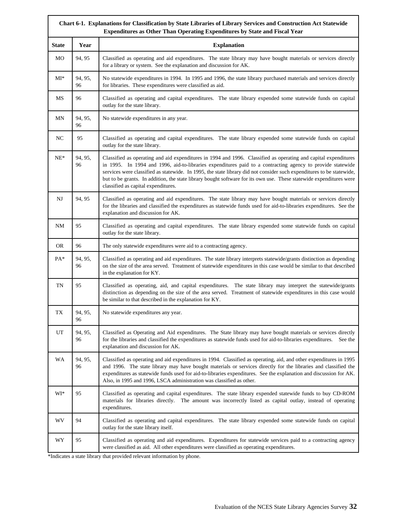|              | Chart 6-1. Explanations for Classification by State Libraries of Library Services and Construction Act Statewide<br>Expenditures as Other Than Operating Expenditures by State and Fiscal Year |                                                                                                                                                                                                                                                                                                                                                                                                                                                                                                                      |  |  |
|--------------|------------------------------------------------------------------------------------------------------------------------------------------------------------------------------------------------|----------------------------------------------------------------------------------------------------------------------------------------------------------------------------------------------------------------------------------------------------------------------------------------------------------------------------------------------------------------------------------------------------------------------------------------------------------------------------------------------------------------------|--|--|
| <b>State</b> | Year                                                                                                                                                                                           | <b>Explanation</b>                                                                                                                                                                                                                                                                                                                                                                                                                                                                                                   |  |  |
| МO           | 94, 95                                                                                                                                                                                         | Classified as operating and aid expenditures. The state library may have bought materials or services directly<br>for a library or system. See the explanation and discussion for AK.                                                                                                                                                                                                                                                                                                                                |  |  |
| $MI^*$       | 94, 95,<br>96                                                                                                                                                                                  | No statewide expenditures in 1994. In 1995 and 1996, the state library purchased materials and services directly<br>for libraries. These expenditures were classified as aid.                                                                                                                                                                                                                                                                                                                                        |  |  |
| MS           | 96                                                                                                                                                                                             | Classified as operating and capital expenditures. The state library expended some statewide funds on capital<br>outlay for the state library.                                                                                                                                                                                                                                                                                                                                                                        |  |  |
| MΝ           | 94, 95,<br>96                                                                                                                                                                                  | No statewide expenditures in any year.                                                                                                                                                                                                                                                                                                                                                                                                                                                                               |  |  |
| NC           | 95                                                                                                                                                                                             | Classified as operating and capital expenditures. The state library expended some statewide funds on capital<br>outlay for the state library.                                                                                                                                                                                                                                                                                                                                                                        |  |  |
| $NE^*$       | 94, 95,<br>96                                                                                                                                                                                  | Classified as operating and aid expenditures in 1994 and 1996. Classified as operating and capital expenditures<br>in 1995. In 1994 and 1996, aid-to-libraries expenditures paid to a contracting agency to provide statewide<br>services were classified as statewide. In 1995, the state library did not consider such expenditures to be statewide,<br>but to be grants. In addition, the state library bought software for its own use. These statewide expenditures were<br>classified as capital expenditures. |  |  |
| NJ           | 94, 95                                                                                                                                                                                         | Classified as operating and aid expenditures. The state library may have bought materials or services directly<br>for the libraries and classified the expenditures as statewide funds used for aid-to-libraries expenditures. See the<br>explanation and discussion for AK.                                                                                                                                                                                                                                         |  |  |
| NM           | 95                                                                                                                                                                                             | Classified as operating and capital expenditures. The state library expended some statewide funds on capital<br>outlay for the state library.                                                                                                                                                                                                                                                                                                                                                                        |  |  |
| <b>OR</b>    | 96                                                                                                                                                                                             | The only statewide expenditures were aid to a contracting agency.                                                                                                                                                                                                                                                                                                                                                                                                                                                    |  |  |
| $PA*$        | 94, 95,<br>96                                                                                                                                                                                  | Classified as operating and aid expenditures. The state library interprets statewide/grants distinction as depending<br>on the size of the area served. Treatment of statewide expenditures in this case would be similar to that described<br>in the explanation for KY.                                                                                                                                                                                                                                            |  |  |
| TN           | 95                                                                                                                                                                                             | Classified as operating, aid, and capital expenditures. The state library may interpret the statewide/grants<br>distinction as depending on the size of the area served. Treatment of statewide expenditures in this case would<br>be similar to that described in the explanation for KY.                                                                                                                                                                                                                           |  |  |
| TX           | 94.95.<br>96                                                                                                                                                                                   | No statewide expenditures any year.                                                                                                                                                                                                                                                                                                                                                                                                                                                                                  |  |  |
| UT           | 94, 95,<br>96                                                                                                                                                                                  | Classified as Operating and Aid expenditures. The State library may have bought materials or services directly<br>for the libraries and classified the expenditures as statewide funds used for aid-to-libraries expenditures.<br>See the<br>explanation and discussion for AK.                                                                                                                                                                                                                                      |  |  |
| <b>WA</b>    | 94, 95,<br>96                                                                                                                                                                                  | Classified as operating and aid expenditures in 1994. Classified as operating, aid, and other expenditures in 1995<br>and 1996. The state library may have bought materials or services directly for the libraries and classified the<br>expenditures as statewide funds used for aid-to-libraries expenditures. See the explanation and discussion for AK.<br>Also, in 1995 and 1996, LSCA administration was classified as other.                                                                                  |  |  |
| $WI*$        | 95                                                                                                                                                                                             | Classified as operating and capital expenditures. The state library expended statewide funds to buy CD-ROM<br>materials for libraries directly. The amount was incorrectly listed as capital outlay, instead of operating<br>expenditures.                                                                                                                                                                                                                                                                           |  |  |
| <b>WV</b>    | 94                                                                                                                                                                                             | Classified as operating and capital expenditures. The state library expended some statewide funds on capital<br>outlay for the state library itself.                                                                                                                                                                                                                                                                                                                                                                 |  |  |
| WY           | 95                                                                                                                                                                                             | Classified as operating and aid expenditures. Expenditures for statewide services paid to a contracting agency<br>were classified as aid. All other expenditures were classified as operating expenditures.                                                                                                                                                                                                                                                                                                          |  |  |

\*Indicates a state library that provided relevant information by phone.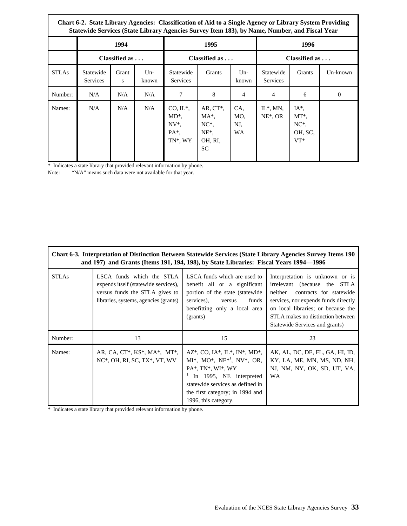|              | Chart 6-2. State Library Agencies: Classification of Aid to a Single Agency or Library System Providing<br>Statewide Services (State Library Agencies Survey Item 183), by Name, Number, and Fiscal Year |               |                |                                                                     |                                                                        |                         |                              |                                                             |          |
|--------------|----------------------------------------------------------------------------------------------------------------------------------------------------------------------------------------------------------|---------------|----------------|---------------------------------------------------------------------|------------------------------------------------------------------------|-------------------------|------------------------------|-------------------------------------------------------------|----------|
|              |                                                                                                                                                                                                          | 1994          |                |                                                                     | 1995                                                                   |                         |                              | 1996                                                        |          |
|              |                                                                                                                                                                                                          | Classified as |                | Classified as                                                       |                                                                        | Classified as           |                              |                                                             |          |
| <b>STLAs</b> | Statewide<br><b>Services</b>                                                                                                                                                                             | Grant<br>S    | $Un-$<br>known | Statewide<br><b>Services</b>                                        | Grants                                                                 | $Un-$<br>known          | Statewide<br><b>Services</b> | Grants                                                      | Un-known |
| Number:      | N/A                                                                                                                                                                                                      | N/A           | N/A            | 7                                                                   | 8                                                                      | 4                       | $\overline{4}$               | 6                                                           | $\theta$ |
| Names:       | N/A                                                                                                                                                                                                      | N/A           | N/A            | $CO, IL^*,$<br>$MD^*$ .<br>$NV^*$ .<br>PA <sup>*</sup> .<br>TN*, WY | AR, $CT^*$ ,<br>$MA^*$<br>$NC^*$ .<br>$NE^*$ ,<br>OH, RI,<br><b>SC</b> | CA.<br>MO.<br>NJ,<br>WA | $IL^*$ , MN,<br>$NE^*$ , OR  | $IA^*$<br>MT <sup>*</sup> ,<br>$NC^*$ .<br>OH, SC,<br>$VT*$ |          |

\* Indicates a state library that provided relevant information by phone.

"N/A" means such data were not available for that year.

|              | Chart 6-3. Interpretation of Distinction Between Statewide Services (State Library Agencies Survey Items 190<br>and 197) and Grants (Items 191, 194, 198), by State Libraries: Fiscal Years 1994–1996 |                                                                                                                                                                                                                 |                                                                                                                                                                                                                                                            |  |  |
|--------------|-------------------------------------------------------------------------------------------------------------------------------------------------------------------------------------------------------|-----------------------------------------------------------------------------------------------------------------------------------------------------------------------------------------------------------------|------------------------------------------------------------------------------------------------------------------------------------------------------------------------------------------------------------------------------------------------------------|--|--|
| <b>STLAs</b> | LSCA funds which the STLA<br>expends itself (statewide services),<br>versus funds the STLA gives to<br>libraries, systems, agencies (grants)                                                          | LSCA funds which are used to<br>benefit all or a significant<br>portion of the state (statewide)<br>services).<br>funds<br>versus<br>benefitting only a local area<br>(grants)                                  | Interpretation is unknown or is<br>irrelevant (because the STLA<br>neither<br>contracts for statewide<br>services, nor expends funds directly<br>on local libraries; or because the<br>STLA makes no distinction between<br>Statewide Services and grants) |  |  |
| Number:      | 13                                                                                                                                                                                                    | 15                                                                                                                                                                                                              | 23                                                                                                                                                                                                                                                         |  |  |
| Names:       | AR, CA, CT*, KS*, MA*, MT*,<br>$NC^*$ , OH, RI, SC, TX $^*$ , VT, WV                                                                                                                                  | AZ*, CO, IA*, IL*, IN*, MD*,<br>$MI^*, MO^*, NE^{*l}, NV^*, OR,$<br>PA*, TN*, WI*, WY<br>In 1995, NE interpreted<br>statewide services as defined in<br>the first category; in 1994 and<br>1996, this category. | AK, AL, DC, DE, FL, GA, HI, ID,<br>KY, LA, ME, MN, MS, ND, NH,<br>NJ, NM, NY, OK, SD, UT, VA,<br><b>WA</b>                                                                                                                                                 |  |  |

\* Indicates a state library that provided relevant information by phone.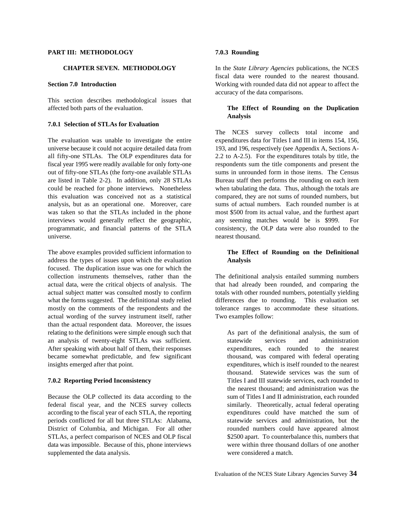### **PART III: METHODOLOGY 7.0.3 Rounding**

This section describes methodological issues that affected both parts of the evaluation. **The Effect of Rounding on the Duplication**

### **7.0.1 Selection of STLAs for Evaluation**

universe because it could not acquire detailed data from 193, and 196, respectively (see Appendix A, Sections Aall fifty-one STLAs. The OLP expenditures data for 2.2 to A-2.5). For the expenditures totals by title, the fiscal year 1995 were readily available for only forty-one respondents sum the title components and present the out of fifty-one STLAs (the forty-one available STLAs sums in unrounded form in those items. The Census are listed in Table 2-2). In addition, only 28 STLAs Bureau staff then performs the rounding on each item could be reached for phone interviews. Nonetheless when tabulating the data. Thus, although the totals are this evaluation was conceived not as a statistical compared, they are not sums of rounded numbers, but analysis, but as an operational one. Moreover, care sums of actual numbers. Each rounded number is at was taken so that the STLAs included in the phone most \$500 from its actual value, and the furthest apart interviews would generally reflect the geographic, any seeming matches would be is \$999. For programmatic, and financial patterns of the STLA consistency, the OLP data were also rounded to the universe. The contract thousand.

The above examples provided sufficient information to **The Effect of Rounding on the Definitional** address the types of issues upon which the evaluation **Analysis** focused. The duplication issue was one for which the collection instruments themselves, rather than the The definitional analysis entailed summing numbers actual data, were the critical objects of analysis. The that had already been rounded, and comparing the actual subject matter was consulted mostly to confirm totals with other rounded numbers, potentially yielding actual subject matter was consulted mostly to confirm what the forms suggested. The definitional study relied differences due to rounding. This evaluation set mostly on the comments of the respondents and the tolerance ranges to accommodate these situations. actual wording of the survey instrument itself, rather Two examples follow: than the actual respondent data. Moreover, the issues relating to the definitions were simple enough such that As part of the definitional analysis, the sum of an analysis of twenty-eight STLAs was sufficient. Statewide services and administration After speaking with about half of them, their responses expenditures, each rounded to the nearest became somewhat predictable, and few significant thousand, was compared with federal operating insights emerged after that point. expenditures, which is itself rounded to the nearest

Because the OLP collected its data according to the sum of Titles I and II administration, each rounded federal fiscal year, and the NCES survey collects similarly. Theoretically, actual federal operating according to the fiscal year of each STLA, the reporting expenditures could have matched the sum of periods conflicted for all but three STLAs: Alabama, statewide services and administration, but the District of Columbia, and Michigan. For all other rounded numbers could have appeared almost STLAs, a perfect comparison of NCES and OLP fiscal \$2500 apart. To counterbalance this, numbers that data was impossible. Because of this, phone interviews were within three thousand dollars of one another supplemented the data analysis. The supplemented the data analysis. We were considered a match.

**CHAPTER SEVEN. METHODOLOGY** In the *State Library Agencies* publications, the NCES **Section 7.0 Introduction** Working with rounded data did not appear to affect the fiscal data were rounded to the nearest thousand. accuracy of the data comparisons.

# **Analysis**

The evaluation was unable to investigate the entire expenditures data for Titles I and III in items 154, 156, The NCES survey collects total income and

**7.0.2 Reporting Period Inconsistency** Titles I and III statewide services, each rounded to thousand. Statewide services was the sum of the nearest thousand; and administration was the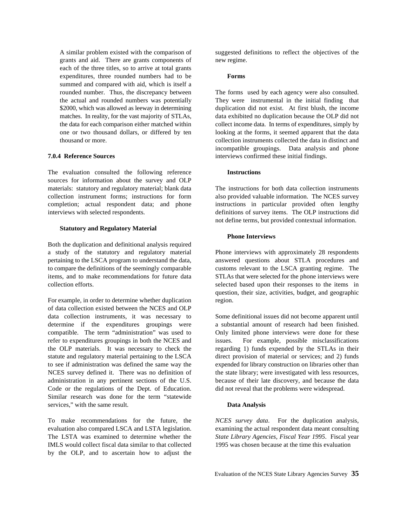grants and aid. There are grants components of new regime. each of the three titles, so to arrive at total grants expenditures, three rounded numbers had to be **Forms** summed and compared with aid, which is itself a rounded number. Thus, the discrepancy between The forms used by each agency were also consulted.

The evaluation consulted the following reference **Instructions** sources for information about the survey and OLP materials: statutory and regulatory material; blank data The instructions for both data collection instruments collection instrument forms; instructions for form also provided valuable information. The NCES survey completion; actual respondent data; and phone instructions in particular provided often lengthy interviews with selected respondents. definitions of survey items. The OLP instructions did

### **Statutory and Regulatory Material**

Both the duplication and definitional analysis required a study of the statutory and regulatory material Phone interviews with approximately 28 respondents pertaining to the LSCA program to understand the data, answered questions about STLA procedures and to compare the definitions of the seemingly comparable customs relevant to the LSCA granting regime. The items, and to make recommendations for future data STLAs that were selected for the phone interviews were collection efforts. selected based upon their responses to the items in

For example, in order to determine whether duplication region. of data collection existed between the NCES and OLP data collection instruments, it was necessary to Some definitional issues did not become apparent until determine if the expenditures groupings were a substantial amount of research had been finished. compatible. The term "administration" was used to Only limited phone interviews were done for these refer to expenditures groupings in both the NCES and issues. For example, possible misclassifications the OLP materials. It was necessary to check the regarding 1) funds expended by the STLAs in their statute and regulatory material pertaining to the LSCA direct provision of material or services; and 2) funds to see if administration was defined the same way the expended for library construction on libraries other than NCES survey defined it. There was no definition of the state library; were investigated with less resources, administration in any pertinent sections of the U.S. because of their late discovery, and because the data Code or the regulations of the Dept. of Education. did not reveal that the problems were widespread. Similar research was done for the term "statewide services," with the same result. **Data Analysis**

To make recommendations for the future, the *NCES survey data*. For the duplication analysis, evaluation also compared LSCA and LSTA legislation. examining the actual respondent data meant consulting The LSTA was examined to determine whether the *State Library Agencies, Fiscal Year 1995*. Fiscal year IMLS would collect fiscal data similar to that collected 1995 was chosen because at the time this evaluation by the OLP, and to ascertain how to adjust the

A similar problem existed with the comparison of suggested definitions to reflect the objectives of the

the actual and rounded numbers was potentially They were instrumental in the initial finding that \$2000, which was allowed as leeway in determining duplication did not exist. At first blush, the income matches. In reality, for the vast majority of STLAs, data exhibited no duplication because the OLP did not the data for each comparison either matched within collect income data. In terms of expenditures, simply by one or two thousand dollars, or differed by ten looking at the forms, it seemed apparent that the data thousand or more. collection instruments collected the data in distinct and **7.0.4 Reference Sources** interviews confirmed these initial findings. incompatible groupings. Data analysis and phone

not define terms, but provided contextual information.

#### **Phone Interviews**

question, their size, activities, budget, and geographic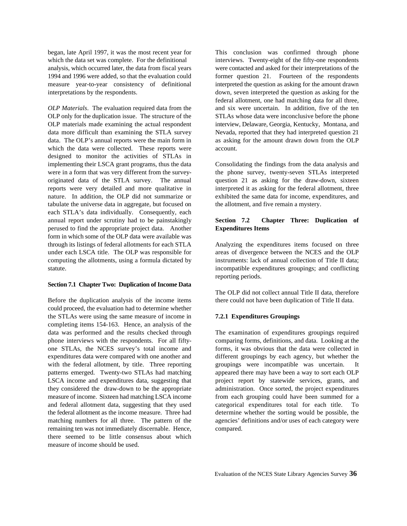which the data set was complete. For the definitional interviews. Twenty-eight of the fifty-one respondents analysis, which occurred later, the data from fiscal years were contacted and asked for their interpretations of the 1994 and 1996 were added, so that the evaluation could former question 21. Fourteen of the respondents measure year-to-year consistency of definitional interpreted the question as asking for the amount drawn interpretations by the respondents. down, seven interpreted the question as asking for the

OLP only for the duplication issue. The structure of the STLAs whose data were inconclusive before the phone OLP materials made examining the actual respondent interview, Delaware, Georgia, Kentucky, Montana, and data more difficult than examining the STLA survey Nevada, reported that they had interpreted question 21 data. The OLP's annual reports were the main form in as asking for the amount drawn down from the OLP which the data were collected. These reports were account. designed to monitor the activities of STLAs in implementing their LSCA grant programs, thus the data Consolidating the findings from the data analysis and were in a form that was very different from the survey-<br>
the phone survey, twenty-seven STLAs interpreted<br>
originated data of the STLA survey. The annual<br>
question 21 as asking for the draw-down, sixteen originated data of the STLA survey. The annual reports were very detailed and more qualitative in interpreted it as asking for the federal allotment, three nature. In addition, the OLP did not summarize or exhibited the same data for income, expenditures, and tabulate the universe data in aggregate, but focused on the allotment, and five remain a mystery. each STLA's data individually. Consequently, each annual report under scrutiny had to be painstakingly **Section 7.2 Chapter Three: Duplication of** perused to find the appropriate project data. Another **Expenditures Items** form in which some of the OLP data were available was through its listings of federal allotments for each STLA Analyzing the expenditures items focused on three under each LSCA title. The OLP was responsible for areas of divergence between the NCES and the OLP computing the allotments, using a formula dictated by instruments: lack of annual collection of Title II data; statute. incompatible expenditures groupings; and conflicting

### **Section 7.1 Chapter Two: Duplication of Income Data**

could proceed, the evaluation had to determine whether the STLAs were using the same measure of income in **7.2.1 Expenditures Groupings** completing items 154-163. Hence, an analysis of the data was performed and the results checked through The examination of expenditures groupings required phone interviews with the respondents. For all fifty- comparing forms, definitions, and data. Looking at the one STLAs, the NCES survey's total income and forms, it was obvious that the data were collected in expenditures data were compared with one another and different groupings by each agency, but whether the with the federal allotment, by title. Three reporting groupings were incompatible was uncertain. It patterns emerged. Twenty-two STLAs had matching appeared there may have been a way to sort each OLP LSCA income and expenditures data, suggesting that project report by statewide services, grants, and they considered the draw-down to be the appropriate administration. Once sorted, the project expenditures measure of income. Sixteen had matching LSCA income from each grouping could have been summed for a and federal allotment data, suggesting that they used categorical expenditures total for each title. To the federal allotment as the income measure. Three had determine whether the sorting would be possible, the matching numbers for all three. The pattern of the agencies' definitions and/or uses of each category were remaining ten was not immediately discernable. Hence, compared. there seemed to be little consensus about which measure of income should be used.

began, late April 1997, it was the most recent year for This conclusion was confirmed through phone *OLP Materials*. The evaluation required data from the and six were uncertain. In addition, five of the ten federal allotment, one had matching data for all three,

reporting periods.

Before the duplication analysis of the income items there could not have been duplication of Title II data. The OLP did not collect annual Title II data, therefore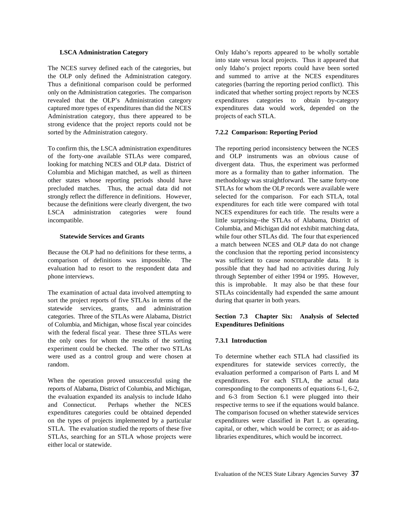the OLP only defined the Administration category. and summed to arrive at the NCES expenditures<br>Thus a definitional comparison could be performed categories (barring the reporting period conflict). This only on the Administration categories. The comparison indicated that whether sorting project reports by NCES revealed that the OLP's Administration category expenditures categories to obtain by-category captured more types of expenditures than did the NCES expenditures data would work, depended on the Administration category, thus there appeared to be projects of each STLA. strong evidence that the project reports could not be sorted by the Administration category. **7.2.2 Comparison: Reporting Period**

To confirm this, the LSCA administration expenditures The reporting period inconsistency between the NCES of the forty-one available STLAs were compared, and OLP instruments was an obvious cause of looking for matching NCES and OLP data. District of divergent data. Thus, the experiment was performed Columbia and Michigan matched, as well as thirteen more as a formality than to gather information. The other states whose reporting periods should have methodology was straightforward. The same forty-one precluded matches. Thus, the actual data did not STLAs for whom the OLP records were available were strongly reflect the difference in definitions. However, selected for the comparison. For each STLA, total because the definitions were clearly divergent, the two expenditures for each title were compared with total LSCA administration categories were found NCES expenditures for each title. The results were a incompatible. little surprising--the STLAs of Alabama, District of

comparison of definitions was impossible. The was sufficient to cause noncomparable data. It is evaluation had to resort to the respondent data and possible that they had had no activities during July phone interviews. through September of either 1994 or 1995. However,

sort the project reports of five STLAs in terms of the during that quarter in both years. statewide services, grants, and administration categories. Three of the STLAs were Alabama, District **Section 7.3 Chapter Six: Analysis of Selected** of Columbia, and Michigan, whose fiscal year coincides **Expenditures Definitions** with the federal fiscal year. These three STLAs were the only ones for whom the results of the sorting **7.3.1 Introduction** experiment could be checked. The other two STLAs were used as a control group and were chosen at To determine whether each STLA had classified its random. expenditures for statewide services correctly, the

reports of Alabama, District of Columbia, and Michigan, corresponding to the components of equations 6-1, 6-2, the evaluation expanded its analysis to include Idaho and 6-3 from Section 6.1 were plugged into their and Connecticut. Perhaps whether the NCES respective terms to see if the equations would balance. expenditures categories could be obtained depended The comparison focused on whether statewide services on the types of projects implemented by a particular expenditures were classified in Part L as operating, STLA. The evaluation studied the reports of these five capital, or other, which would be correct; or as aid-to-STLAs, searching for an STLA whose projects were libraries expenditures, which would be incorrect. either local or statewide.

**LSCA Administration Category Only Idaho's reports appeared to be wholly sortable** The NCES survey defined each of the categories, but only Idaho's project reports could have been sorted categories (barring the reporting period conflict). This into state versus local projects. Thus it appeared that

**Statewide Services and Grants** while four other STLAs did. The four that experienced Because the OLP had no definitions for these terms, a the conclusion that the reporting period inconsistency The examination of actual data involved attempting to STLAs coincidentally had expended the same amount Columbia, and Michigan did not exhibit matching data, a match between NCES and OLP data do not change this is improbable. It may also be that these four

When the operation proved unsuccessful using the expenditures. For each STLA, the actual data evaluation performed a comparison of Parts L and M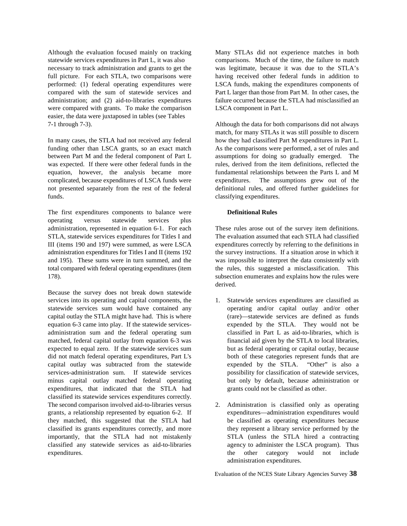Although the evaluation focused mainly on tracking Many STLAs did not experience matches in both statewide services expenditures in Part L, it was also comparisons. Much of the time, the failure to match necessary to track administration and grants to get the was legitimate, because it was due to the STLA's full picture. For each STLA, two comparisons were having received other federal funds in addition to performed: (1) federal operating expenditures were LSCA funds, making the expenditures components of compared with the sum of statewide services and Part L larger than those from Part M. In other cases, the compared with the sum of statewide services and administration; and (2) aid-to-libraries expenditures failure occurred because the STLA had misclassified an were compared with grants. To make the comparison LSCA component in Part L. easier, the data were juxtaposed in tables (see Tables 7-1 through 7-3). Although the data for both comparisons did not always

funding other than LSCA grants, so an exact match As the comparisons were performed, a set of rules and between Part M and the federal component of Part L assumptions for doing so gradually emerged. The was expected. If there were other federal funds in the rules, derived from the item definitions, reflected the equation, however, the analysis became more fundamental relationships between the Parts L and M complicated, because expenditures of LSCA funds were expenditures. The assumptions grew out of the not presented separately from the rest of the federal definitional rules, and offered further guidelines for funds.  $\Box$  classifying expenditures.

The first expenditures components to balance were **Definitional Rules** operating versus statewide services plus administration, represented in equation 6-1. For each These rules arose out of the survey item definitions. STLA, statewide services expenditures for Titles I and The evaluation assumed that each STLA had classified III (items 190 and 197) were summed, as were LSCA expenditures correctly by referring to the definitions in administration expenditures for Titles I and II (items 192 the survey instructions. If a situation arose in which it and 195). These sums were in turn summed, and the was impossible to interpret the data consistently with total compared with federal operating expenditures (item the rules, this suggested a misclassification. This 178). subsection enumerates and explains how the rules were

Because the survey does not break down statewide services into its operating and capital components, the 1. Statewide services expenditures are classified as statewide services sum would have contained any operating and/or capital outlay and/or other capital outlay the STLA might have had. This is where (rare)—statewide services are defined as funds equation 6-3 came into play. If the statewide services- expended by the STLA. They would not be administration sum and the federal operating sum classified in Part L as aid-to-libraries, which is matched, federal capital outlay from equation 6-3 was financial aid given by the STLA to local libraries, expected to equal zero. If the statewide services sum but as federal operating or capital outlay, because did not match federal operating expenditures, Part L's both of these categories represent funds that are capital outlay was subtracted from the statewide expended by the STLA. "Other" is also a services-administration sum. If statewide services possibility for classification of statewide services, minus capital outlay matched federal operating but only by default, because administration or expenditures, that indicated that the STLA had grants could not be classified as other. classified its statewide services expenditures correctly. The second comparison involved aid-to-libraries versus 2. Administration is classified only as operating grants, a relationship represented by equation 6-2. If expenditures—administration expenditures would grants, a relationship represented by equation 6-2. If they matched, this suggested that the STLA had be classified as operating expenditures because classified its grants expenditures correctly, and more they represent a library service performed by the importantly, that the STLA had not mistakenly STLA (unless the STLA hired a contracting classified any statewide services as aid-to-libraries agency to administer the LSCA program). Thus expenditures. the other category would not include

In many cases, the STLA had not received any federal how they had classified Part M expenditures in Part L. match, for many STLAs it was still possible to discern

derived.

- 
- administration expenditures.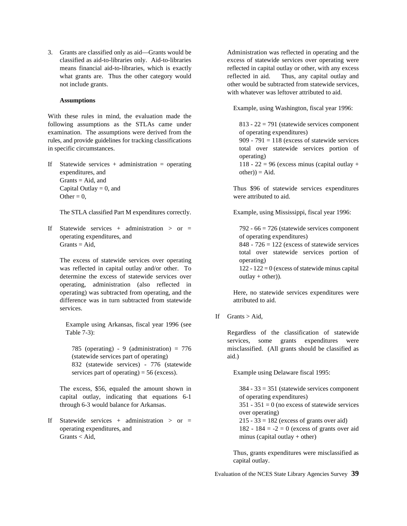3. Grants are classified only as aid—Grants would be Administration was reflected in operating and the classified as aid-to-libraries only. Aid-to-libraries excess of statewide services over operating were means financial aid-to-libraries, which is exactly reflected in capital outlay or other, with any excess what grants are. Thus the other category would reflected in aid. Thus, any capital outlay and not include grants.  $\blacksquare$  other would be subtracted from statewide services,

#### **Assumptions**

With these rules in mind, the evaluation made the following assumptions as the STLAs came under  $813 - 22 = 791$  (statewide services component examination. The assumptions were derived from the of operating expenditures) rules, and provide guidelines for tracking classifications 909 - 791 = 118 (excess of statewide services in specific circumstances. total over statewide services portion of

If Statewide services + administration = operating  $118 - 22 = 96$  (excess minus (capital outlay + expenditures, and  $other) = Aid.$  $Grants = Aid, and$ Capital Outlay = 0, and Thus \$96 of statewide services expenditures Other  $= 0$ , were attributed to aid.

The STLA classified Part M expenditures correctly. Example, using Mississippi, fiscal year 1996:

If Statewide services + administration > or =  $792 - 66 = 726$  (statewide services component operating expenditures, and of operating expenditures) Grants = Aid,  $848 - 726 = 122$  (excess of statewide services

The excess of statewide services over operating operating operating operating operating operating operation was reflected in capital outlay and/or other. To  $122 - 122 = 0$  (excess of statewide minus capital determine the excess of statewide services over  $\omega t \cdot \frac{du}{dx}$  outlay + other)). operating, administration (also reflected in operating) was subtracted from operating, and the Here, no statewide services expenditures were difference was in turn subtracted from statewide attributed to aid. services.

Example using Arkansas, fiscal year 1996 (see Table 7-3): Regardless of the classification of statewide

(statewide services part of operating) aid.) 832 (statewide services) - 776 (statewide services part of operating) = 56 (excess). Example using Delaware fiscal 1995:

The excess, \$56, equaled the amount shown in  $384 - 33 = 351$  (statewide services component capital outlay, indicating that equations 6-1 of operating expenditures) through 6-3 would balance for Arkansas.  $351 - 351 = 0$  (no excess of statewide services

If Statewide services + administration > or =  $215 - 33 = 182$  (excess of grants over aid) operating expenditures, and  $182 - 184 = -2 = 0$  (excess of grants over aid Grants < Aid, minus (capital outlay + other)

with whatever was leftover attributed to aid.

Example, using Washington, fiscal year 1996:

operating)

total over statewide services portion of

If Grants  $>$  Aid,

785 (operating) - 9 (administration) = 776 misclassified. (All grants should be classified as services, some grants expenditures were

over operating)

Thus, grants expenditures were misclassified as capital outlay.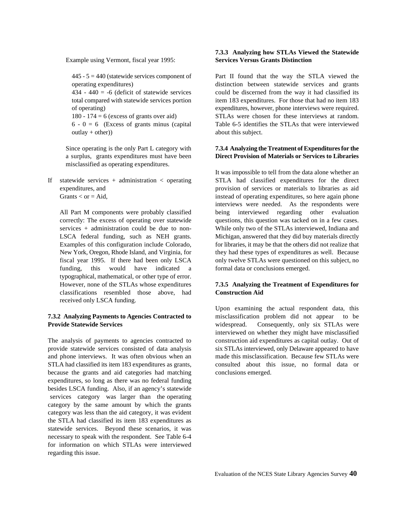Example using Vermont, fiscal year 1995: **Services Versus Grants Distinction**

 $outlay + other)$  about this subject.

misclassified as operating expenditures.

funding, this would have indicated a formal data or conclusions emerged. typographical, mathematical, or other type of error. classifications resembled those above, had **Construction Aid** received only LSCA funding.

# **Provide Statewide Services** and **Provide Statewide Services** widespread. Consequently, only six STLAs were

provide statewide services consisted of data analysis six STLAs interviewed, only Delaware appeared to have and phone interviews. It was often obvious when an made this misclassification. Because few STLAs were STLA had classified its item 183 expenditures as grants, consulted about this issue, no formal data or because the grants and aid categories had matching conclusions emerged. expenditures, so long as there was no federal funding besides LSCA funding. Also, if an agency's statewide services category was larger than the operating category by the same amount by which the grants category was less than the aid category, it was evident the STLA had classified its item 183 expenditures as statewide services. Beyond these scenarios, it was necessary to speak with the respondent. See Table 6-4 for information on which STLAs were interviewed regarding this issue.

# **7.3.3 Analyzing how STLAs Viewed the Statewide**

445 - 5 = 440 (statewide services component of Part II found that the way the STLA viewed the operating expenditures) distinction between statewide services and grants<br>434 - 440 = -6 (deficit of statewide services could be discerned from the way it had classified its could be discerned from the way it had classified its total compared with statewide services portion item 183 expenditures. For those that had no item 183 of operating) expenditures, however, phone interviews were required. 180 - 174 = 6 (excess of grants over aid) STLAs were chosen for these interviews at random.  $6 - 0 = 6$  (Excess of grants minus (capital Table 6-5 identifies the STLAs that were interviewed

### Since operating is the only Part L category with **7.3.4 Analyzing the Treatment of Expenditures for the** a surplus, grants expenditures must have been **Direct Provision of Materials or Services to Libraries**

If statewide services + administration < operating STLA had classified expenditures for the direct expenditures, and provision of services or materials to libraries as aid Grants < or = Aid, instead of operating expenditures, so here again phone All Part M components were probably classified being interviewed regarding other evaluation correctly: The excess of operating over statewide questions, this question was tacked on in a few cases. services + administration could be due to non- While only two of the STLAs interviewed, Indiana and LSCA federal funding, such as NEH grants. Michigan, answered that they did buy materials directly Examples of this configuration include Colorado, for libraries, it may be that the others did not realize that New York, Oregon, Rhode Island, and Virginia, for they had these types of expenditures as well. Because fiscal year 1995. If there had been only LSCA only twelve STLAs were questioned on this subject, no It was impossible to tell from the data alone whether an interviews were needed. As the respondents were

# However, none of the STLAs whose expenditures **7.3.5 Analyzing the Treatment of Expenditures for**

**7.3.2 Analyzing Payments to Agencies Contracted to** misclassification problem did not appear to be The analysis of payments to agencies contracted to construction aid expenditures as capital outlay. Out of Upon examining the actual respondent data, this interviewed on whether they might have misclassified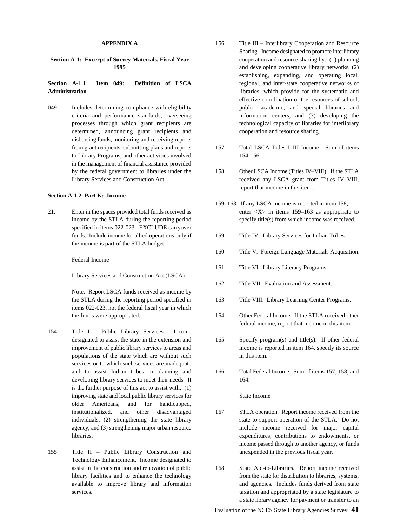# **Administration Administration** libraries, which provide for the systematic and

determined, announcing grant recipients and cooperation and resource sharing. disbursing funds, monitoring and receiving reports to Library Programs, and other activities involved 154-156. in the management of financial assistance provided

#### **Section A-1.2 Part K: Income**

specified in items 022-023. EXCLUDE carryover funds. Include income for allied operations only if 159 Title IV. Library Services for Indian Tribes. the income is part of the STLA budget.

Federal Income

Library Services and Construction Act (LSCA)

Note: Report LSCA funds received as income by the STLA during the reporting period specified in 163 Title VIII. Library Learning Center Programs. items 022-023, not the federal fiscal year in which the funds were appropriated. 164 Other Federal Income. If the STLA received other

- 154 Title I Public Library Services. Income populations of the state which are without such in this item. services or to which such services are inadequate and to assist Indian tribes in planning and 166 Total Federal Income. Sum of items 157, 158, and developing library services to meet their needs. It 164. is the further purpose of this act to assist with: (1) improving state and local public library services for State Income older Americans, and for handicapped, institutionalized, and other disadvantaged 167 STLA operation. Report income received from the
- 155 Title II Public Library Construction and unexpended in the previous fiscal year. Technology Enhancement. Income designated to assist in the construction and renovation of public 168 State Aid-to-Libraries. Report income received
- **APPENDIX A** 156 Title III Interlibrary Cooperation and Resource **Section A-1: Excerpt of Survey Materials, Fiscal Year** cooperation and resource sharing by: (1) planning **1995 and developing cooperative library networks**, (2) **Section A-1.1 Item 049: Definition of LSCA** regional, and inter-state cooperative networks of 049 Includes determining compliance with eligibility public, academic, and special libraries and criteria and performance standards, overseeing information centers, and (3) developing the processes through which grant recipients are technological capacity of libraries for interlibrary Sharing. Income designated to promote interlibrary establishing, expanding, and operating local, effective coordination of the resources of school,
	- from grant recipients, submitting plans and reports 157 Total LSCA Titles I–III Income. Sum of items
	- by the federal government to libraries under the 158 Other LSCA Income (Titles IV–VIII). If the STLA Library Services and Construction Act. The received any LSCA grant from Titles IV–VIII, report that income in this item.
- 21. Enter in the spaces provided total funds received as enter <X> in items 159–163 as appropriate to income by the STLA during the reporting period specify title(s) from which income was received. 159–163 If any LSCA income is reported in item 158,
	-
	- 160 Title V. Foreign Language Materials Acquisition.
	- 161 Title VI. Library Literacy Programs.
	- 162 Title VII. Evaluation and Assessment.
	-
	- federal income, report that income in this item.
	- designated to assist the state in the extension and 165 Specify program(s) and title(s). If other federal improvement of public library services to areas and income is reported in item 164, specify its source
		-

- individuals, (2) strengthening the state library state to support operation of the STLA. Do not agency, and (3) strengthening major urban resource include income received for major capital libraries. expenditures, contributions to endowments, or income passed through to another agency, or funds
- library facilities and to enhance the technology from the state for distribution to libraries, systems, available to improve library and information and agencies. Includes funds derived from state services. **taxation and appropriated by a state legislature to** the services of the state legislature to a state library agency for payment or transfer to an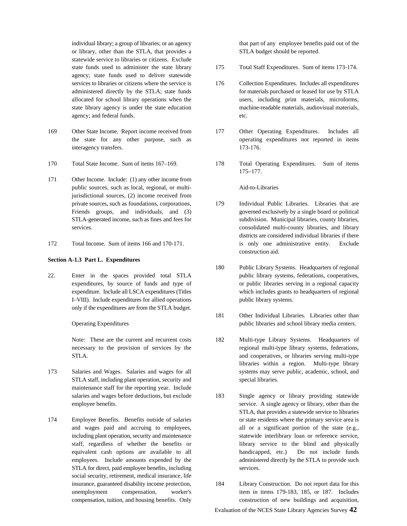individual library; a group of libraries; or an agency that part of any employee benefits paid out of the or library, other than the STLA, that provides a STLA budget should be reported. statewide service to libraries or citizens. Exclude agency; state funds used to deliver statewide services to libraries or citizens where the service is 176 Collection Expenditures. Includes all expenditures agency; and federal funds. etc.

- 169 Other State Income. Report income received from 177 Other Operating Expenditures. Includes all interagency transfers. 173-176.
- 
- 171 Other Income. Include: (1) any other income from public sources, such as local, regional, or multi- Aid-to-Libraries jurisdictional sources, (2) income received from
- 

#### **Section A-1.3 Part L. Expenditures**

I–VIII). Include expenditures for allied operations public library systems. only if the expenditures are from the STLA budget.

- STLA staff, including plant operation, security and special libraries. maintenance staff for the reporting year. Include
- STLA for direct, paid employee benefits, including services. social security, retirement, medical insurance, life insurance, guaranteed disability income protection, 184 Library Construction. Do not report data for this

- state funds used to administer the state library 175 Total Staff Expenditures. Sum of items 173-174.
- administered directly by the STLA; state funds for materials purchased or leased for use by STLA allocated for school library operations when the users, including print materials, microforms, state library agency is under the state education machine-readable materials, audiovisual materials,
- the state for any other purpose, such as operating expenditures not reported in items
- 170 Total State Income. Sum of items 167–169. 178 Total Operating Expenditures. Sum of items 175–177.

- private sources, such as foundations, corporations, 179 Individual Public Libraries. Libraries that are Friends groups, and individuals, and (3) governed exclusively by a single board or political STLA-generated income, such as fines and fees for subdivision. Municipal libraries, county libraries, services. **consolidated multi-county libraries**, and library 172 Total Income. Sum of items 166 and 170-171. is only one administrative entity. Exclude districts are considered individual libraries if there construction aid.
- 22. Enter in the spaces provided total STLA public library systems, federations, cooperatives, expenditures, by source of funds and type of or public libraries serving in a regional capacity expenditure. Include all LSCA expenditures (Titles which includes grants to headquarters of regional 180 Public Library Systems. Headquarters of regional
	- Operating Expenditures public libraries and school library media centers. 181 Other Individual Libraries. Libraries other than
- Note: These are the current and recurrent costs 182 Multi-type Library Systems. Headquarters of necessary to the provision of services by the regional multi-type library systems, federations, STLA. **and cooperatives, or libraries serving multi-type** and cooperatives, or libraries serving multi-type 173 Salaries and Wages. Salaries and wages for all systems may serve public, academic, school, and libraries within a region. Multi-type library
- salaries and wages before deductions, but exclude 183 Single agency or library providing statewide employee benefits. Service. A single agency or library, other than the employee benefits. 174 Employee Benefits. Benefits outside of salaries or state residents where the primary service area is and wages paid and accruing to employees, all or a significant portion of the state (e.g., including plant operation, security and maintenance statewide interlibrary loan or reference service, staff, regardless of whether the benefits or library service to the blind and physically equivalent cash options are available to all handicapped, etc.) Do not include funds employees. Include amounts expended by the administered directly by the STLA to provide such STLA, that provides a statewide service to libraries
	- unemployment compensation, worker's item in items 179-183, 185, or 187. Includes compensation, tuition, and housing benefits. Only construction of new buildings and acquisition,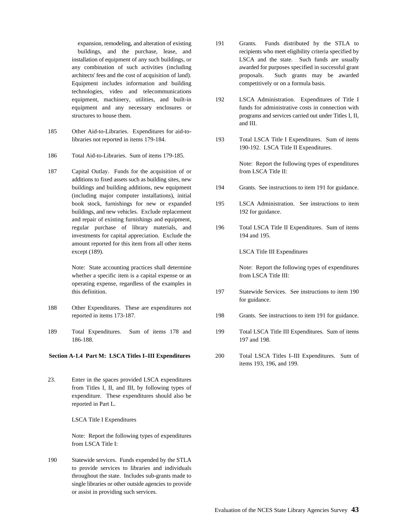Equipment includes information and building competitively or on a formula basis. technologies, video and telecommunications

- 185 Other Aid-to-Libraries. Expenditures for aid-tolibraries not reported in items 179-184. 193 Total LSCA Title I Expenditures. Sum of items
- 186 Total Aid-to-Libraries. Sum of items 179-185.
- 187 Capital Outlay. Funds for the acquisition of or from LSCA Title II: additions to fixed assets such as building sites, new (including major computer installations), initial buildings, and new vehicles. Exclude replacement 192 for guidance. and repair of existing furnishings and equipment, investments for capital appreciation. Exclude the 194 and 195. amount reported for this item from all other items except (189). LSCA Title III Expenditures

Note: State accounting practices shall determine Note: Report the following types of expenditures whether a specific item is a capital expense or an from LSCA Title III: operating expense, regardless of the examples in

- 188 Other Expenditures. These are expenditures not
- 189 Total Expenditures. Sum of items 178 and 199 Total LSCA Title III Expenditures. Sum of items 186-188. 197 and 198.

#### **Section A-1.4 Part M: LSCA Titles I–III Expenditures** 200 Total LSCA Titles I–III Expenditures. Sum of

23. Enter in the spaces provided LSCA expenditures from Titles I, II, and III, by following types of expenditure. These expenditures should also be reported in Part L.

LSCA Title I Expenditures

Note: Report the following types of expenditures from LSCA Title I:

190 Statewide services. Funds expended by the STLA to provide services to libraries and individuals throughout the state. Includes sub-grants made to single libraries or other outside agencies to provide or assist in providing such services.

- expansion, remodeling, and alteration of existing 191 Grants. Funds distributed by the STLA to buildings, and the purchase, lease, and recipients who meet eligibility criteria specified by installation of equipment of any such buildings, or LSCA and the state. Such funds are usually any combination of such activities (including awarded for purposes specified in successful grant architects' fees and the cost of acquisition of land). proposals. Such grants may be awarded
- equipment, machinery, utilities, and built-in 192 LSCA Administration. Expenditures of Title I equipment and any necessary enclosures or funds for administrative costs in connection with structures to house them. **programs** and services carried out under Titles I, II, and III.
	- 190-192. LSCA Title II Expenditures.

Note: Report the following types of expenditures

- buildings and building additions, new equipment 194 Grants. See instructions to item 191 for guidance.
- book stock, furnishings for new or expanded 195 LSCA Administration. See instructions to item
- regular purchase of library materials, and 196 Total LSCA Title II Expenditures. Sum of items

- this definition. 197 Statewide Services. See instructions to item 190 for guidance.
- reported in items 173-187. 198 Grants. See instructions to item 191 for guidance.
	-
	- items 193, 196, and 199.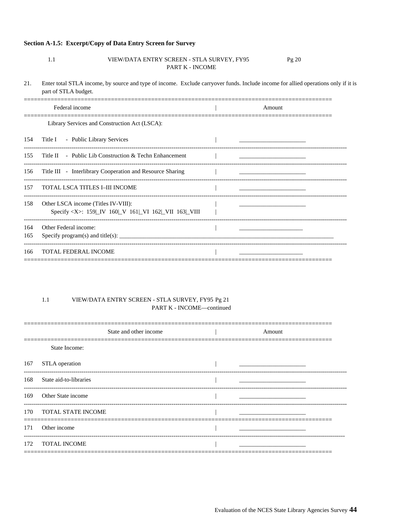### Section A-1.5: Excerpt/Copy of Data Entry Screen for Survey

 $1.1$ 

#### VIEW/DATA ENTRY SCREEN - STLA SURVEY, FY95 Pg 20 PART K - INCOME

 $21.$ Enter total STLA income, by source and type of income. Exclude carryover funds. Include income for allied operations only if it is part of STLA budget.

|            | Federal income                                                                                   | Amount |
|------------|--------------------------------------------------------------------------------------------------|--------|
|            | Library Services and Construction Act (LSCA):                                                    |        |
| 154        | Title I - Public Library Services                                                                |        |
| 155        | Title II - Public Lib Construction & Techn Enhancement                                           |        |
| 156        | Title III - Interlibrary Cooperation and Resource Sharing                                        |        |
| 157        | TOTAL LSCA TITLES I-III INCOME                                                                   |        |
| 158        | Other LSCA income (Titles IV-VIII):<br>Specify <x>: 159 LV 160 LV 161 LVI 162 LVII 163 LVIII</x> |        |
| 164<br>165 | Other Federal income:<br>Specify program(s) and title(s): $\frac{1}{1}$                          |        |
| 166        | <b>TOTAL FEDERAL INCOME</b>                                                                      |        |

#### $1.1\,$ VIEW/DATA ENTRY SCREEN - STLA SURVEY, FY95 Pg 21 PART K - INCOME-continued

|     | State and other income | Amount |  |
|-----|------------------------|--------|--|
|     | State Income:          |        |  |
| 167 | STLA operation         |        |  |
| 168 | State aid-to-libraries |        |  |
| 169 | Other State income     |        |  |
| 170 | TOTAL STATE INCOME     |        |  |
| 171 | Other income           |        |  |
| 172 | <b>TOTAL INCOME</b>    |        |  |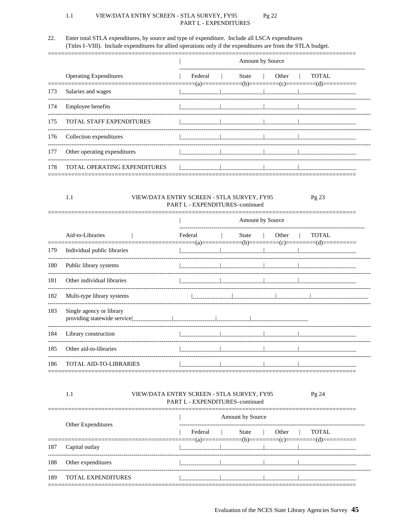#### $1.1$ VIEW/DATA ENTRY SCREEN - STLA SURVEY, FY95 Pg 22 PART L - EXPENDITURES

#### 22. Enter total STLA expenditures, by source and type of expenditure. Include all LSCA expenditures (Titles I-VIII). Include expenditures for allied operations only if the expenditures are from the STLA budget.

|     |                                     | Amount by Source |       |       |       |
|-----|-------------------------------------|------------------|-------|-------|-------|
|     | <b>Operating Expenditures</b>       | Federal          | State | Other | TOTAL |
| 173 | Salaries and wages                  |                  |       |       |       |
| 174 | <b>Employee benefits</b>            |                  |       |       |       |
| 175 | <b>TOTAL STAFF EXPENDITURES</b>     |                  |       |       |       |
| 176 | Collection expenditures             |                  |       |       |       |
| 177 | Other operating expenditures        |                  |       |       |       |
| 178 | <b>TOTAL OPERATING EXPENDITURES</b> |                  |       |       |       |

#### $1.1$ VIEW/DATA ENTRY SCREEN - STLA SURVEY, FY95 PART L - EXPENDITURES-continued

|     |                                                         | Amount by Source |       |       |              |  |
|-----|---------------------------------------------------------|------------------|-------|-------|--------------|--|
|     | Aid-to-Libraries                                        | Federal          | State | Other | <b>TOTAL</b> |  |
| 179 | Individual public libraries                             |                  |       |       |              |  |
| 180 | Public library systems                                  |                  |       |       |              |  |
| 181 | Other individual libraries                              |                  |       |       |              |  |
| 182 | Multi-type library systems                              |                  |       |       |              |  |
| 183 | Single agency or library<br>providing statewide service |                  |       |       |              |  |
| 184 | Library construction                                    |                  |       |       |              |  |
| 185 | Other aid-to-libraries                                  |                  |       |       |              |  |
| 186 | <b>TOTAL AID-TO-LIBRARIES</b>                           |                  |       |       |              |  |

### $1.1$

### VIEW/DATA ENTRY SCREEN - STLA SURVEY, FY95 PART L - EXPENDITURES-continued

 $\overline{\phantom{a}}$ Amount by Source Other Expenditures Federal State Other **TOTAL**  $\overline{\phantom{a}}$  $\overline{\phantom{a}}$  $\overline{\phantom{a}}$  $=$  $(a) =$  $=(b)=$  $=(c)$ =  $\equiv$ (d)= 187 Capital outlay 188 Other expenditures 189 TOTAL EXPENDITURES

Evaluation of the NCES State Library Agencies Survey 45

Pg 23

Pg 24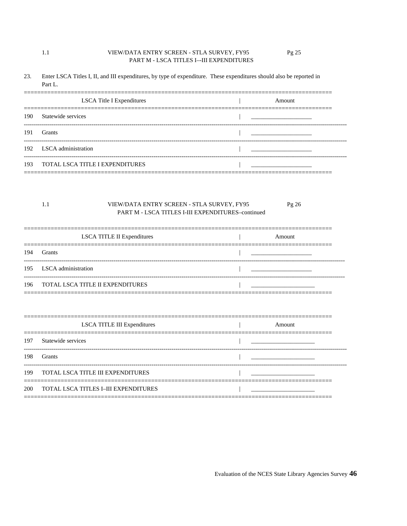#### VIEW/DATA ENTRY SCREEN - STLA SURVEY, FY95 Pg 25 PART M - LSCA TITLES I--III EXPENDITURES

23. Enter LSCA Titles I, II, and III expenditures, by type of expenditure. These expenditures should also be reported in Part L.

|     | LSCA Title I Expenditures           | Amount |
|-----|-------------------------------------|--------|
| 190 | Statewide services                  |        |
| 191 | <b>Grants</b>                       |        |
|     | 192 LSCA administration             |        |
|     | 193 TOTAL LSCA TITLE I EXPENDITURES |        |

#### $1.1\,$ VIEW/DATA ENTRY SCREEN - STLA SURVEY, FY95 Pg 26 PART M - LSCA TITLES I-III EXPENDITURES-continued

| LSCA TITLE II Expenditures           | Amount |
|--------------------------------------|--------|
| 194 Grants                           |        |
| 195 LSCA administration              |        |
| 196 TOTAL LSCA TITLE II EXPENDITURES |        |

|     | LSCA TITLE III Expenditures          | $A$ mount |
|-----|--------------------------------------|-----------|
| 197 | Statewide services                   |           |
| 198 | Grants                               |           |
| 199 | TOTAL LSCA TITLE III EXPENDITURES    |           |
| 200 | TOTAL LSCA TITLES I–III EXPENDITURES |           |

 $1.1$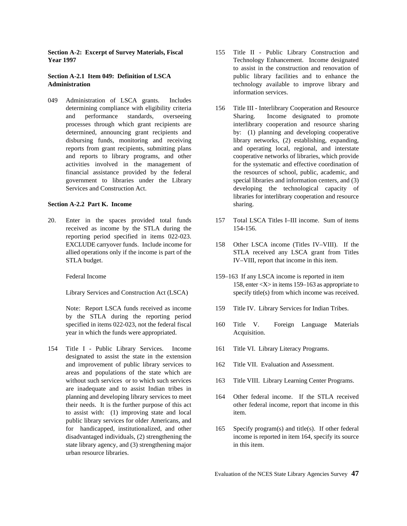049 Administration of LSCA grants. Includes government to libraries under the Library

### **Section A-2.2 Part K. Income** sharing.

received as income by the STLA during the 154-156. reporting period specified in items 022-023. STLA budget. IV–VIII, report that income in this item.

by the STLA during the reporting period year in which the funds were appropriated. Acquisition.

154 Title I - Public Library Services. Income 161 Title VI. Library Literacy Programs. designated to assist the state in the extension and improvement of public library services to 162 Title VII. Evaluation and Assessment. areas and populations of the state which are are inadequate and to assist Indian tribes in planning and developing library services to meet 164 Other federal income. If the STLA received to assist with: (1) improving state and local item. public library services for older Americans, and state library agency, and (3) strengthening major in this item. urban resource libraries.

- **Section A-2: Excerpt of Survey Materials, Fiscal** 155 Title II Public Library Construction and **Year 1997** Technology Enhancement. Income designated **Section A-2.1 Item 049: Definition of LSCA** public library facilities and to enhance the **Administration Administration Example 2018 Example 2018 Example 2018 Example 2018 Example 2018 Example 2019 EXAMPLE 2019 EXAMPLE 2019 EXAMPLE 2019 EXAMPLE 2019 EXAMPLE 2019 EXAMPLE 2019 EXAMPLE** to assist in the construction and renovation of information services.
	- determining compliance with eligibility criteria 156 Title III Interlibrary Cooperation and Resource and performance standards, overseeing Sharing. Income designated to promote processes through which grant recipients are interlibrary cooperation and resource sharing determined, announcing grant recipients and by: (1) planning and developing cooperative disbursing funds, monitoring and receiving library networks, (2) establishing, expanding, reports from grant recipients, submitting plans and operating local, regional, and interstate and reports to library programs, and other cooperative networks of libraries, which provide activities involved in the management of for the systematic and effective coordination of financial assistance provided by the federal the resources of school, public, academic, and government to libraries under the Library special libraries and information centers, and (3) Services and Construction Act. developing the technological capacity of libraries for interlibrary cooperation and resource
- 20. Enter in the spaces provided total funds 157 Total LSCA Titles I–III income. Sum of items
	- EXCLUDE carryover funds. Include income for 158 Other LSCA income (Titles IV–VIII). If the allied operations only if the income is part of the STLA received any LSCA grant from Titles
	- Federal Income 159–163 If any LSCA income is reported in item Library Services and Construction Act (LSCA) specify title(s) from which income was received. 158, enter <X> in items 159–163 as appropriate to
	- Note: Report LSCA funds received as income 159 Title IV. Library Services for Indian Tribes.
	- specified in items 022-023, not the federal fiscal 160 Title V. Foreign Language Materials
		-
		-
	- without such services or to which such services 163 Title VIII. Library Learning Center Programs.
	- their needs. It is the further purpose of this act other federal income, report that income in this
	- for handicapped, institutionalized, and other 165 Specify program(s) and title(s). If other federal disadvantaged individuals, (2) strengthening the income is reported in item 164, specify its source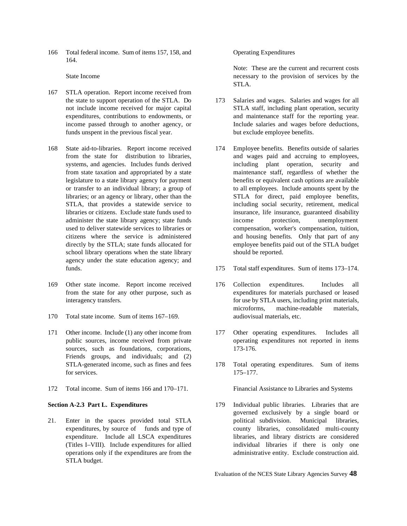166 Total federal income. Sum of items 157, 158, and Operating Expenditures 164.

- 167 STLA operation. Report income received from funds unspent in the previous fiscal year. but exclude employee benefits.
- 168 State aid-to-libraries. Report income received 174 Employee benefits. Benefits outside of salaries from state taxation and appropriated by a state school library operations when the state library should be reported. agency under the state education agency; and
- 169 Other state income. Report income received 176 Collection expenditures. Includes all
- 170 Total state income. Sum of items 167–169. audiovisual materials, etc.
- 171 Other income. Include (1) any other income from 177 Other operating expenditures. Includes all sources, such as foundations, corporations, 173-176. Friends groups, and individuals; and (2) for services. 175–177.
- 172 Total income. Sum of items 166 and 170–171. Financial Assistance to Libraries and Systems

STLA budget.

State Income the necessary to the provision of services by the state Income Note: These are the current and recurrent costs STLA.

- the state to support operation of the STLA. Do 173 Salaries and wages. Salaries and wages for all not include income received for major capital STLA staff, including plant operation, security expenditures, contributions to endowments, or and maintenance staff for the reporting year. income passed through to another agency, or Include salaries and wages before deductions,
- from the state for distribution to libraries, and wages paid and accruing to employees, systems, and agencies. Includes funds derived including plant operation, security and from state taxation and appropriated by a state maintenance staff, regardless of whether the legislature to a state library agency for payment benefits or equivalent cash options are available or transfer to an individual library; a group of to all employees. Include amounts spent by the libraries; or an agency or library, other than the STLA for direct, paid employee benefits, STLA, that provides a statewide service to including social security, retirement, medical libraries or citizens. Exclude state funds used to insurance, life insurance, guaranteed disability administer the state library agency; state funds income protection, unemployment used to deliver statewide services to libraries or compensation, worker's compensation, tuition, citizens where the service is administered and housing benefits. Only that part of any directly by the STLA; state funds allocated for employee benefits paid out of the STLA budget
- funds. 175 Total staff expenditures. Sum of items 173–174.
- from the state for any other purpose, such as expenditures for materials purchased or leased interagency transfers. **for use by STLA** users, including print materials, microforms, machine-readable materials,
- public sources, income received from private operating expenditures not reported in items
- STLA-generated income, such as fines and fees 178 Total operating expenditures. Sum of items

**Section A-2.3 Part L. Expenditures** 179 Individual public libraries. Libraries that are 21. Enter in the spaces provided total STLA political subdivision. Municipal libraries, expenditures, by source of funds and type of county libraries, consolidated multi-county expenditure. Include all LSCA expenditures libraries, and library districts are considered (Titles I–VIII). Include expenditures for allied individual libraries if there is only one operations only if the expenditures are from the administrative entity. Exclude construction aid. governed exclusively by a single board or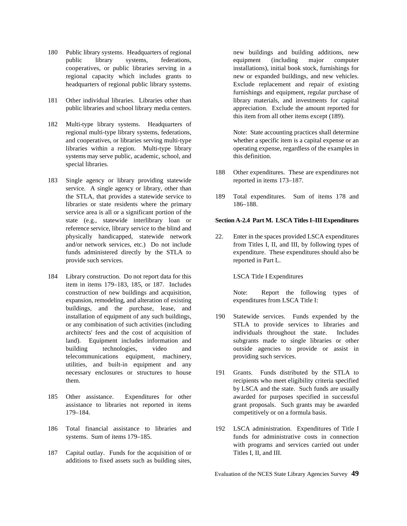- 180 Public library systems. Headquarters of regional new buildings and building additions, new public library systems, federations, equipment (including major computer cooperatives, or public libraries serving in a installations), initial book stock, furnishings for regional capacity which includes grants to new or expanded buildings, and new vehicles. headquarters of regional public library systems. Exclude replacement and repair of existing
- 181 Other individual libraries. Libraries other than library materials, and investments for capital public libraries and school library media centers. appreciation. Exclude the amount reported for
- 182 Multi-type library systems. Headquarters of regional multi-type library systems, federations, Note: State accounting practices shall determine and cooperatives, or libraries serving multi-type whether a specific item is a capital expense or an libraries within a region. Multi-type library operating expense, regardless of the examples in systems may serve public, academic, school, and this definition. special libraries.
- 183 Single agency or library providing statewide reported in items 173–187. service. A single agency or library, other than libraries or state residents where the primary 186–188. service area is all or a significant portion of the reference service, library service to the blind and provide such services. The reported in Part L.
- 184 Library construction. Do not report data for this LSCA Title I Expenditures item in items 179–183, 185, or 187. Includes construction of new buildings and acquisition, Note: Report the following types of expansion, remodeling, and alteration of existing expenditures from LSCA Title I: buildings, and the purchase, lease, and telecommunications equipment, machinery, providing such services. utilities, and built-in equipment and any
- 179–184. competitively or on a formula basis.
- 186 Total financial assistance to libraries and 192 LSCA administration. Expenditures of Title I
- 187 Capital outlay. Funds for the acquisition of or Titles I, II, and III. additions to fixed assets such as building sites,

furnishings and equipment, regular purchase of this item from all other items except (189).

- 188 Other expenditures. These are expenditures not
- the STLA, that provides a statewide service to 189 Total expenditures. Sum of items 178 and

### state (e.g., statewide interlibrary loan or **Section A-2.4 Part M. LSCA Titles I–III Expenditures**

physically handicapped, statewide network 22. Enter in the spaces provided LSCA expenditures and/or network services, etc.) Do not include from Titles I, II, and III, by following types of funds administered directly by the STLA to expenditure. These expenditures should also be

- installation of equipment of any such buildings, 190 Statewide services. Funds expended by the or any combination of such activities (including STLA to provide services to libraries and architects' fees and the cost of acquisition of individuals throughout the state. Includes land). Equipment includes information and subgrants made to single libraries or other building technologies, video and outside agencies to provide or assist in
- necessary enclosures or structures to house 191 Grants. Funds distributed by the STLA to them. recipients who meet eligibility criteria specified 185 Other assistance. Expenditures for other awarded for purposes specified in successful assistance to libraries not reported in items grant proposals. Such grants may be awarded by LSCA and the state. Such funds are usually
	- systems. Sum of items 179–185. **funds** for administrative costs in connection with programs and services carried out under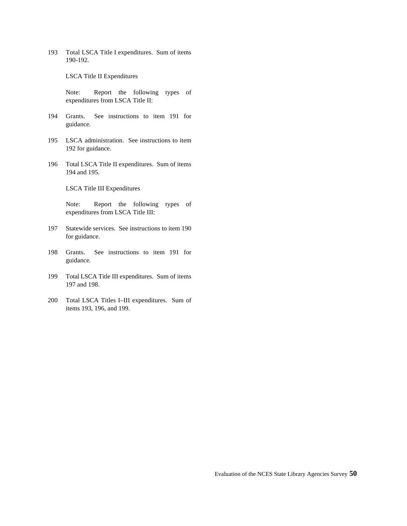193 Total LSCA Title I expenditures. Sum of items 190-192.

LSCA Title II Expenditures

Note: Report the following types of expenditures from LSCA Title II:

- 194 Grants. See instructions to item 191 for guidance.
- 195 LSCA administration. See instructions to item 192 for guidance.
- 196 Total LSCA Title II expenditures. Sum of items 194 and 195.

LSCA Title III Expenditures

Note: Report the following types of expenditures from LSCA Title III:

- 197 Statewide services. See instructions to item 190 for guidance.
- 198 Grants. See instructions to item 191 for guidance.
- 199 Total LSCA Title III expenditures. Sum of items 197 and 198.
- 200 Total LSCA Titles I–III expenditures. Sum of items 193, 196, and 199.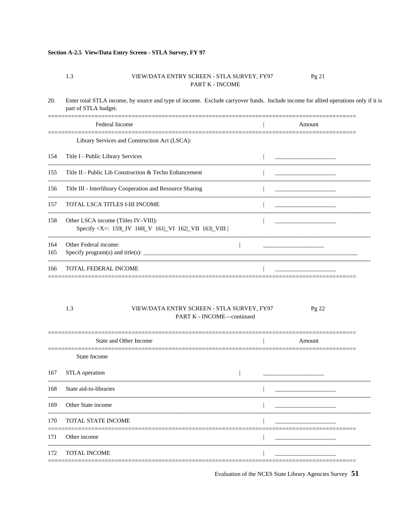### Section A-2.5 View/Data Entry Screen - STLA Survey, FY 97

#### 1.3 VIEW/DATA ENTRY SCREEN - STLA SURVEY, FY97 Pg 21 PART K - INCOME

20. Enter total STLA income, by source and type of income. Exclude carryover funds. Include income for allied operations only if it is part of STLA budget.

|     | <b>Federal Income</b>                                                                                                                                                                                                                                                                          |  | Amount                                     |  |
|-----|------------------------------------------------------------------------------------------------------------------------------------------------------------------------------------------------------------------------------------------------------------------------------------------------|--|--------------------------------------------|--|
|     | Library Services and Construction Act (LSCA):                                                                                                                                                                                                                                                  |  |                                            |  |
| 154 | Title I - Public Library Services                                                                                                                                                                                                                                                              |  |                                            |  |
| 155 | Title II - Public Lib Construction & Techn Enhancement                                                                                                                                                                                                                                         |  |                                            |  |
| 156 | Title III - Interlibrary Cooperation and Resource Sharing                                                                                                                                                                                                                                      |  | <u> 1989 - Johann Stein, mars et al. (</u> |  |
| 157 | TOTAL LSCA TITLES I-III INCOME                                                                                                                                                                                                                                                                 |  |                                            |  |
| 158 | Other LSCA income (Titles IV-VIII):<br>Specify <x>: 159 IV 160 V 161 VI 162 VII 163 VIII</x>                                                                                                                                                                                                   |  |                                            |  |
| 164 | Other Federal income:                                                                                                                                                                                                                                                                          |  |                                            |  |
| 165 | Specify program(s) and title(s): $\frac{1}{1}$ = $\frac{1}{1}$ = $\frac{1}{1}$ = $\frac{1}{1}$ = $\frac{1}{1}$ = $\frac{1}{1}$ = $\frac{1}{1}$ = $\frac{1}{1}$ = $\frac{1}{1}$ = $\frac{1}{1}$ = $\frac{1}{1}$ = $\frac{1}{1}$ = $\frac{1}{1}$ = $\frac{1}{1}$ = $\frac{1}{1}$ = $\frac{1}{1}$ |  |                                            |  |
| 166 | <b>TOTAL FEDERAL INCOME</b>                                                                                                                                                                                                                                                                    |  |                                            |  |

#### 1.3 VIEW/DATA ENTRY SCREEN - STLA SURVEY, FY97 Pg 22 PART K - INCOME-continued

| State and Other Income |  | Amount |
|------------------------|--|--------|
| State Income           |  |        |
| STLA operation         |  |        |
| State aid-to-libraries |  |        |
| Other State income     |  |        |
| TOTAL STATE INCOME     |  |        |
| Other income           |  |        |
| <b>TOTAL INCOME</b>    |  |        |
|                        |  |        |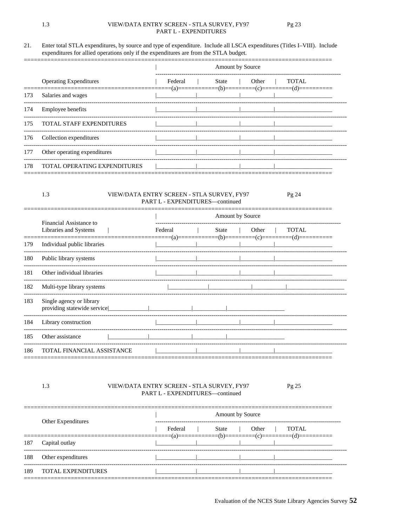#### 21. Enter total STLA expenditures, by source and type of expenditure. Include all LSCA expenditures (Titles I-VIII). Include expenditures for allied operations only if the expenditures are from the STLA budget.

|     |                                 | <b>Amount by Source</b> |       |       |       |  |  |  |
|-----|---------------------------------|-------------------------|-------|-------|-------|--|--|--|
|     | <b>Operating Expenditures</b>   | Federal                 | State | Other | TOTAL |  |  |  |
| 173 | Salaries and wages              |                         |       |       |       |  |  |  |
| 174 | <b>Employee benefits</b>        |                         |       |       |       |  |  |  |
| 175 | <b>TOTAL STAFF EXPENDITURES</b> |                         |       |       |       |  |  |  |
| 176 | Collection expenditures         |                         |       |       |       |  |  |  |
| 177 | Other operating expenditures    |                         |       |       |       |  |  |  |
| 178 | TOTAL OPERATING EXPENDITURES    |                         |       |       |       |  |  |  |

#### VIEW/DATA ENTRY SCREEN - STLA SURVEY, FY97 Pg 24 PART L - EXPENDITURES-continued

|     | Financial Assistance to                                 | Amount by Source |       |       |              |  |  |  |  |
|-----|---------------------------------------------------------|------------------|-------|-------|--------------|--|--|--|--|
|     | Libraries and Systems                                   | Federal          | State | Other | <b>TOTAL</b> |  |  |  |  |
| 179 | Individual public libraries                             |                  |       |       |              |  |  |  |  |
| 180 | Public library systems                                  |                  |       |       |              |  |  |  |  |
| 181 | Other individual libraries                              |                  |       |       |              |  |  |  |  |
| 182 | Multi-type library systems                              |                  |       |       |              |  |  |  |  |
| 183 | Single agency or library<br>providing statewide service |                  |       |       |              |  |  |  |  |
| 184 | Library construction                                    |                  |       |       |              |  |  |  |  |
| 185 | Other assistance                                        |                  |       |       |              |  |  |  |  |
| 186 | TOTAL FINANCIAL ASSISTANCE                              |                  |       |       |              |  |  |  |  |

#### 1.3 VIEW/DATA ENTRY SCREEN - STLA SURVEY, FY97 PART L - EXPENDITURES-continued

|     |                           |  | <b>Amount by Source</b> |  |       |       |       |  |  |
|-----|---------------------------|--|-------------------------|--|-------|-------|-------|--|--|
|     | Other Expenditures        |  | Federal                 |  | State | Other | TOTAL |  |  |
| 187 | Capital outlay            |  |                         |  |       |       |       |  |  |
| 188 | Other expenditures        |  |                         |  |       |       |       |  |  |
| 189 | <b>TOTAL EXPENDITURES</b> |  |                         |  |       |       |       |  |  |

1.3

Pg 25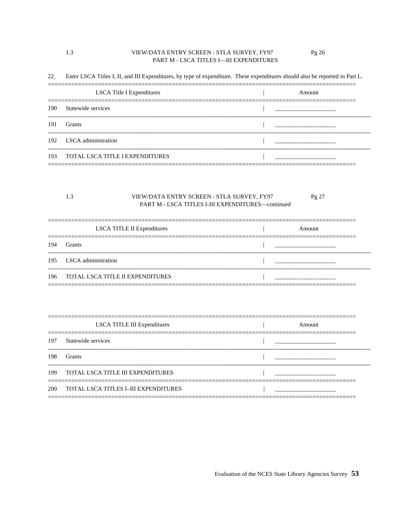### VIEW/DATA ENTRY SCREEN - STLA SURVEY, FY97 PART M - LSCA TITLES I-III EXPENDITURES

1.3

22. Enter LSCA Titles I, II, and III Expenditures, by type of expenditure. These expenditures should also be reported in Part L.

| <b>LSCA</b> Title I Expenditures    | Amount |
|-------------------------------------|--------|
| 190 Statewide services              |        |
| 191 Grants                          |        |
| 192 LSCA administration             |        |
| 193 TOTAL LSCA TITLE I EXPENDITURES |        |

#### 1.3 VIEW/DATA ENTRY SCREEN - STLA SURVEY, FY97 Pg 27 PART M - LSCA TITLES I-III EXPENDITURES-continued

|     | LSCA TITLE II Expenditures           | Amount |
|-----|--------------------------------------|--------|
| 194 | <b>Grants</b>                        |        |
|     | 195 LSCA administration              |        |
|     | 196 TOTAL LSCA TITLE II EXPENDITURES |        |

|     | <b>LSCA TITLE III Expenditures</b>       | Amount |
|-----|------------------------------------------|--------|
|     | 197 Statewide services                   |        |
| 198 | <b>Grants</b>                            |        |
|     | 199 TOTAL LSCA TITLE III EXPENDITURES    |        |
|     | 200 TOTAL LSCA TITLES I-III EXPENDITURES |        |

Pg 26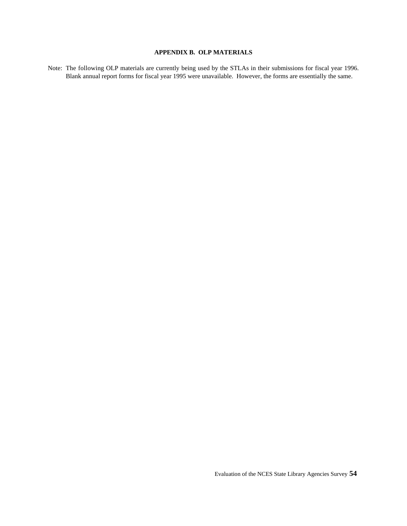## **APPENDIX B. OLP MATERIALS**

Note: The following OLP materials are currently being used by the STLAs in their submissions for fiscal year 1996. Blank annual report forms for fiscal year 1995 were unavailable. However, the forms are essentially the same.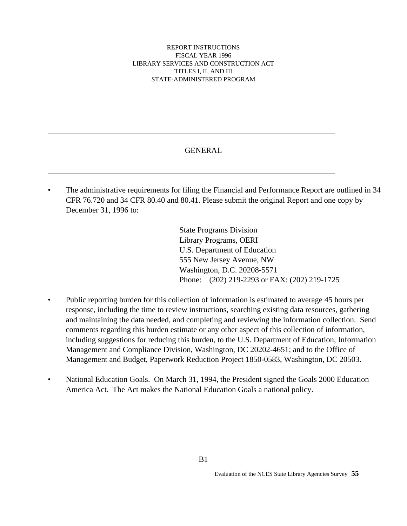### REPORT INSTRUCTIONS FISCAL YEAR 1996 LIBRARY SERVICES AND CONSTRUCTION ACT TITLES I, II, AND III STATE-ADMINISTERED PROGRAM

# GENERAL

The administrative requirements for filing the Financial and Performance Report are outlined in 34 CFR 76.720 and 34 CFR 80.40 and 80.41. Please submit the original Report and one copy by December 31, 1996 to:

> State Programs Division Library Programs, OERI U.S. Department of Education 555 New Jersey Avenue, NW Washington, D.C. 20208-5571 Phone: (202) 219-2293 or FAX: (202) 219-1725

- Public reporting burden for this collection of information is estimated to average 45 hours per response, including the time to review instructions, searching existing data resources, gathering and maintaining the data needed, and completing and reviewing the information collection. Send comments regarding this burden estimate or any other aspect of this collection of information, including suggestions for reducing this burden, to the U.S. Department of Education, Information Management and Compliance Division, Washington, DC 20202-4651; and to the Office of Management and Budget, Paperwork Reduction Project 1850-0583, Washington, DC 20503.
- National Education Goals. On March 31, 1994, the President signed the Goals 2000 Education America Act. The Act makes the National Education Goals a national policy.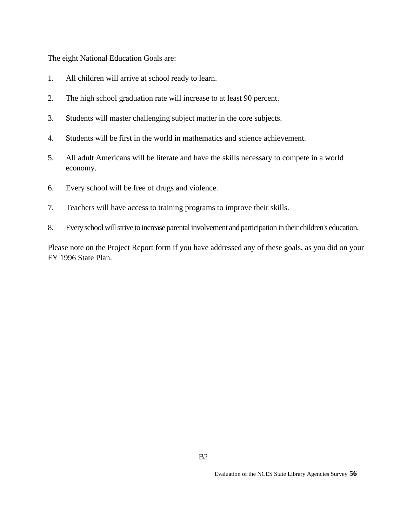The eight National Education Goals are:

- 1. All children will arrive at school ready to learn.
- 2. The high school graduation rate will increase to at least 90 percent.
- 3. Students will master challenging subject matter in the core subjects.
- 4. Students will be first in the world in mathematics and science achievement.
- 5. All adult Americans will be literate and have the skills necessary to compete in a world economy.
- 6. Every school will be free of drugs and violence.
- 7. Teachers will have access to training programs to improve their skills.
- 8. Every school will strive to increase parental involvement and participation in their children's education.

Please note on the Project Report form if you have addressed any of these goals, as you did on your FY 1996 State Plan.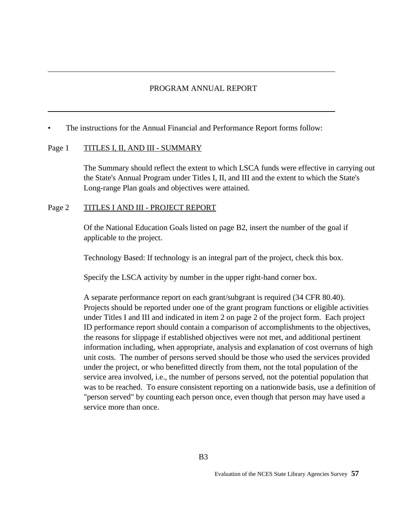# PROGRAM ANNUAL REPORT

The instructions for the Annual Financial and Performance Report forms follow:

## Page 1 TITLES I, II, AND III - SUMMARY

The Summary should reflect the extent to which LSCA funds were effective in carrying out the State's Annual Program under Titles I, II, and III and the extent to which the State's Long-range Plan goals and objectives were attained.

## Page 2 TITLES I AND III - PROJECT REPORT

Of the National Education Goals listed on page B2, insert the number of the goal if applicable to the project.

Technology Based: If technology is an integral part of the project, check this box.

Specify the LSCA activity by number in the upper right-hand corner box.

A separate performance report on each grant/subgrant is required (34 CFR 80.40). Projects should be reported under one of the grant program functions or eligible activities under Titles I and III and indicated in item 2 on page 2 of the project form. Each project ID performance report should contain a comparison of accomplishments to the objectives, the reasons for slippage if established objectives were not met, and additional pertinent information including, when appropriate, analysis and explanation of cost overruns of high unit costs. The number of persons served should be those who used the services provided under the project, or who benefitted directly from them, not the total population of the service area involved, i.e., the number of persons served, not the potential population that was to be reached. To ensure consistent reporting on a nationwide basis, use a definition of "person served" by counting each person once, even though that person may have used a service more than once.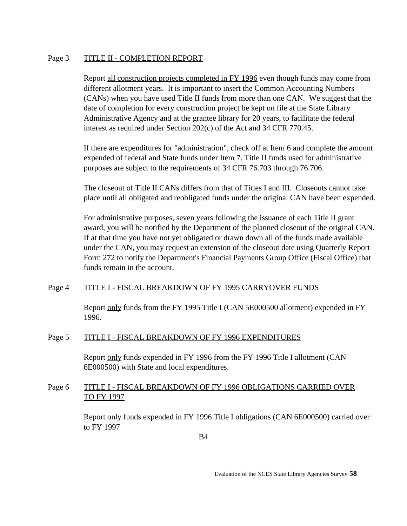# Page 3 TITLE II - COMPLETION REPORT

Report all construction projects completed in FY 1996 even though funds may come from different allotment years. It is important to insert the Common Accounting Numbers (CANs) when you have used Title II funds from more than one CAN. We suggest that the date of completion for every construction project be kept on file at the State Library Administrative Agency and at the grantee library for 20 years, to facilitate the federal interest as required under Section 202(c) of the Act and 34 CFR 770.45.

If there are expenditures for "administration", check off at Item 6 and complete the amount expended of federal and State funds under Item 7. Title II funds used for administrative purposes are subject to the requirements of 34 CFR 76.703 through 76.706.

The closeout of Title II CANs differs from that of Titles I and III. Closeouts cannot take place until all obligated and reobligated funds under the original CAN have been expended.

For administrative purposes, seven years following the issuance of each Title II grant award, you will be notified by the Department of the planned closeout of the original CAN. If at that time you have not yet obligated or drawn down all of the funds made available under the CAN, you may request an extension of the closeout date using Quarterly Report Form 272 to notify the Department's Financial Payments Group Office (Fiscal Office) that funds remain in the account.

# Page 4 TITLE I - FISCAL BREAKDOWN OF FY 1995 CARRYOVER FUNDS

Report only funds from the FY 1995 Title I (CAN 5E000500 allotment) expended in FY 1996.

# Page 5 TITLE I - FISCAL BREAKDOWN OF FY 1996 EXPENDITURES

Report only funds expended in FY 1996 from the FY 1996 Title I allotment (CAN 6E000500) with State and local expenditures.

# Page 6 TITLE I - FISCAL BREAKDOWN OF FY 1996 OBLIGATIONS CARRIED OVER TO FY 1997

Report only funds expended in FY 1996 Title I obligations (CAN 6E000500) carried over to FY 1997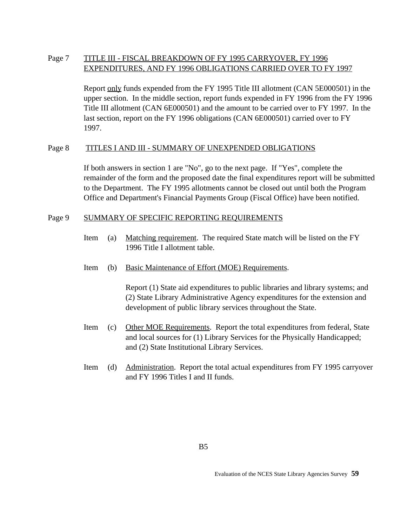# Page 7 TITLE III - FISCAL BREAKDOWN OF FY 1995 CARRYOVER, FY 1996 EXPENDITURES, AND FY 1996 OBLIGATIONS CARRIED OVER TO FY 1997

Report only funds expended from the FY 1995 Title III allotment (CAN 5E000501) in the upper section. In the middle section, report funds expended in FY 1996 from the FY 1996 Title III allotment (CAN 6E000501) and the amount to be carried over to FY 1997. In the last section, report on the FY 1996 obligations (CAN 6E000501) carried over to FY 1997.

# Page 8 TITLES I AND III - SUMMARY OF UNEXPENDED OBLIGATIONS

If both answers in section 1 are "No", go to the next page. If "Yes", complete the remainder of the form and the proposed date the final expenditures report will be submitted to the Department. The FY 1995 allotments cannot be closed out until both the Program Office and Department's Financial Payments Group (Fiscal Office) have been notified.

## Page 9 SUMMARY OF SPECIFIC REPORTING REQUIREMENTS

- Item (a) Matching requirement. The required State match will be listed on the FY 1996 Title I allotment table.
- Item (b) Basic Maintenance of Effort (MOE) Requirements.

Report (1) State aid expenditures to public libraries and library systems; and (2) State Library Administrative Agency expenditures for the extension and development of public library services throughout the State.

- Item (c) Other MOE Requirements. Report the total expenditures from federal, State and local sources for (1) Library Services for the Physically Handicapped; and (2) State Institutional Library Services.
- Item (d) Administration. Report the total actual expenditures from FY 1995 carryover and FY 1996 Titles I and II funds.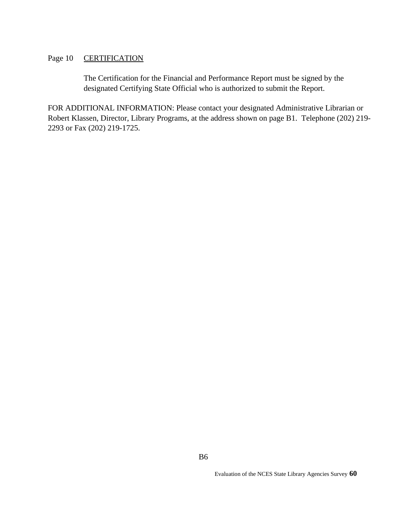# Page 10 **CERTIFICATION**

The Certification for the Financial and Performance Report must be signed by the designated Certifying State Official who is authorized to submit the Report.

FOR ADDITIONAL INFORMATION: Please contact your designated Administrative Librarian or Robert Klassen, Director, Library Programs, at the address shown on page B1. Telephone (202) 219- 2293 or Fax (202) 219-1725.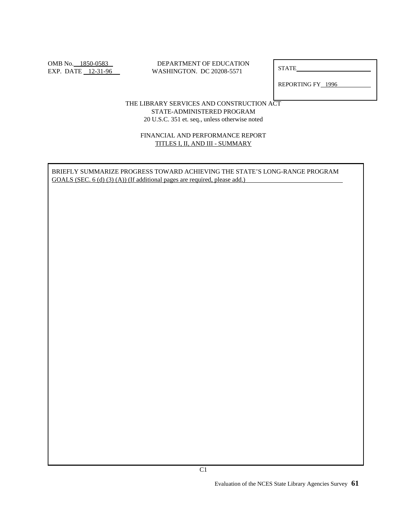### OMB No. 1850-0583 DEPARTMENT OF EDUCATION EXP. DATE <u>12-31-96</u> WASHINGTON. DC 20208-5571

**STATE** 

REPORTING FY 1996

## THE LIBRARY SERVICES AND CONSTRUCTION ACT STATE-ADMINISTERED PROGRAM 20 U.S.C. 351 et. seq., unless otherwise noted

### FINANCIAL AND PERFORMANCE REPORT TITLES I, II, AND III - SUMMARY

BRIEFLY SUMMARIZE PROGRESS TOWARD ACHIEVING THE STATE'S LONG-RANGE PROGRAM GOALS (SEC. 6 (d) (3) (A)) (If additional pages are required, please add.)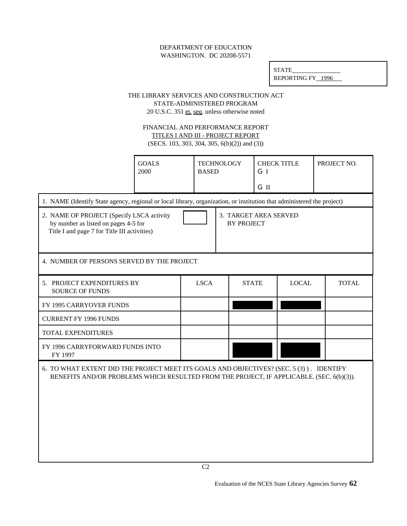### DEPARTMENT OF EDUCATION WASHINGTON. DC 20208-5571

| <b>STATE</b>      |  |
|-------------------|--|
| REPORTING FY 1996 |  |

### THE LIBRARY SERVICES AND CONSTRUCTION ACT STATE-ADMINISTERED PROGRAM

20 U.S.C. 351 et. seq. unless otherwise noted

### FINANCIAL AND PERFORMANCE REPORT TITLES I AND III - PROJECT REPORT

 $(SFCS 103 303 304 305 6(b)(2))$  and (3))

| (SECS. 103, 303, 304, 305, $O(D)(2)$ ) and (3))                                                                                                                                     |                      |                                   |                                            |      |                    |  |              |
|-------------------------------------------------------------------------------------------------------------------------------------------------------------------------------------|----------------------|-----------------------------------|--------------------------------------------|------|--------------------|--|--------------|
|                                                                                                                                                                                     | <b>GOALS</b><br>2000 | <b>TECHNOLOGY</b><br><b>BASED</b> |                                            | GI   | <b>CHECK TITLE</b> |  | PROJECT NO.  |
|                                                                                                                                                                                     |                      |                                   |                                            | G II |                    |  |              |
| 1. NAME (Identify State agency, regional or local library, organization, or institution that administered the project)                                                              |                      |                                   |                                            |      |                    |  |              |
| 2. NAME OF PROJECT (Specify LSCA activity<br>by number as listed on pages 4-5 for<br>Title I and page 7 for Title III activities)                                                   |                      |                                   | 3. TARGET AREA SERVED<br><b>BY PROJECT</b> |      |                    |  |              |
| 4. NUMBER OF PERSONS SERVED BY THE PROJECT                                                                                                                                          |                      |                                   |                                            |      |                    |  |              |
| 5. PROJECT EXPENDITURES BY<br><b>SOURCE OF FUNDS</b>                                                                                                                                |                      | <b>LSCA</b>                       | <b>STATE</b>                               |      | <b>LOCAL</b>       |  | <b>TOTAL</b> |
| FY 1995 CARRYOVER FUNDS                                                                                                                                                             |                      |                                   |                                            |      |                    |  |              |
| <b>CURRENT FY 1996 FUNDS</b>                                                                                                                                                        |                      |                                   |                                            |      |                    |  |              |
| TOTAL EXPENDITURES                                                                                                                                                                  |                      |                                   |                                            |      |                    |  |              |
| FY 1996 CARRYFORWARD FUNDS INTO<br>FY 1997                                                                                                                                          |                      |                                   |                                            |      |                    |  |              |
| 6. TO WHAT EXTENT DID THE PROJECT MEET ITS GOALS AND OBJECTIVES? (SEC. 5 (3)). IDENTIFY<br>BENEFITS AND/OR PROBLEMS WHICH RESULTED FROM THE PROJECT, IF APPLICABLE. (SEC. 6(b)(3)). |                      |                                   |                                            |      |                    |  |              |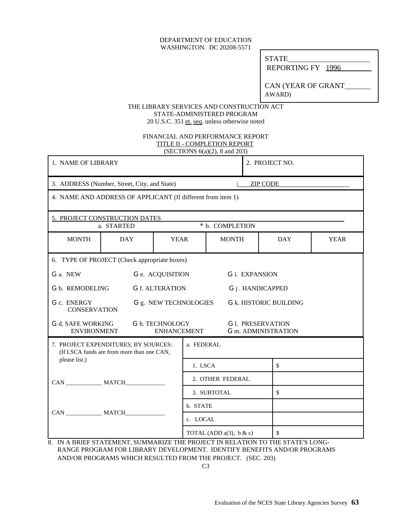### DEPARTMENT OF EDUCATION WASHINGTON. DC 20208-5571

STATE

REPORTING FY 1996

CAN (YEAR OF GRANT AWARD)

### THE LIBRARY SERVICES AND CONSTRUCTION ACT STATE-ADMINISTERED PROGRAM 20 U.S.C. 351 et. seq. unless otherwise noted

### FINANCIAL AND PERFORMANCE REPORT TITLE II - COMPLETION REPORT (SECTIONS 6(a)(2), 8 and 203)

| 1. NAME OF LIBRARY                             |                                                                                    |                                       |                  |                               |    | 2. PROJECT NO.                                                                   |             |
|------------------------------------------------|------------------------------------------------------------------------------------|---------------------------------------|------------------|-------------------------------|----|----------------------------------------------------------------------------------|-------------|
|                                                | 3. ADDRESS (Number, Street, City, and State)                                       |                                       |                  |                               |    | <b>ZIP CODE</b>                                                                  |             |
|                                                | 4. NAME AND ADDRESS OF APPLICANT (If different from item 1)                        |                                       |                  |                               |    |                                                                                  |             |
|                                                | 5. PROJECT CONSTRUCTION DATES                                                      |                                       |                  |                               |    |                                                                                  |             |
|                                                | a. STARTED                                                                         |                                       |                  | * b. COMPLETION               |    |                                                                                  |             |
| <b>MONTH</b>                                   | <b>DAY</b>                                                                         | <b>YEAR</b>                           |                  | <b>MONTH</b>                  |    | <b>DAY</b>                                                                       | <b>YEAR</b> |
|                                                | 6. TYPE OF PROJECT (Check appropriate boxes)                                       |                                       |                  |                               |    |                                                                                  |             |
| G a. NEW<br>G e. ACQUISITION                   |                                                                                    |                                       |                  |                               |    | G i. EXPANSION                                                                   |             |
| G b. REMODELING                                | <b>G</b> f. ALTERATION                                                             | G j . HANDICAPPED                     |                  |                               |    |                                                                                  |             |
| G c. ENERGY<br><b>CONSERVATION</b>             |                                                                                    | G g. NEW TECHNOLOGIES                 |                  |                               |    | <b>G</b> k. HISTORIC BUILDING                                                    |             |
| <b>G</b> d. SAFE WORKING<br><b>ENVIRONMENT</b> |                                                                                    | G h. TECHNOLOGY<br><b>ENHANCEMENT</b> |                  |                               |    | <b>G</b> 1. PRESERVATION<br><b>G</b> m. ADMINISTRATION                           |             |
|                                                | 7. PROJECT EXPENDITURES, BY SOURCES:<br>(If LSCA funds are from more than one CAN, |                                       | a. FEDERAL       |                               |    |                                                                                  |             |
| please list.)                                  |                                                                                    |                                       | \$<br>1. LSCA    |                               |    |                                                                                  |             |
|                                                |                                                                                    |                                       | 2. OTHER FEDERAL |                               |    |                                                                                  |             |
|                                                |                                                                                    |                                       | 3. SUBTOTAL      |                               | \$ |                                                                                  |             |
|                                                |                                                                                    |                                       | b. STATE         |                               |    |                                                                                  |             |
|                                                |                                                                                    |                                       | c. LOCAL         |                               |    |                                                                                  |             |
| Q                                              |                                                                                    |                                       |                  | TOTAL (ADD $a(3)$ , $b & c$ ) |    | \$<br>IN A RRIEE STATEMENT SHMMARIZE THE PROJECT IN RELATION TO THE STATE'S LONG |             |

8. IN A BRIEF STATEMENT, SUMMARIZE THE PROJECT IN RELATION TO THE STATE'S LONG- RANGE PROGRAM FOR LIBRARY DEVELOPMENT. IDENTIFY BENEFITS AND/OR PROGRAMS AND/OR PROGRAMS WHICH RESULTED FROM THE PROJECT. (SEC. 203)

C3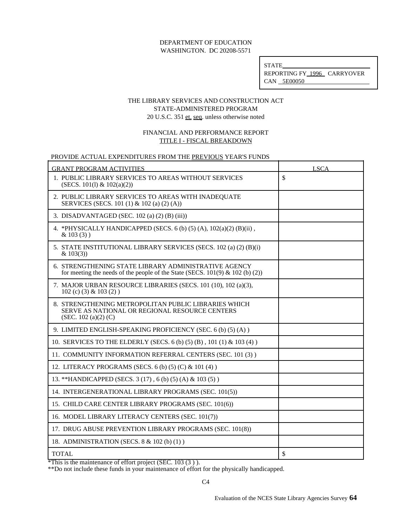STATE REPORTING FY 1996 CARRYOVER CAN 5E00050

### THE LIBRARY SERVICES AND CONSTRUCTION ACT STATE-ADMINISTERED PROGRAM 20 U.S.C. 351 et. seq. unless otherwise noted

## FINANCIAL AND PERFORMANCE REPORT TITLE I - FISCAL BREAKDOWN

## PROVIDE ACTUAL EXPENDITURES FROM THE PREVIOUS YEAR'S FUNDS

| <b>GRANT PROGRAM ACTIVITIES</b>                                                                                                           | <b>LSCA</b> |
|-------------------------------------------------------------------------------------------------------------------------------------------|-------------|
| 1. PUBLIC LIBRARY SERVICES TO AREAS WITHOUT SERVICES<br>(SECS. 101(1) & $102(a)(2)$ )                                                     | \$          |
| 2. PUBLIC LIBRARY SERVICES TO AREAS WITH INADEQUATE<br>SERVICES (SECS. 101 (1) & 102 (a) (2) (A))                                         |             |
| 3. DISADVANTAGED (SEC. 102 (a) (2) (B) (iii))                                                                                             |             |
| 4. *PHYSICALLY HANDICAPPED (SECS. 6 (b) (5) (A), $102(a)(2)$ (B)(ii),<br>$& 103(3)$ )                                                     |             |
| 5. STATE INSTITUTIONAL LIBRARY SERVICES (SECS. 102 (a) (2) (B)(i)<br>& 103(3)                                                             |             |
| 6. STRENGTHENING STATE LIBRARY ADMINISTRATIVE AGENCY<br>for meeting the needs of the people of the State (SECS. $101(9)$ & $102$ (b) (2)) |             |
| 7. MAJOR URBAN RESOURCE LIBRARIES (SECS. 101 (10), 102 (a)(3),<br>$102$ (c) (3) & $103$ (2))                                              |             |
| 8. STRENGTHENING METROPOLITAN PUBLIC LIBRARIES WHICH<br>SERVE AS NATIONAL OR REGIONAL RESOURCE CENTERS<br>(SEC. 102 $(a)(2)$ $(C)$ )      |             |
| 9. LIMITED ENGLISH-SPEAKING PROFICIENCY (SEC. 6 (b) (5) (A))                                                                              |             |
| 10. SERVICES TO THE ELDERLY (SECS. 6 (b) (5) (B), 101 (1) & 103 (4))                                                                      |             |
| 11. COMMUNITY INFORMATION REFERRAL CENTERS (SEC. 101 (3))                                                                                 |             |
| 12. LITERACY PROGRAMS (SECS. 6 (b) (5) (C) & 101 (4))                                                                                     |             |
| 13. ** HANDICAPPED (SECS. 3 (17), 6 (b) (5) (A) & 103 (5))                                                                                |             |
| 14. INTERGENERATIONAL LIBRARY PROGRAMS (SEC. 101(5))                                                                                      |             |
| 15. CHILD CARE CENTER LIBRARY PROGRAMS (SEC. 101(6))                                                                                      |             |
| 16. MODEL LIBRARY LITERACY CENTERS (SEC. 101(7))                                                                                          |             |
| 17. DRUG ABUSE PREVENTION LIBRARY PROGRAMS (SEC. 101(8))                                                                                  |             |
| 18. ADMINISTRATION (SECS. 8 & 102 (b) (1))                                                                                                |             |
| <b>TOTAL</b>                                                                                                                              | \$          |

\*This is the maintenance of effort project (SEC. 103 (3 ) ).

\*\*Do not include these funds in your maintenance of effort for the physically handicapped.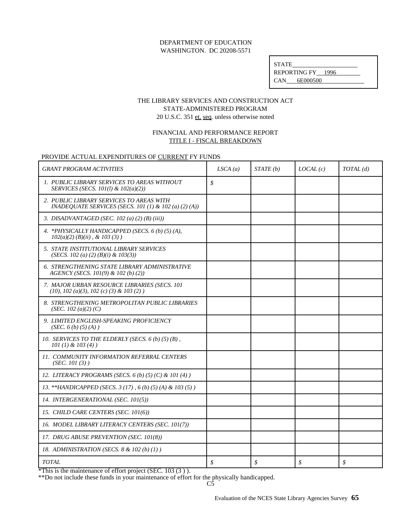| <b>STATE</b>      |  |
|-------------------|--|
| REPORTING FY 1996 |  |
| 6E000500<br>CAN.  |  |

# THE LIBRARY SERVICES AND CONSTRUCTION ACT STATE-ADMINISTERED PROGRAM 20 U.S.C. 351 et. seq. unless otherwise noted

## FINANCIAL AND PERFORMANCE REPORT TITLE I - FISCAL BREAKDOWN

## PROVIDE ACTUAL EXPENDITURES OF CURRENT FY FUNDS

| <b>GRANT PROGRAM ACTIVITIES</b>                                                                       | LSCA(a) | STATE(b) | LOCAL(c) | TOTAL(d) |
|-------------------------------------------------------------------------------------------------------|---------|----------|----------|----------|
| 1. PUBLIC LIBRARY SERVICES TO AREAS WITHOUT<br>SERVICES (SECS. 101(1) & 102(a)(2))                    | \$      |          |          |          |
| 2. PUBLIC LIBRARY SERVICES TO AREAS WITH<br>INADEOUATE SERVICES (SECS. 101 (1) & 102 (a) (2) (A))     |         |          |          |          |
| 3. DISADVANTAGED (SEC. 102 (a) (2) (B) (iii))                                                         |         |          |          |          |
| 4. *PHYSICALLY HANDICAPPED (SECS. 6 (b) (5) (A),<br>$102(a)(2)$ (B)(ii), & 103(3))                    |         |          |          |          |
| 5. STATE INSTITUTIONAL LIBRARY SERVICES<br>(SECS. 102 (a) (2) (B)(i) & 103(3))                        |         |          |          |          |
| 6. STRENGTHENING STATE LIBRARY ADMINISTRATIVE<br>AGENCY (SECS. 101(9) & 102 (b) (2))                  |         |          |          |          |
| 7. MAJOR URBAN RESOURCE LIBRARIES (SECS. 101<br>$(10)$ , 102 $(a)(3)$ , 102 $(c)$ $(3)$ & 103 $(2)$ ) |         |          |          |          |
| 8. STRENGTHENING METROPOLITAN PUBLIC LIBRARIES<br>(SEC. 102 (a)(2) (C)                                |         |          |          |          |
| 9. LIMITED ENGLISH-SPEAKING PROFICIENCY<br>(SEC. 6(b) (5) (A))                                        |         |          |          |          |
| 10. SERVICES TO THE ELDERLY (SECS. $6(b)$ (5) (B),<br>$101 (1) \& 103 (4)$                            |         |          |          |          |
| 11. COMMUNITY INFORMATION REFERRAL CENTERS<br>(SEC. 101 (3))                                          |         |          |          |          |
| 12. LITERACY PROGRAMS (SECS. 6 (b) (5) (C) & 101 (4))                                                 |         |          |          |          |
| 13. **HANDICAPPED (SECS. 3 (17), 6 (b) (5) (A) & 103 (5))                                             |         |          |          |          |
| 14. INTERGENERATIONAL (SEC. 101(5))                                                                   |         |          |          |          |
| 15. CHILD CARE CENTERS (SEC. 101(6))                                                                  |         |          |          |          |
| 16. MODEL LIBRARY LITERACY CENTERS (SEC. 101(7))                                                      |         |          |          |          |
| 17. DRUG ABUSE PREVENTION (SEC. 101(8))                                                               |         |          |          |          |
| 18. ADMINISTRATION (SECS. 8 & 102 (b) (1))                                                            |         |          |          |          |
| <b>TOTAL</b>                                                                                          | \$      | \$       | \$       | \$       |

 $*$ This is the maintenance of effort project (SEC. 103  $(3)$ ).

\*\*Do not include these funds in your maintenance of effort for the physically handicapped.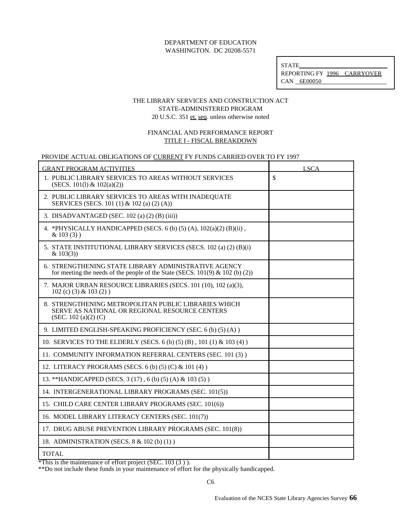STATE REPORTING FY 1996 CARRYOVER CAN 6E00050

## THE LIBRARY SERVICES AND CONSTRUCTION ACT STATE-ADMINISTERED PROGRAM 20 U.S.C. 351 et. seq. unless otherwise noted

## FINANCIAL AND PERFORMANCE REPORT TITLE I - FISCAL BREAKDOWN

#### PROVIDE ACTUAL OBLIGATIONS OF CURRENT FY FUNDS CARRIED OVER TO FY 1997

| <b>GRANT PROGRAM ACTIVITIES</b>                                                                                                           | <b>LSCA</b>   |
|-------------------------------------------------------------------------------------------------------------------------------------------|---------------|
| 1. PUBLIC LIBRARY SERVICES TO AREAS WITHOUT SERVICES<br>(SECS. 101(1) & $102(a)(2)$ )                                                     | $\mathsf{\$}$ |
| 2. PUBLIC LIBRARY SERVICES TO AREAS WITH INADEQUATE<br>SERVICES (SECS. 101 (1) & 102 (a) (2) (A))                                         |               |
| 3. DISADVANTAGED (SEC. 102 (a) (2) (B) (iii))                                                                                             |               |
| 4. *PHYSICALLY HANDICAPPED (SECS. 6 (b) (5) (A), $102(a)(2)$ (B)(ii),<br>$& 103(3)$ )                                                     |               |
| 5. STATE INSTITUTIONAL LIBRARY SERVICES (SECS. 102 (a) (2) (B)(i)<br>& 103(3)                                                             |               |
| 6. STRENGTHENING STATE LIBRARY ADMINISTRATIVE AGENCY<br>for meeting the needs of the people of the State (SECS. $101(9)$ & $102$ (b) (2)) |               |
| 7. MAJOR URBAN RESOURCE LIBRARIES (SECS. 101 (10), 102 (a)(3),<br>102 (c) (3) & 103 (2))                                                  |               |
| 8. STRENGTHENING METROPOLITAN PUBLIC LIBRARIES WHICH<br>SERVE AS NATIONAL OR REGIONAL RESOURCE CENTERS<br>(SEC. 102 $(a)(2)$ $(C)$ )      |               |
| 9. LIMITED ENGLISH-SPEAKING PROFICIENCY (SEC. 6 (b) (5) (A))                                                                              |               |
| 10. SERVICES TO THE ELDERLY (SECS. 6 (b) (5) (B), 101 (1) & 103 (4))                                                                      |               |
| 11. COMMUNITY INFORMATION REFERRAL CENTERS (SEC. 101 (3))                                                                                 |               |
| 12. LITERACY PROGRAMS (SECS. 6 (b) (5) (C) & 101 (4))                                                                                     |               |
| 13. ** HANDICAPPED (SECS. 3 (17), 6 (b) (5) (A) & 103 (5))                                                                                |               |
| 14. INTERGENERATIONAL LIBRARY PROGRAMS (SEC. 101(5))                                                                                      |               |
| 15. CHILD CARE CENTER LIBRARY PROGRAMS (SEC. 101(6))                                                                                      |               |
| 16. MODEL LIBRARY LITERACY CENTERS (SEC. 101(7))                                                                                          |               |
| 17. DRUG ABUSE PREVENTION LIBRARY PROGRAMS (SEC. 101(8))                                                                                  |               |
| 18. ADMINISTRATION (SECS. 8 & 102 (b) (1))                                                                                                |               |
| <b>TOTAL</b>                                                                                                                              |               |

 $*$ This is the maintenance of effort project (SEC. 103  $(3)$ ).

\*\*Do not include these funds in your maintenance of effort for the physically handicapped.